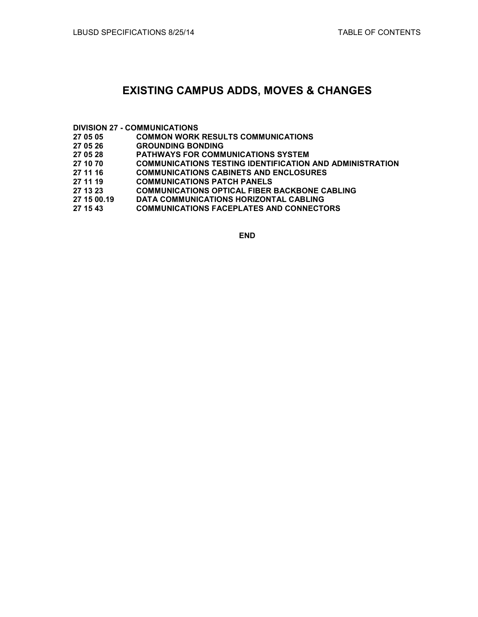## **EXISTING CAMPUS ADDS, MOVES & CHANGES**

# **DIVISION 27 - COMMUNICATIONS**

- **27 05 05 COMMON WORK RESULTS COMMUNICATIONS**
- **27 05 26 GROUNDING BONDING**
- **27 05 28 PATHWAYS FOR COMMUNICATIONS SYSTEM**
- **27 10 70 COMMUNICATIONS TESTING IDENTIFICATION AND ADMINISTRATION**
- **27 11 16 COMMUNICATIONS CABINETS AND ENCLOSURES**
- **27 11 19 COMMUNICATIONS PATCH PANELS**
- **27 COMMUNICATIONS OPTICAL FIBER BACKBONE CABLING**
- **27 15 00.19 DATA COMMUNICATIONS HORIZONTAL CABLING**
- **27 15 43 COMMUNICATIONS FACEPLATES AND CONNECTORS**

**END**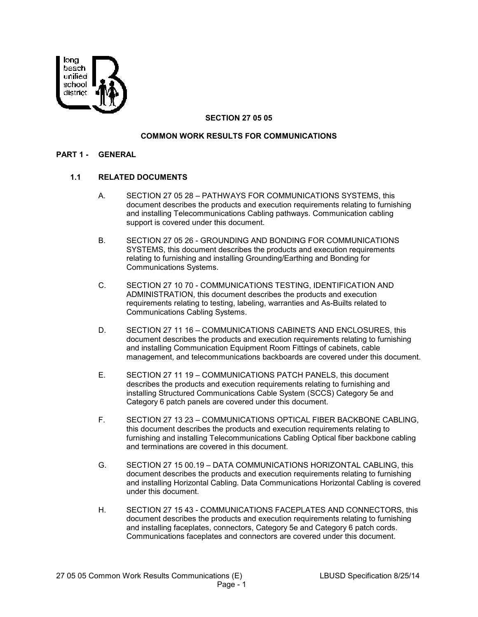

## **SECTION 27 05 05**

#### **COMMON WORK RESULTS FOR COMMUNICATIONS**

#### **PART 1 - GENERAL**

#### **1.1 RELATED DOCUMENTS**

- A. SECTION 27 05 28 PATHWAYS FOR COMMUNICATIONS SYSTEMS, this document describes the products and execution requirements relating to furnishing and installing Telecommunications Cabling pathways. Communication cabling support is covered under this document.
- B. SECTION 27 05 26 GROUNDING AND BONDING FOR COMMUNICATIONS SYSTEMS, this document describes the products and execution requirements relating to furnishing and installing Grounding/Earthing and Bonding for Communications Systems.
- C. SECTION 27 10 70 COMMUNICATIONS TESTING, IDENTIFICATION AND ADMINISTRATION, this document describes the products and execution requirements relating to testing, labeling, warranties and As-Builts related to Communications Cabling Systems.
- D. SECTION 27 11 16 COMMUNICATIONS CABINETS AND ENCLOSURES, this document describes the products and execution requirements relating to furnishing and installing Communication Equipment Room Fittings of cabinets, cable management, and telecommunications backboards are covered under this document.
- E. SECTION 27 11 19 COMMUNICATIONS PATCH PANELS, this document describes the products and execution requirements relating to furnishing and installing Structured Communications Cable System (SCCS) Category 5e and Category 6 patch panels are covered under this document.
- F. SECTION 27 13 23 COMMUNICATIONS OPTICAL FIBER BACKBONE CABLING, this document describes the products and execution requirements relating to furnishing and installing Telecommunications Cabling Optical fiber backbone cabling and terminations are covered in this document.
- G. SECTION 27 15 00.19 DATA COMMUNICATIONS HORIZONTAL CABLING, this document describes the products and execution requirements relating to furnishing and installing Horizontal Cabling. Data Communications Horizontal Cabling is covered under this document.
- H. SECTION 27 15 43 COMMUNICATIONS FACEPLATES AND CONNECTORS, this document describes the products and execution requirements relating to furnishing and installing faceplates, connectors, Category 5e and Category 6 patch cords. Communications faceplates and connectors are covered under this document.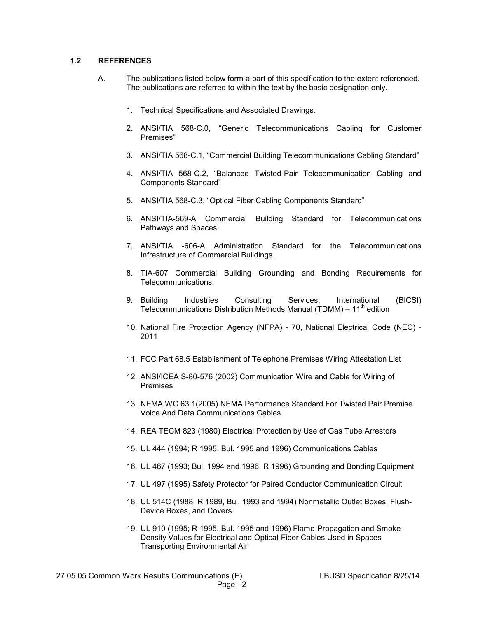#### **1.2 REFERENCES**

- A. The publications listed below form a part of this specification to the extent referenced. The publications are referred to within the text by the basic designation only.
	- 1. Technical Specifications and Associated Drawings.
	- 2. ANSI/TIA 568-C.0, "Generic Telecommunications Cabling for Customer Premises"
	- 3. ANSI/TIA 568-C.1, "Commercial Building Telecommunications Cabling Standard"
	- 4. ANSI/TIA 568-C.2, "Balanced Twisted-Pair Telecommunication Cabling and Components Standard"
	- 5. ANSI/TIA 568-C.3, "Optical Fiber Cabling Components Standard"
	- 6. ANSI/TIA-569-A Commercial Building Standard for Telecommunications Pathways and Spaces.
	- 7. ANSI/TIA -606-A Administration Standard for the Telecommunications Infrastructure of Commercial Buildings.
	- 8. TIA-607 Commercial Building Grounding and Bonding Requirements for Telecommunications.
	- 9. Building Industries Consulting Services, International (BICSI) Telecommunications Distribution Methods Manual (TDMM) –  $11<sup>th</sup>$  edition
	- 10. National Fire Protection Agency (NFPA) 70, National Electrical Code (NEC) 2011
	- 11. FCC Part 68.5 Establishment of Telephone Premises Wiring Attestation List
	- 12. ANSI/ICEA S-80-576 (2002) Communication Wire and Cable for Wiring of Premises
	- 13. NEMA WC 63.1(2005) NEMA Performance Standard For Twisted Pair Premise Voice And Data Communications Cables
	- 14. REA TECM 823 (1980) Electrical Protection by Use of Gas Tube Arrestors
	- 15. UL 444 (1994; R 1995, Bul. 1995 and 1996) Communications Cables
	- 16. UL 467 (1993; Bul. 1994 and 1996, R 1996) Grounding and Bonding Equipment
	- 17. UL 497 (1995) Safety Protector for Paired Conductor Communication Circuit
	- 18. UL 514C (1988; R 1989, Bul. 1993 and 1994) Nonmetallic Outlet Boxes, Flush-Device Boxes, and Covers
	- 19. UL 910 (1995; R 1995, Bul. 1995 and 1996) Flame-Propagation and Smoke-Density Values for Electrical and Optical-Fiber Cables Used in Spaces Transporting Environmental Air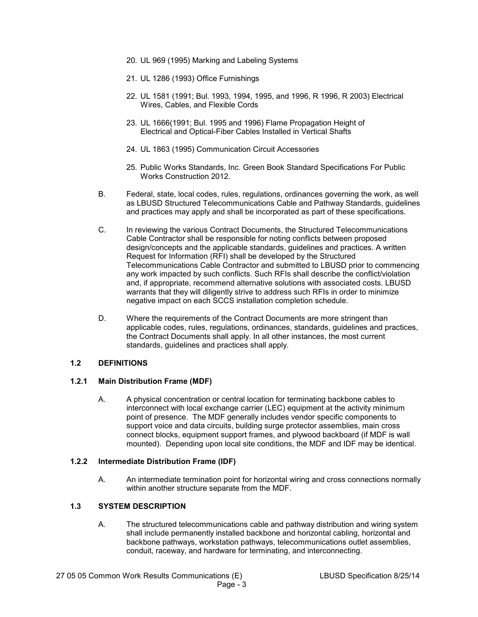- 20. UL 969 (1995) Marking and Labeling Systems
- 21. UL 1286 (1993) Office Furnishings
- 22. UL 1581 (1991; Bul. 1993, 1994, 1995, and 1996, R 1996, R 2003) Electrical Wires, Cables, and Flexible Cords
- 23. UL 1666(1991; Bul. 1995 and 1996) Flame Propagation Height of Electrical and Optical-Fiber Cables Installed in Vertical Shafts
- 24. UL 1863 (1995) Communication Circuit Accessories
- 25. Public Works Standards, Inc. Green Book Standard Specifications For Public Works Construction 2012.
- B. Federal, state, local codes, rules, regulations, ordinances governing the work, as well as LBUSD Structured Telecommunications Cable and Pathway Standards, guidelines and practices may apply and shall be incorporated as part of these specifications.
- C. In reviewing the various Contract Documents, the Structured Telecommunications Cable Contractor shall be responsible for noting conflicts between proposed design/concepts and the applicable standards, guidelines and practices. A written Request for Information (RFI) shall be developed by the Structured Telecommunications Cable Contractor and submitted to LBUSD prior to commencing any work impacted by such conflicts. Such RFIs shall describe the conflict/violation and, if appropriate, recommend alternative solutions with associated costs. LBUSD warrants that they will diligently strive to address such RFIs in order to minimize negative impact on each SCCS installation completion schedule.
- D. Where the requirements of the Contract Documents are more stringent than applicable codes, rules, regulations, ordinances, standards, guidelines and practices, the Contract Documents shall apply. In all other instances, the most current standards, guidelines and practices shall apply.

## **1.2 DEFINITIONS**

## **1.2.1 Main Distribution Frame (MDF)**

A. A physical concentration or central location for terminating backbone cables to interconnect with local exchange carrier (LEC) equipment at the activity minimum point of presence. The MDF generally includes vendor specific components to support voice and data circuits, building surge protector assemblies, main cross connect blocks, equipment support frames, and plywood backboard (if MDF is wall mounted). Depending upon local site conditions, the MDF and IDF may be identical.

## **1.2.2 Intermediate Distribution Frame (IDF)**

A. An intermediate termination point for horizontal wiring and cross connections normally within another structure separate from the MDF.

## **1.3 SYSTEM DESCRIPTION**

A. The structured telecommunications cable and pathway distribution and wiring system shall include permanently installed backbone and horizontal cabling, horizontal and backbone pathways, workstation pathways, telecommunications outlet assemblies, conduit, raceway, and hardware for terminating, and interconnecting.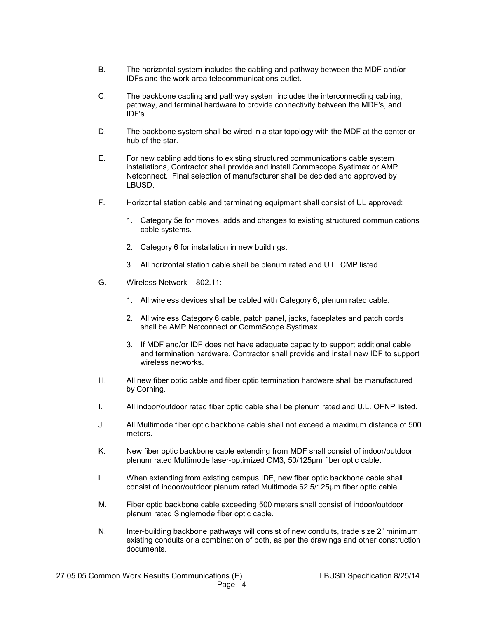- B. The horizontal system includes the cabling and pathway between the MDF and/or IDFs and the work area telecommunications outlet.
- C. The backbone cabling and pathway system includes the interconnecting cabling, pathway, and terminal hardware to provide connectivity between the MDF's, and IDF's.
- D. The backbone system shall be wired in a star topology with the MDF at the center or hub of the star.
- E. For new cabling additions to existing structured communications cable system installations, Contractor shall provide and install Commscope Systimax or AMP Netconnect. Final selection of manufacturer shall be decided and approved by LBUSD.
- F. Horizontal station cable and terminating equipment shall consist of UL approved:
	- 1. Category 5e for moves, adds and changes to existing structured communications cable systems.
	- 2. Category 6 for installation in new buildings.
	- 3. All horizontal station cable shall be plenum rated and U.L. CMP listed.
- G. Wireless Network 802.11:
	- 1. All wireless devices shall be cabled with Category 6, plenum rated cable.
	- 2. All wireless Category 6 cable, patch panel, jacks, faceplates and patch cords shall be AMP Netconnect or CommScope Systimax.
	- 3. If MDF and/or IDF does not have adequate capacity to support additional cable and termination hardware, Contractor shall provide and install new IDF to support wireless networks.
- H. All new fiber optic cable and fiber optic termination hardware shall be manufactured by Corning.
- I. All indoor/outdoor rated fiber optic cable shall be plenum rated and U.L. OFNP listed.
- J. All Multimode fiber optic backbone cable shall not exceed a maximum distance of 500 meters.
- K. New fiber optic backbone cable extending from MDF shall consist of indoor/outdoor plenum rated Multimode laser-optimized OM3, 50/125µm fiber optic cable.
- L. When extending from existing campus IDF, new fiber optic backbone cable shall consist of indoor/outdoor plenum rated Multimode 62.5/125µm fiber optic cable.
- M. Fiber optic backbone cable exceeding 500 meters shall consist of indoor/outdoor plenum rated Singlemode fiber optic cable.
- N. Inter-building backbone pathways will consist of new conduits, trade size 2" minimum, existing conduits or a combination of both, as per the drawings and other construction documents.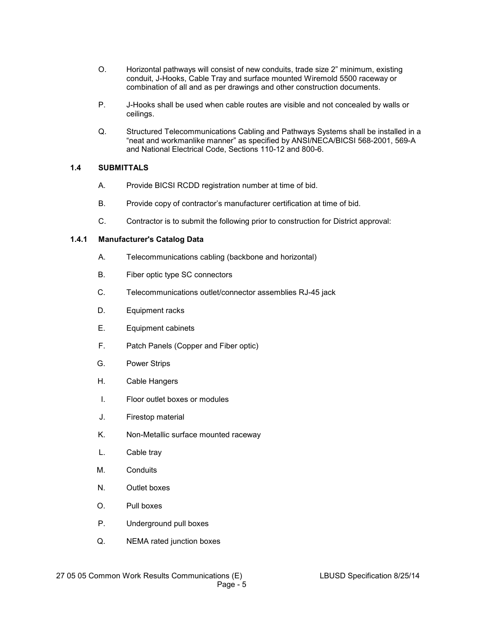- O. Horizontal pathways will consist of new conduits, trade size 2" minimum, existing conduit, J-Hooks, Cable Tray and surface mounted Wiremold 5500 raceway or combination of all and as per drawings and other construction documents.
- P. J-Hooks shall be used when cable routes are visible and not concealed by walls or ceilings.
- Q. Structured Telecommunications Cabling and Pathways Systems shall be installed in a "neat and workmanlike manner" as specified by ANSI/NECA/BICSI 568-2001, 569-A and National Electrical Code, Sections 110-12 and 800-6.

#### **1.4 SUBMITTALS**

- A. Provide BICSI RCDD registration number at time of bid.
- B. Provide copy of contractor's manufacturer certification at time of bid.
- C. Contractor is to submit the following prior to construction for District approval:

#### **1.4.1 Manufacturer's Catalog Data**

- A. Telecommunications cabling (backbone and horizontal)
- B. Fiber optic type SC connectors
- C. Telecommunications outlet/connector assemblies RJ-45 jack
- D. Equipment racks
- E. Equipment cabinets
- F. Patch Panels (Copper and Fiber optic)
- G. Power Strips
- H. Cable Hangers
- I. Floor outlet boxes or modules
- J. Firestop material
- K. Non-Metallic surface mounted raceway
- L. Cable tray
- M. Conduits
- N. Outlet boxes
- O. Pull boxes
- P. Underground pull boxes
- Q. NEMA rated junction boxes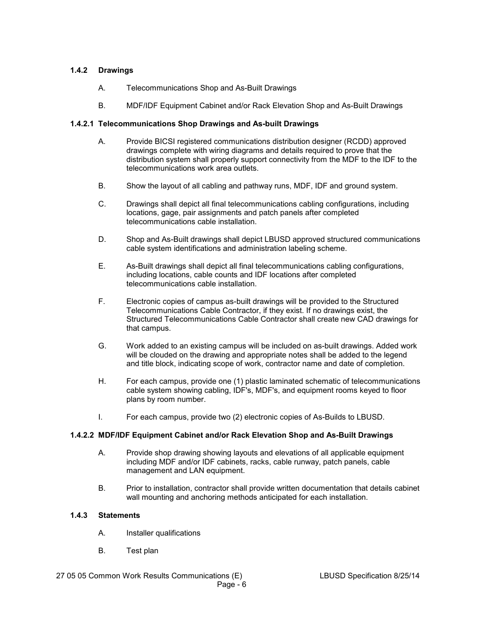## **1.4.2 Drawings**

- A. Telecommunications Shop and As-Built Drawings
- B. MDF/IDF Equipment Cabinet and/or Rack Elevation Shop and As-Built Drawings

## **1.4.2.1 Telecommunications Shop Drawings and As-built Drawings**

- A. Provide BICSI registered communications distribution designer (RCDD) approved drawings complete with wiring diagrams and details required to prove that the distribution system shall properly support connectivity from the MDF to the IDF to the telecommunications work area outlets.
- B. Show the layout of all cabling and pathway runs, MDF, IDF and ground system.
- C. Drawings shall depict all final telecommunications cabling configurations, including locations, gage, pair assignments and patch panels after completed telecommunications cable installation.
- D. Shop and As-Built drawings shall depict LBUSD approved structured communications cable system identifications and administration labeling scheme.
- E. As-Built drawings shall depict all final telecommunications cabling configurations, including locations, cable counts and IDF locations after completed telecommunications cable installation.
- F. Electronic copies of campus as-built drawings will be provided to the Structured Telecommunications Cable Contractor, if they exist. If no drawings exist, the Structured Telecommunications Cable Contractor shall create new CAD drawings for that campus.
- G. Work added to an existing campus will be included on as-built drawings. Added work will be clouded on the drawing and appropriate notes shall be added to the legend and title block, indicating scope of work, contractor name and date of completion.
- H. For each campus, provide one (1) plastic laminated schematic of telecommunications cable system showing cabling, IDF's, MDF's, and equipment rooms keyed to floor plans by room number.
- I. For each campus, provide two (2) electronic copies of As-Builds to LBUSD.

## **1.4.2.2 MDF/IDF Equipment Cabinet and/or Rack Elevation Shop and As-Built Drawings**

- A. Provide shop drawing showing layouts and elevations of all applicable equipment including MDF and/or IDF cabinets, racks, cable runway, patch panels, cable management and LAN equipment.
- B. Prior to installation, contractor shall provide written documentation that details cabinet wall mounting and anchoring methods anticipated for each installation.

## **1.4.3 Statements**

- A. Installer qualifications
- B. Test plan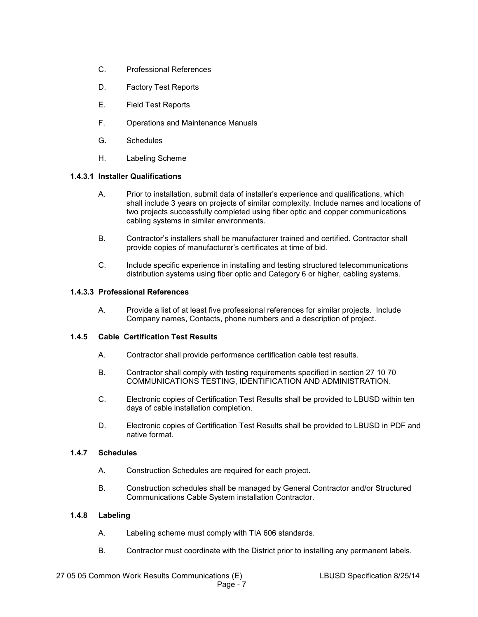- C. Professional References
- D. Factory Test Reports
- E. Field Test Reports
- F. Operations and Maintenance Manuals
- G. Schedules
- H. Labeling Scheme

#### **1.4.3.1 Installer Qualifications**

- A. Prior to installation, submit data of installer's experience and qualifications, which shall include 3 years on projects of similar complexity. Include names and locations of two projects successfully completed using fiber optic and copper communications cabling systems in similar environments.
- B. Contractor's installers shall be manufacturer trained and certified. Contractor shall provide copies of manufacturer's certificates at time of bid.
- C. Include specific experience in installing and testing structured telecommunications distribution systems using fiber optic and Category 6 or higher, cabling systems.

#### **1.4.3.3 Professional References**

A. Provide a list of at least five professional references for similar projects. Include Company names, Contacts, phone numbers and a description of project.

#### **1.4.5 Cable Certification Test Results**

- A. Contractor shall provide performance certification cable test results.
- B. Contractor shall comply with testing requirements specified in section 27 10 70 COMMUNICATIONS TESTING, IDENTIFICATION AND ADMINISTRATION.
- C. Electronic copies of Certification Test Results shall be provided to LBUSD within ten days of cable installation completion.
- D. Electronic copies of Certification Test Results shall be provided to LBUSD in PDF and native format.

#### **1.4.7 Schedules**

- A. Construction Schedules are required for each project.
- B. Construction schedules shall be managed by General Contractor and/or Structured Communications Cable System installation Contractor.

## **1.4.8 Labeling**

- A. Labeling scheme must comply with TIA 606 standards.
- B. Contractor must coordinate with the District prior to installing any permanent labels.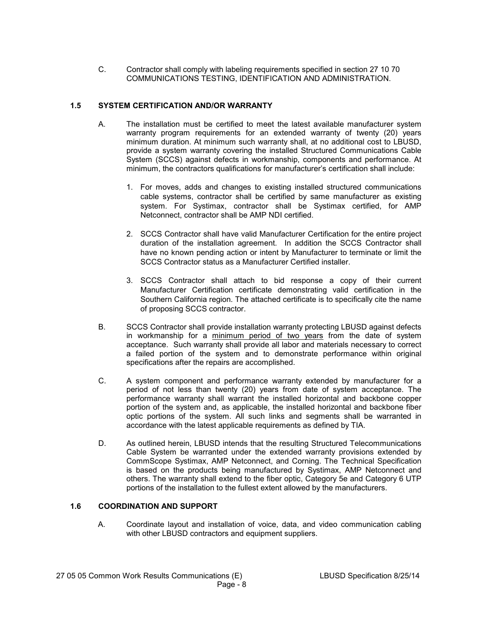C. Contractor shall comply with labeling requirements specified in section 27 10 70 COMMUNICATIONS TESTING, IDENTIFICATION AND ADMINISTRATION.

## **1.5 SYSTEM CERTIFICATION AND/OR WARRANTY**

- A. The installation must be certified to meet the latest available manufacturer system warranty program requirements for an extended warranty of twenty (20) years minimum duration. At minimum such warranty shall, at no additional cost to LBUSD, provide a system warranty covering the installed Structured Communications Cable System (SCCS) against defects in workmanship, components and performance. At minimum, the contractors qualifications for manufacturer's certification shall include:
	- 1. For moves, adds and changes to existing installed structured communications cable systems, contractor shall be certified by same manufacturer as existing system. For Systimax, contractor shall be Systimax certified, for AMP Netconnect, contractor shall be AMP NDI certified.
	- 2. SCCS Contractor shall have valid Manufacturer Certification for the entire project duration of the installation agreement. In addition the SCCS Contractor shall have no known pending action or intent by Manufacturer to terminate or limit the SCCS Contractor status as a Manufacturer Certified installer.
	- 3. SCCS Contractor shall attach to bid response a copy of their current Manufacturer Certification certificate demonstrating valid certification in the Southern California region. The attached certificate is to specifically cite the name of proposing SCCS contractor.
- B. SCCS Contractor shall provide installation warranty protecting LBUSD against defects in workmanship for a minimum period of two years from the date of system acceptance. Such warranty shall provide all labor and materials necessary to correct a failed portion of the system and to demonstrate performance within original specifications after the repairs are accomplished.
- C. A system component and performance warranty extended by manufacturer for a period of not less than twenty (20) years from date of system acceptance. The performance warranty shall warrant the installed horizontal and backbone copper portion of the system and, as applicable, the installed horizontal and backbone fiber optic portions of the system. All such links and segments shall be warranted in accordance with the latest applicable requirements as defined by TIA.
- D. As outlined herein, LBUSD intends that the resulting Structured Telecommunications Cable System be warranted under the extended warranty provisions extended by CommScope Systimax, AMP Netconnect, and Corning. The Technical Specification is based on the products being manufactured by Systimax, AMP Netconnect and others. The warranty shall extend to the fiber optic, Category 5e and Category 6 UTP portions of the installation to the fullest extent allowed by the manufacturers.

#### **1.6 COORDINATION AND SUPPORT**

A. Coordinate layout and installation of voice, data, and video communication cabling with other LBUSD contractors and equipment suppliers.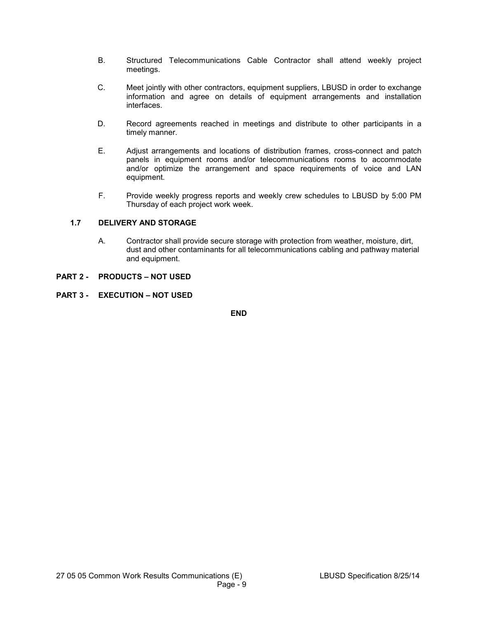- B. Structured Telecommunications Cable Contractor shall attend weekly project meetings.
- C. Meet jointly with other contractors, equipment suppliers, LBUSD in order to exchange information and agree on details of equipment arrangements and installation interfaces.
- D. Record agreements reached in meetings and distribute to other participants in a timely manner.
- E. Adjust arrangements and locations of distribution frames, cross-connect and patch panels in equipment rooms and/or telecommunications rooms to accommodate and/or optimize the arrangement and space requirements of voice and LAN equipment.
- F. Provide weekly progress reports and weekly crew schedules to LBUSD by 5:00 PM Thursday of each project work week.

## **1.7 DELIVERY AND STORAGE**

A. Contractor shall provide secure storage with protection from weather, moisture, dirt, dust and other contaminants for all telecommunications cabling and pathway material and equipment.

#### **PART 2 - PRODUCTS – NOT USED**

**PART 3 - EXECUTION – NOT USED** 

**END**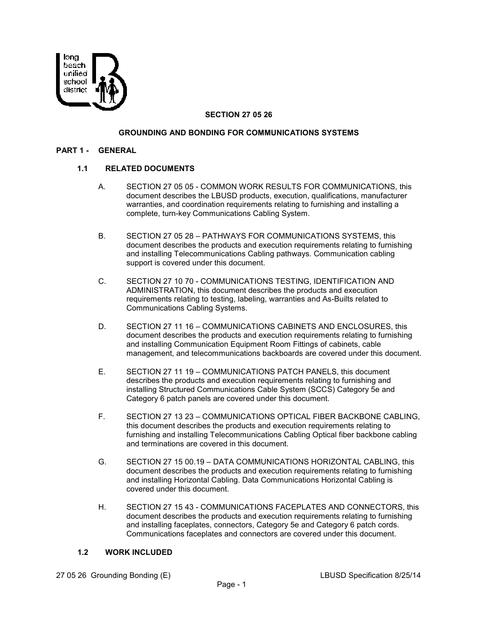

#### **SECTION 27 05 26**

#### **GROUNDING AND BONDING FOR COMMUNICATIONS SYSTEMS**

#### **PART 1 - GENERAL**

#### **1.1 RELATED DOCUMENTS**

- A. SECTION 27 05 05 COMMON WORK RESULTS FOR COMMUNICATIONS, this document describes the LBUSD products, execution, qualifications, manufacturer warranties, and coordination requirements relating to furnishing and installing a complete, turn-key Communications Cabling System.
- B. SECTION 27 05 28 PATHWAYS FOR COMMUNICATIONS SYSTEMS, this document describes the products and execution requirements relating to furnishing and installing Telecommunications Cabling pathways. Communication cabling support is covered under this document.
- C. SECTION 27 10 70 COMMUNICATIONS TESTING, IDENTIFICATION AND ADMINISTRATION, this document describes the products and execution requirements relating to testing, labeling, warranties and As-Builts related to Communications Cabling Systems.
- D. SECTION 27 11 16 COMMUNICATIONS CABINETS AND ENCLOSURES, this document describes the products and execution requirements relating to furnishing and installing Communication Equipment Room Fittings of cabinets, cable management, and telecommunications backboards are covered under this document.
- E. SECTION 27 11 19 COMMUNICATIONS PATCH PANELS, this document describes the products and execution requirements relating to furnishing and installing Structured Communications Cable System (SCCS) Category 5e and Category 6 patch panels are covered under this document.
- F. SECTION 27 13 23 COMMUNICATIONS OPTICAL FIBER BACKBONE CABLING, this document describes the products and execution requirements relating to furnishing and installing Telecommunications Cabling Optical fiber backbone cabling and terminations are covered in this document.
- G. SECTION 27 15 00.19 DATA COMMUNICATIONS HORIZONTAL CABLING, this document describes the products and execution requirements relating to furnishing and installing Horizontal Cabling. Data Communications Horizontal Cabling is covered under this document.
- H. SECTION 27 15 43 COMMUNICATIONS FACEPLATES AND CONNECTORS, this document describes the products and execution requirements relating to furnishing and installing faceplates, connectors, Category 5e and Category 6 patch cords. Communications faceplates and connectors are covered under this document.

#### **1.2 WORK INCLUDED**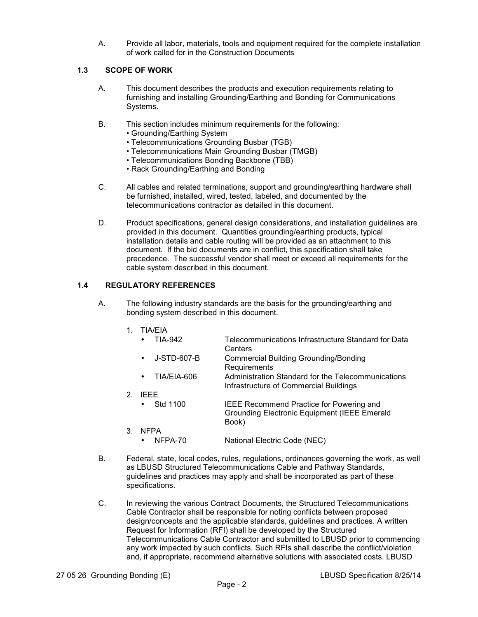A. Provide all labor, materials, tools and equipment required for the complete installation of work called for in the Construction Documents

#### **1.3 SCOPE OF WORK**

- A. This document describes the products and execution requirements relating to furnishing and installing Grounding/Earthing and Bonding for Communications Systems.
- B. This section includes minimum requirements for the following:
	- Grounding/Earthing System
	- Telecommunications Grounding Busbar (TGB)
	- Telecommunications Main Grounding Busbar (TMGB)
	- Telecommunications Bonding Backbone (TBB)
	- Rack Grounding/Earthing and Bonding
- C. All cables and related terminations, support and grounding/earthing hardware shall be furnished, installed, wired, tested, labeled, and documented by the telecommunications contractor as detailed in this document.
- D. Product specifications, general design considerations, and installation guidelines are provided in this document. Quantities grounding/earthing products, typical installation details and cable routing will be provided as an attachment to this document. If the bid documents are in conflict, this specification shall take precedence. The successful vendor shall meet or exceed all requirements for the cable system described in this document.

## **1.4 REGULATORY REFERENCES**

- A. The following industry standards are the basis for the grounding/earthing and bonding system described in this document.
	- 1. TIA/EIA
		- TIA-942 Telecommunications Infrastructure Standard for Data **Centers**
		- J-STD-607-B Commercial Building Grounding/Bonding Requirements
		- TIA/EIA-606 Administration Standard for the Telecommunications Infrastructure of Commercial Buildings
	- 2. IEEE<br>
	Std 1100
		- Std 1100 **IEEE Recommend Practice for Powering and**  Grounding Electronic Equipment (IEEE Emerald Book)
	- 3. NFPA • NFPA-70 National Electric Code (NEC)
- B. Federal, state, local codes, rules, regulations, ordinances governing the work, as well as LBUSD Structured Telecommunications Cable and Pathway Standards, guidelines and practices may apply and shall be incorporated as part of these specifications.
- C. In reviewing the various Contract Documents, the Structured Telecommunications Cable Contractor shall be responsible for noting conflicts between proposed design/concepts and the applicable standards, guidelines and practices. A written Request for Information (RFI) shall be developed by the Structured Telecommunications Cable Contractor and submitted to LBUSD prior to commencing any work impacted by such conflicts. Such RFIs shall describe the conflict/violation and, if appropriate, recommend alternative solutions with associated costs. LBUSD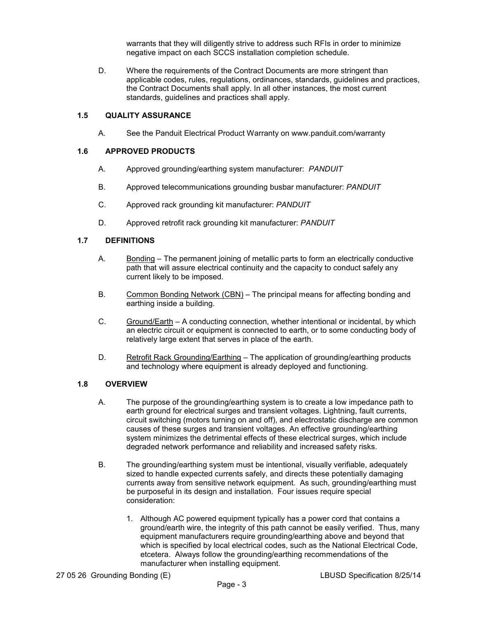warrants that they will diligently strive to address such RFIs in order to minimize negative impact on each SCCS installation completion schedule.

D. Where the requirements of the Contract Documents are more stringent than applicable codes, rules, regulations, ordinances, standards, guidelines and practices, the Contract Documents shall apply. In all other instances, the most current standards, guidelines and practices shall apply.

#### **1.5 QUALITY ASSURANCE**

A. See the Panduit Electrical Product Warranty on www.panduit.com/warranty

#### **1.6 APPROVED PRODUCTS**

- A. Approved grounding/earthing system manufacturer: *PANDUIT*
- B. Approved telecommunications grounding busbar manufacturer: *PANDUIT*
- C. Approved rack grounding kit manufacturer: *PANDUIT*
- D. Approved retrofit rack grounding kit manufacturer: *PANDUIT*

#### **1.7 DEFINITIONS**

- A. Bonding The permanent joining of metallic parts to form an electrically conductive path that will assure electrical continuity and the capacity to conduct safely any current likely to be imposed.
- B. Common Bonding Network (CBN) The principal means for affecting bonding and earthing inside a building.
- C. Ground/Earth A conducting connection, whether intentional or incidental, by which an electric circuit or equipment is connected to earth, or to some conducting body of relatively large extent that serves in place of the earth.
- D. Retrofit Rack Grounding/Earthing The application of grounding/earthing products and technology where equipment is already deployed and functioning.

## **1.8 OVERVIEW**

- A. The purpose of the grounding/earthing system is to create a low impedance path to earth ground for electrical surges and transient voltages. Lightning, fault currents, circuit switching (motors turning on and off), and electrostatic discharge are common causes of these surges and transient voltages. An effective grounding/earthing system minimizes the detrimental effects of these electrical surges, which include degraded network performance and reliability and increased safety risks.
- B. The grounding/earthing system must be intentional, visually verifiable, adequately sized to handle expected currents safely, and directs these potentially damaging currents away from sensitive network equipment. As such, grounding/earthing must be purposeful in its design and installation. Four issues require special consideration:
	- 1. Although AC powered equipment typically has a power cord that contains a ground/earth wire, the integrity of this path cannot be easily verified. Thus, many equipment manufacturers require grounding/earthing above and beyond that which is specified by local electrical codes, such as the National Electrical Code, etcetera. Always follow the grounding/earthing recommendations of the manufacturer when installing equipment.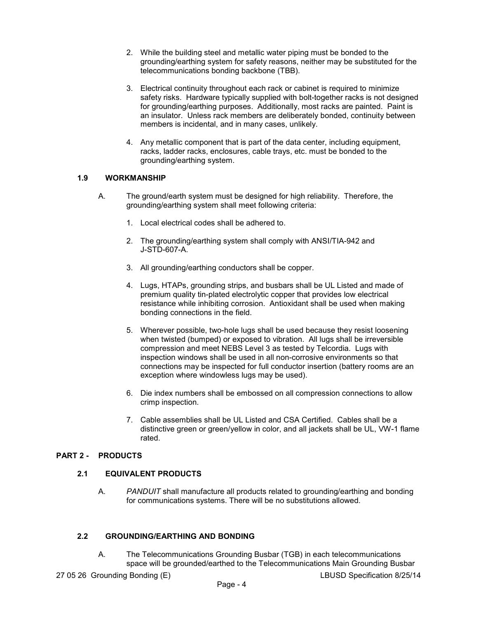- 2. While the building steel and metallic water piping must be bonded to the grounding/earthing system for safety reasons, neither may be substituted for the telecommunications bonding backbone (TBB).
- 3. Electrical continuity throughout each rack or cabinet is required to minimize safety risks. Hardware typically supplied with bolt-together racks is not designed for grounding/earthing purposes. Additionally, most racks are painted. Paint is an insulator. Unless rack members are deliberately bonded, continuity between members is incidental, and in many cases, unlikely.
- 4. Any metallic component that is part of the data center, including equipment, racks, ladder racks, enclosures, cable trays, etc. must be bonded to the grounding/earthing system.

## **1.9 WORKMANSHIP**

- A. The ground/earth system must be designed for high reliability. Therefore, the grounding/earthing system shall meet following criteria:
	- 1. Local electrical codes shall be adhered to.
	- 2. The grounding/earthing system shall comply with ANSI/TIA-942 and J-STD-607-A.
	- 3. All grounding/earthing conductors shall be copper.
	- 4. Lugs, HTAPs, grounding strips, and busbars shall be UL Listed and made of premium quality tin-plated electrolytic copper that provides low electrical resistance while inhibiting corrosion. Antioxidant shall be used when making bonding connections in the field.
	- 5. Wherever possible, two-hole lugs shall be used because they resist loosening when twisted (bumped) or exposed to vibration. All lugs shall be irreversible compression and meet NEBS Level 3 as tested by Telcordia. Lugs with inspection windows shall be used in all non-corrosive environments so that connections may be inspected for full conductor insertion (battery rooms are an exception where windowless lugs may be used).
	- 6. Die index numbers shall be embossed on all compression connections to allow crimp inspection.
	- 7. Cable assemblies shall be UL Listed and CSA Certified. Cables shall be a distinctive green or green/yellow in color, and all jackets shall be UL, VW-1 flame rated.

## **PART 2 - PRODUCTS**

## **2.1 EQUIVALENT PRODUCTS**

A. *PANDUIT* shall manufacture all products related to grounding/earthing and bonding for communications systems. There will be no substitutions allowed.

## **2.2 GROUNDING/EARTHING AND BONDING**

A. The Telecommunications Grounding Busbar (TGB) in each telecommunications space will be grounded/earthed to the Telecommunications Main Grounding Busbar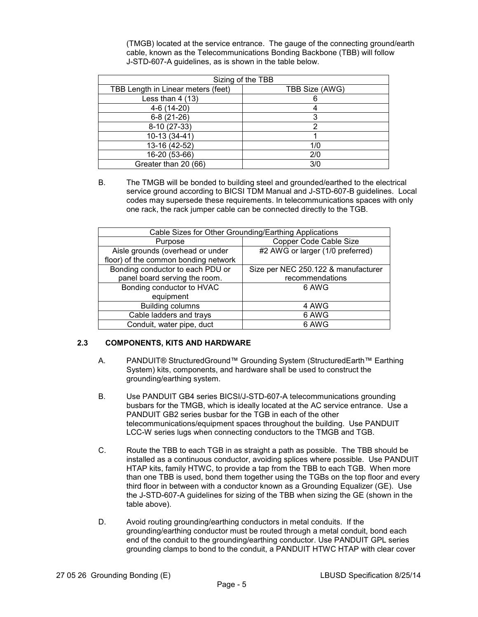(TMGB) located at the service entrance. The gauge of the connecting ground/earth cable, known as the Telecommunications Bonding Backbone (TBB) will follow J-STD-607-A guidelines, as is shown in the table below.

| Sizing of the TBB |  |  |
|-------------------|--|--|
| TBB Size (AWG)    |  |  |
| 6                 |  |  |
|                   |  |  |
| 3                 |  |  |
|                   |  |  |
|                   |  |  |
| 1/0               |  |  |
| 2/0               |  |  |
| 3/0               |  |  |
|                   |  |  |

B. The TMGB will be bonded to building steel and grounded/earthed to the electrical service ground according to BICSI TDM Manual and J-STD-607-B guidelines. Local codes may supersede these requirements. In telecommunications spaces with only one rack, the rack jumper cable can be connected directly to the TGB.

| Cable Sizes for Other Grounding/Earthing Applications |                                     |  |
|-------------------------------------------------------|-------------------------------------|--|
| Purpose                                               | Copper Code Cable Size              |  |
| Aisle grounds (overhead or under                      | #2 AWG or larger (1/0 preferred)    |  |
| floor) of the common bonding network                  |                                     |  |
| Bonding conductor to each PDU or                      | Size per NEC 250.122 & manufacturer |  |
| panel board serving the room.                         | recommendations                     |  |
| Bonding conductor to HVAC                             | 6 AWG                               |  |
| equipment                                             |                                     |  |
| <b>Building columns</b>                               | 4 AWG                               |  |
| Cable ladders and trays                               | 6 AWG                               |  |
| Conduit, water pipe, duct                             | 6 AWG                               |  |

## **2.3 COMPONENTS, KITS AND HARDWARE**

- A. PANDUIT® StructuredGround™ Grounding System (StructuredEarth™ Earthing System) kits, components, and hardware shall be used to construct the grounding/earthing system.
- B. Use PANDUIT GB4 series BICSI/J-STD-607-A telecommunications grounding busbars for the TMGB, which is ideally located at the AC service entrance. Use a PANDUIT GB2 series busbar for the TGB in each of the other telecommunications/equipment spaces throughout the building. Use PANDUIT LCC-W series lugs when connecting conductors to the TMGB and TGB.
- C. Route the TBB to each TGB in as straight a path as possible. The TBB should be installed as a continuous conductor, avoiding splices where possible. Use PANDUIT HTAP kits, family HTWC, to provide a tap from the TBB to each TGB. When more than one TBB is used, bond them together using the TGBs on the top floor and every third floor in between with a conductor known as a Grounding Equalizer (GE). Use the J-STD-607-A guidelines for sizing of the TBB when sizing the GE (shown in the table above).
- D. Avoid routing grounding/earthing conductors in metal conduits. If the grounding/earthing conductor must be routed through a metal conduit, bond each end of the conduit to the grounding/earthing conductor. Use PANDUIT GPL series grounding clamps to bond to the conduit, a PANDUIT HTWC HTAP with clear cover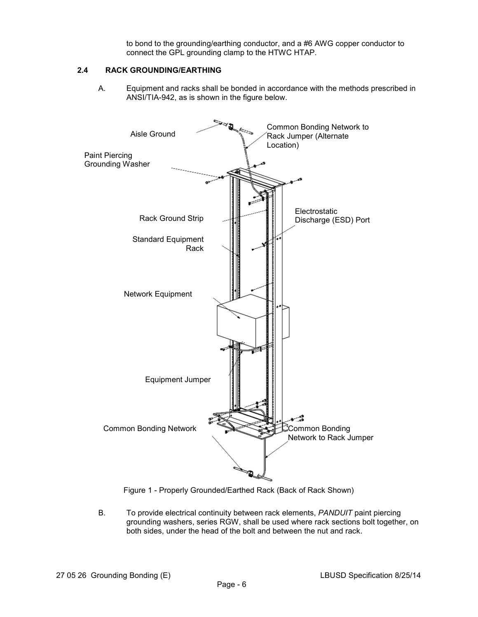to bond to the grounding/earthing conductor, and a #6 AWG copper conductor to connect the GPL grounding clamp to the HTWC HTAP.

## **2.4 RACK GROUNDING/EARTHING**

A. Equipment and racks shall be bonded in accordance with the methods prescribed in ANSI/TIA-942, as is shown in the figure below.





B. To provide electrical continuity between rack elements, *PANDUIT* paint piercing grounding washers, series RGW, shall be used where rack sections bolt together, on both sides, under the head of the bolt and between the nut and rack.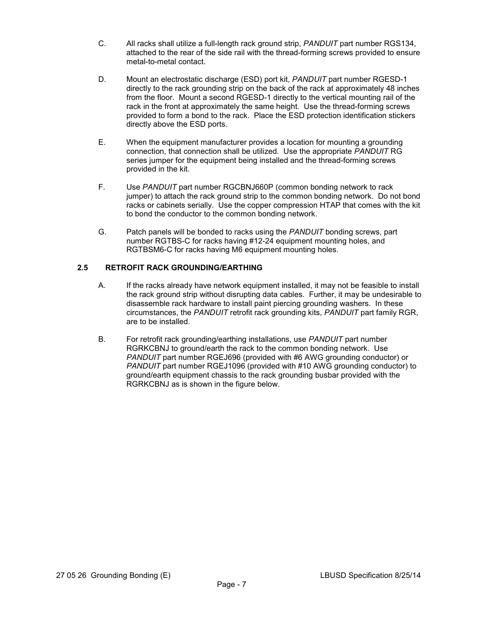- C. All racks shall utilize a full-length rack ground strip, *PANDUIT* part number RGS134, attached to the rear of the side rail with the thread-forming screws provided to ensure metal-to-metal contact.
- D. Mount an electrostatic discharge (ESD) port kit, *PANDUIT* part number RGESD-1 directly to the rack grounding strip on the back of the rack at approximately 48 inches from the floor. Mount a second RGESD-1 directly to the vertical mounting rail of the rack in the front at approximately the same height. Use the thread-forming screws provided to form a bond to the rack. Place the ESD protection identification stickers directly above the ESD ports.
- E. When the equipment manufacturer provides a location for mounting a grounding connection, that connection shall be utilized. Use the appropriate *PANDUIT* RG series jumper for the equipment being installed and the thread-forming screws provided in the kit.
- F. Use *PANDUIT* part number RGCBNJ660P (common bonding network to rack jumper) to attach the rack ground strip to the common bonding network. Do not bond racks or cabinets serially. Use the copper compression HTAP that comes with the kit to bond the conductor to the common bonding network.
- G. Patch panels will be bonded to racks using the *PANDUIT* bonding screws, part number RGTBS-C for racks having #12-24 equipment mounting holes, and RGTBSM6-C for racks having M6 equipment mounting holes.

## **2.5 RETROFIT RACK GROUNDING/EARTHING**

- A. If the racks already have network equipment installed, it may not be feasible to install the rack ground strip without disrupting data cables. Further, it may be undesirable to disassemble rack hardware to install paint piercing grounding washers. In these circumstances, the *PANDUIT* retrofit rack grounding kits, *PANDUIT* part family RGR, are to be installed.
- B. For retrofit rack grounding/earthing installations, use *PANDUIT* part number RGRKCBNJ to ground/earth the rack to the common bonding network. Use *PANDUIT* part number RGEJ696 (provided with #6 AWG grounding conductor) or *PANDUIT* part number RGEJ1096 (provided with #10 AWG grounding conductor) to ground/earth equipment chassis to the rack grounding busbar provided with the RGRKCBNJ as is shown in the figure below.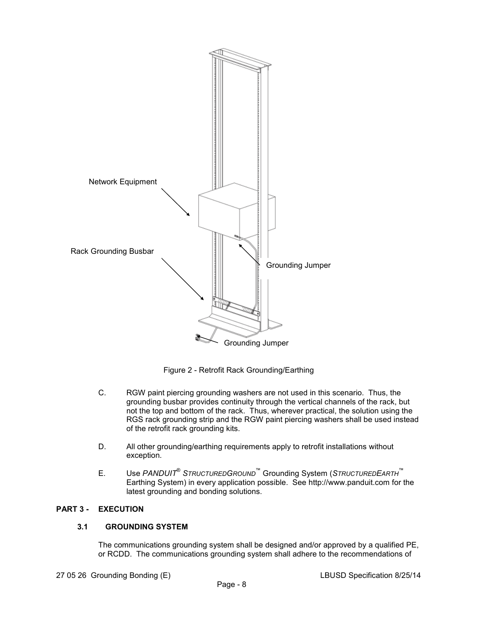

Figure 2 - Retrofit Rack Grounding/Earthing

- C. RGW paint piercing grounding washers are not used in this scenario. Thus, the grounding busbar provides continuity through the vertical channels of the rack, but not the top and bottom of the rack. Thus, wherever practical, the solution using the RGS rack grounding strip and the RGW paint piercing washers shall be used instead of the retrofit rack grounding kits.
- D. All other grounding/earthing requirements apply to retrofit installations without exception.
- E. Use *PANDUIT*®  *STRUCTUREDGROUND*™ Grounding System (*STRUCTUREDEARTH*™ Earthing System) in every application possible. See http://www.panduit.com for the latest grounding and bonding solutions.

## **PART 3 - EXECUTION**

## **3.1 GROUNDING SYSTEM**

The communications grounding system shall be designed and/or approved by a qualified PE, or RCDD. The communications grounding system shall adhere to the recommendations of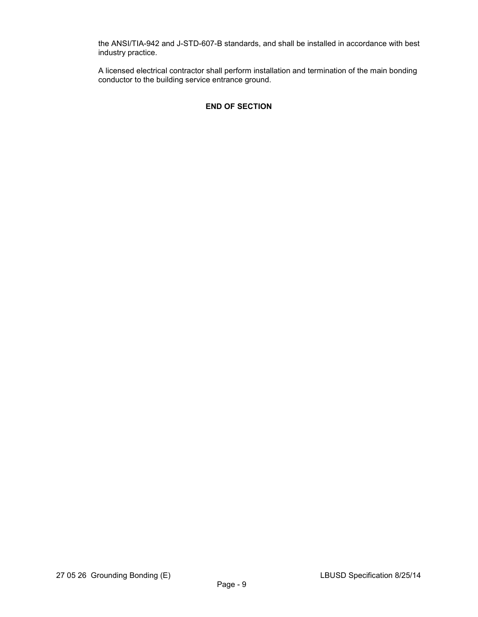the ANSI/TIA-942 and J-STD-607-B standards, and shall be installed in accordance with best industry practice.

A licensed electrical contractor shall perform installation and termination of the main bonding conductor to the building service entrance ground.

## **END OF SECTION**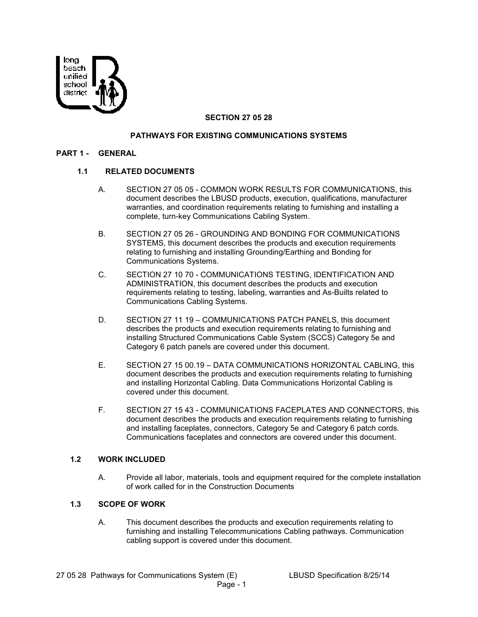

## **SECTION 27 05 28**

#### **PATHWAYS FOR EXISTING COMMUNICATIONS SYSTEMS**

#### **PART 1 - GENERAL**

#### **1.1 RELATED DOCUMENTS**

- A. SECTION 27 05 05 COMMON WORK RESULTS FOR COMMUNICATIONS, this document describes the LBUSD products, execution, qualifications, manufacturer warranties, and coordination requirements relating to furnishing and installing a complete, turn-key Communications Cabling System.
- B. SECTION 27 05 26 GROUNDING AND BONDING FOR COMMUNICATIONS SYSTEMS, this document describes the products and execution requirements relating to furnishing and installing Grounding/Earthing and Bonding for Communications Systems.
- C. SECTION 27 10 70 COMMUNICATIONS TESTING, IDENTIFICATION AND ADMINISTRATION, this document describes the products and execution requirements relating to testing, labeling, warranties and As-Builts related to Communications Cabling Systems.
- D. SECTION 27 11 19 COMMUNICATIONS PATCH PANELS, this document describes the products and execution requirements relating to furnishing and installing Structured Communications Cable System (SCCS) Category 5e and Category 6 patch panels are covered under this document.
- E. SECTION 27 15 00.19 DATA COMMUNICATIONS HORIZONTAL CABLING, this document describes the products and execution requirements relating to furnishing and installing Horizontal Cabling. Data Communications Horizontal Cabling is covered under this document.
- F. SECTION 27 15 43 COMMUNICATIONS FACEPLATES AND CONNECTORS, this document describes the products and execution requirements relating to furnishing and installing faceplates, connectors, Category 5e and Category 6 patch cords. Communications faceplates and connectors are covered under this document.

#### **1.2 WORK INCLUDED**

A. Provide all labor, materials, tools and equipment required for the complete installation of work called for in the Construction Documents

#### **1.3 SCOPE OF WORK**

A. This document describes the products and execution requirements relating to furnishing and installing Telecommunications Cabling pathways. Communication cabling support is covered under this document.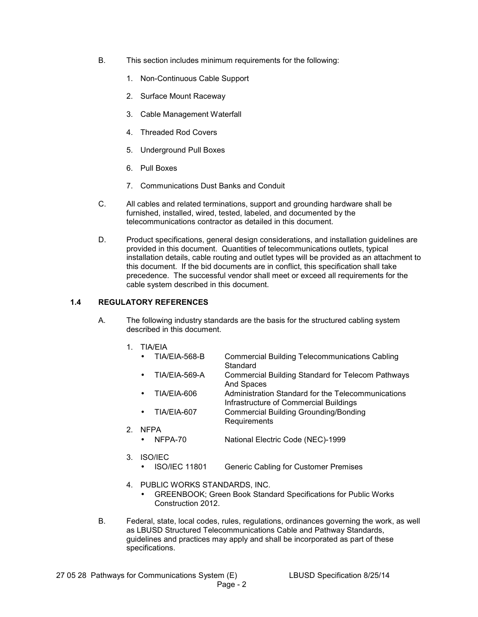- B. This section includes minimum requirements for the following:
	- 1. Non-Continuous Cable Support
	- 2. Surface Mount Raceway
	- 3. Cable Management Waterfall
	- 4. Threaded Rod Covers
	- 5. Underground Pull Boxes
	- 6. Pull Boxes
	- 7. Communications Dust Banks and Conduit
- C. All cables and related terminations, support and grounding hardware shall be furnished, installed, wired, tested, labeled, and documented by the telecommunications contractor as detailed in this document.
- D. Product specifications, general design considerations, and installation guidelines are provided in this document. Quantities of telecommunications outlets, typical installation details, cable routing and outlet types will be provided as an attachment to this document. If the bid documents are in conflict, this specification shall take precedence. The successful vendor shall meet or exceed all requirements for the cable system described in this document.

## **1.4 REGULATORY REFERENCES**

- A. The following industry standards are the basis for the structured cabling system described in this document.
	- 1. TIA/EIA
		- TIA/EIA-568-B Commercial Building Telecommunications Cabling **Standard**
		- TIA/EIA-569-A Commercial Building Standard for Telecom Pathways And Spaces
		- TIA/EIA-606 Administration Standard for the Telecommunications Infrastructure of Commercial Buildings
		- TIA/EIA-607 Commercial Building Grounding/Bonding Requirements
	- 2. NFPA
		- NFPA-70 National Electric Code (NEC)-1999
	- 3. ISO/IEC
		- ISO/IEC 11801 Generic Cabling for Customer Premises
	- 4. PUBLIC WORKS STANDARDS, INC.
		- GREENBOOK; Green Book Standard Specifications for Public Works Construction 2012.
- B. Federal, state, local codes, rules, regulations, ordinances governing the work, as well as LBUSD Structured Telecommunications Cable and Pathway Standards, guidelines and practices may apply and shall be incorporated as part of these specifications.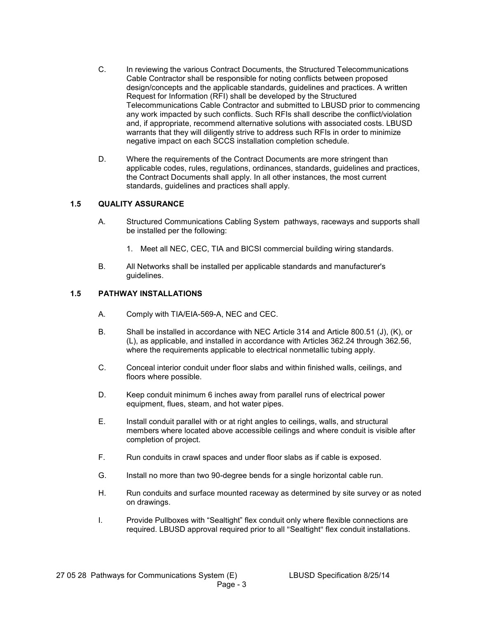- C. In reviewing the various Contract Documents, the Structured Telecommunications Cable Contractor shall be responsible for noting conflicts between proposed design/concepts and the applicable standards, guidelines and practices. A written Request for Information (RFI) shall be developed by the Structured Telecommunications Cable Contractor and submitted to LBUSD prior to commencing any work impacted by such conflicts. Such RFIs shall describe the conflict/violation and, if appropriate, recommend alternative solutions with associated costs. LBUSD warrants that they will diligently strive to address such RFIs in order to minimize negative impact on each SCCS installation completion schedule.
- D. Where the requirements of the Contract Documents are more stringent than applicable codes, rules, regulations, ordinances, standards, guidelines and practices, the Contract Documents shall apply. In all other instances, the most current standards, guidelines and practices shall apply.

## **1.5 QUALITY ASSURANCE**

- A. Structured Communications Cabling System pathways, raceways and supports shall be installed per the following:
	- 1. Meet all NEC, CEC, TIA and BICSI commercial building wiring standards.
- B. All Networks shall be installed per applicable standards and manufacturer's guidelines.

## **1.5 PATHWAY INSTALLATIONS**

- A. Comply with TIA/EIA-569-A, NEC and CEC.
- B. Shall be installed in accordance with NEC Article 314 and Article 800.51 (J), (K), or (L), as applicable, and installed in accordance with Articles 362.24 through 362.56, where the requirements applicable to electrical nonmetallic tubing apply.
- C. Conceal interior conduit under floor slabs and within finished walls, ceilings, and floors where possible.
- D. Keep conduit minimum 6 inches away from parallel runs of electrical power equipment, flues, steam, and hot water pipes.
- E. Install conduit parallel with or at right angles to ceilings, walls, and structural members where located above accessible ceilings and where conduit is visible after completion of project.
- F. Run conduits in crawl spaces and under floor slabs as if cable is exposed.
- G. Install no more than two 90-degree bends for a single horizontal cable run.
- H. Run conduits and surface mounted raceway as determined by site survey or as noted on drawings.
- I. Provide Pullboxes with "Sealtight" flex conduit only where flexible connections are required. LBUSD approval required prior to all "Sealtight" flex conduit installations.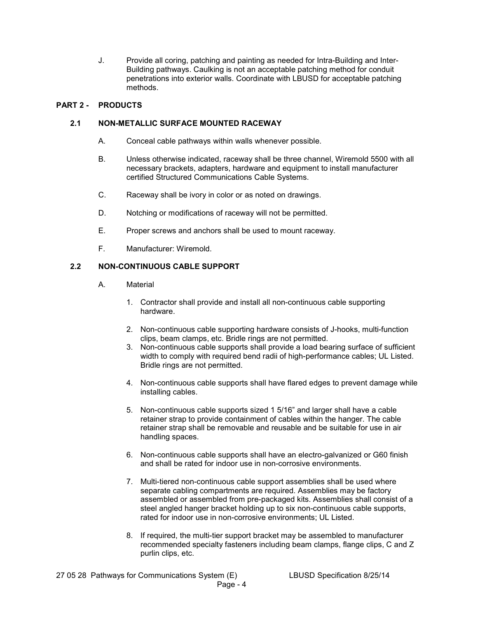J. Provide all coring, patching and painting as needed for Intra-Building and Inter-Building pathways. Caulking is not an acceptable patching method for conduit penetrations into exterior walls. Coordinate with LBUSD for acceptable patching methods.

## **PART 2 - PRODUCTS**

## **2.1 NON-METALLIC SURFACE MOUNTED RACEWAY**

- A. Conceal cable pathways within walls whenever possible.
- B. Unless otherwise indicated, raceway shall be three channel, Wiremold 5500 with all necessary brackets, adapters, hardware and equipment to install manufacturer certified Structured Communications Cable Systems.
- C. Raceway shall be ivory in color or as noted on drawings.
- D. Notching or modifications of raceway will not be permitted.
- E. Proper screws and anchors shall be used to mount raceway.
- F. Manufacturer: Wiremold.

## **2.2 NON-CONTINUOUS CABLE SUPPORT**

- A. Material
	- 1. Contractor shall provide and install all non-continuous cable supporting hardware.
	- 2. Non-continuous cable supporting hardware consists of J-hooks, multi-function clips, beam clamps, etc. Bridle rings are not permitted.
	- 3. Non-continuous cable supports shall provide a load bearing surface of sufficient width to comply with required bend radii of high-performance cables; UL Listed. Bridle rings are not permitted.
	- 4. Non-continuous cable supports shall have flared edges to prevent damage while installing cables.
	- 5. Non-continuous cable supports sized 1 5/16" and larger shall have a cable retainer strap to provide containment of cables within the hanger. The cable retainer strap shall be removable and reusable and be suitable for use in air handling spaces.
	- 6. Non-continuous cable supports shall have an electro-galvanized or G60 finish and shall be rated for indoor use in non-corrosive environments.
	- 7. Multi-tiered non-continuous cable support assemblies shall be used where separate cabling compartments are required. Assemblies may be factory assembled or assembled from pre-packaged kits. Assemblies shall consist of a steel angled hanger bracket holding up to six non-continuous cable supports, rated for indoor use in non-corrosive environments; UL Listed.
	- 8. If required, the multi-tier support bracket may be assembled to manufacturer recommended specialty fasteners including beam clamps, flange clips, C and Z purlin clips, etc.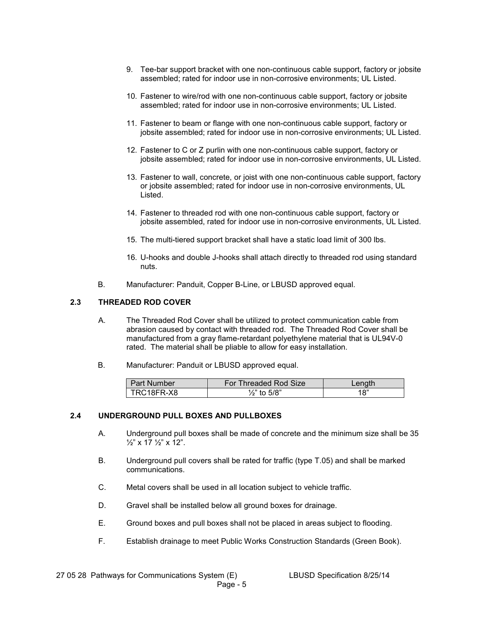- 9. Tee-bar support bracket with one non-continuous cable support, factory or jobsite assembled; rated for indoor use in non-corrosive environments; UL Listed.
- 10. Fastener to wire/rod with one non-continuous cable support, factory or jobsite assembled; rated for indoor use in non-corrosive environments; UL Listed.
- 11. Fastener to beam or flange with one non-continuous cable support, factory or jobsite assembled; rated for indoor use in non-corrosive environments; UL Listed.
- 12. Fastener to C or Z purlin with one non-continuous cable support, factory or jobsite assembled; rated for indoor use in non-corrosive environments, UL Listed.
- 13. Fastener to wall, concrete, or joist with one non-continuous cable support, factory or jobsite assembled; rated for indoor use in non-corrosive environments, UL **Listed**
- 14. Fastener to threaded rod with one non-continuous cable support, factory or jobsite assembled, rated for indoor use in non-corrosive environments, UL Listed.
- 15. The multi-tiered support bracket shall have a static load limit of 300 lbs.
- 16. U-hooks and double J-hooks shall attach directly to threaded rod using standard nuts.
- B. Manufacturer: Panduit, Copper B-Line, or LBUSD approved equal.

#### **2.3 THREADED ROD COVER**

- A. The Threaded Rod Cover shall be utilized to protect communication cable from abrasion caused by contact with threaded rod. The Threaded Rod Cover shall be manufactured from a gray flame-retardant polyethylene material that is UL94V-0 rated. The material shall be pliable to allow for easy installation.
- B. Manufacturer: Panduit or LBUSD approved equal.

| <b>Part Number</b> | For Threaded Rod Size   | $\mathsf{Lenath}^-$ |
|--------------------|-------------------------|---------------------|
| TRC18FR-X8         | $\frac{1}{2}$ " to 5/8" | 18"                 |

## **2.4 UNDERGROUND PULL BOXES AND PULLBOXES**

- A. Underground pull boxes shall be made of concrete and the minimum size shall be 35  $\frac{1}{2}$ " x 17  $\frac{1}{2}$ " x 12".
- B. Underground pull covers shall be rated for traffic (type T.05) and shall be marked communications.
- C. Metal covers shall be used in all location subject to vehicle traffic.
- D. Gravel shall be installed below all ground boxes for drainage.
- E. Ground boxes and pull boxes shall not be placed in areas subject to flooding.
- F. Establish drainage to meet Public Works Construction Standards (Green Book).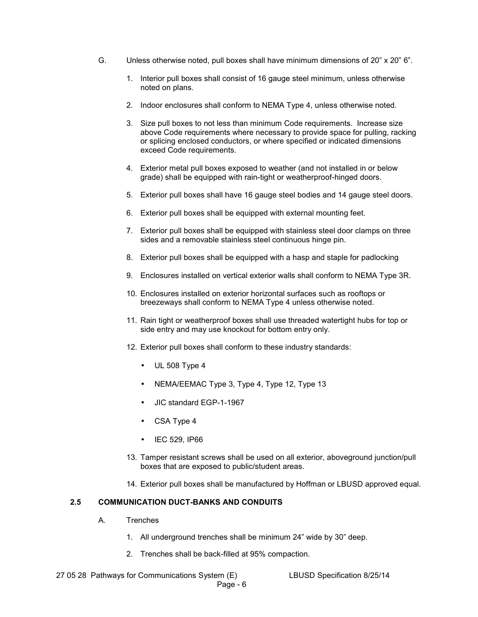- G. Unless otherwise noted, pull boxes shall have minimum dimensions of 20" x 20" 6".
	- 1. Interior pull boxes shall consist of 16 gauge steel minimum, unless otherwise noted on plans.
	- 2. Indoor enclosures shall conform to NEMA Type 4, unless otherwise noted.
	- 3. Size pull boxes to not less than minimum Code requirements. Increase size above Code requirements where necessary to provide space for pulling, racking or splicing enclosed conductors, or where specified or indicated dimensions exceed Code requirements.
	- 4. Exterior metal pull boxes exposed to weather (and not installed in or below grade) shall be equipped with rain-tight or weatherproof-hinged doors.
	- 5. Exterior pull boxes shall have 16 gauge steel bodies and 14 gauge steel doors.
	- 6. Exterior pull boxes shall be equipped with external mounting feet.
	- 7. Exterior pull boxes shall be equipped with stainless steel door clamps on three sides and a removable stainless steel continuous hinge pin.
	- 8. Exterior pull boxes shall be equipped with a hasp and staple for padlocking
	- 9. Enclosures installed on vertical exterior walls shall conform to NEMA Type 3R.
	- 10. Enclosures installed on exterior horizontal surfaces such as rooftops or breezeways shall conform to NEMA Type 4 unless otherwise noted.
	- 11. Rain tight or weatherproof boxes shall use threaded watertight hubs for top or side entry and may use knockout for bottom entry only.
	- 12. Exterior pull boxes shall conform to these industry standards:
		- $\bullet$  UL 508 Type 4
		- NEMA/EEMAC Type 3, Type 4, Type 12, Type 13
		- JIC standard EGP-1-1967
		- CSA Type 4
		- IEC 529, IP66
	- 13. Tamper resistant screws shall be used on all exterior, aboveground junction/pull boxes that are exposed to public/student areas.
	- 14. Exterior pull boxes shall be manufactured by Hoffman or LBUSD approved equal.

## **2.5 COMMUNICATION DUCT-BANKS AND CONDUITS**

- A. Trenches
	- 1. All underground trenches shall be minimum 24" wide by 30" deep.
	- 2. Trenches shall be back-filled at 95% compaction.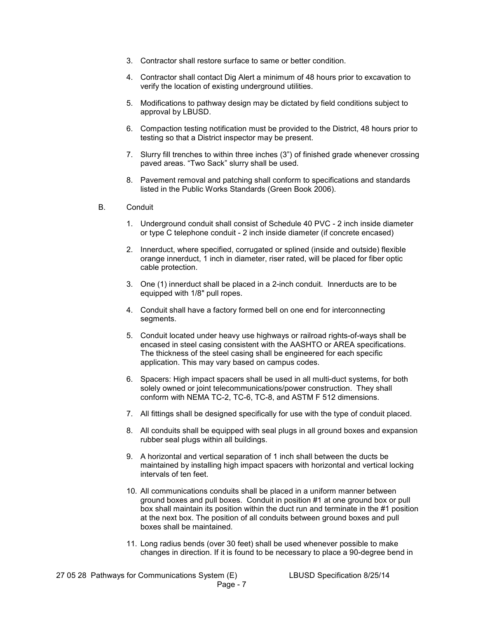- 3. Contractor shall restore surface to same or better condition.
- 4. Contractor shall contact Dig Alert a minimum of 48 hours prior to excavation to verify the location of existing underground utilities.
- 5. Modifications to pathway design may be dictated by field conditions subject to approval by LBUSD.
- 6. Compaction testing notification must be provided to the District, 48 hours prior to testing so that a District inspector may be present.
- 7. Slurry fill trenches to within three inches (3") of finished grade whenever crossing paved areas. "Two Sack" slurry shall be used.
- 8. Pavement removal and patching shall conform to specifications and standards listed in the Public Works Standards (Green Book 2006).
- B. Conduit
	- 1. Underground conduit shall consist of Schedule 40 PVC 2 inch inside diameter or type C telephone conduit - 2 inch inside diameter (if concrete encased)
	- 2. Innerduct, where specified, corrugated or splined (inside and outside) flexible orange innerduct, 1 inch in diameter, riser rated, will be placed for fiber optic cable protection.
	- 3. One (1) innerduct shall be placed in a 2-inch conduit. Innerducts are to be equipped with 1/8" pull ropes.
	- 4. Conduit shall have a factory formed bell on one end for interconnecting segments.
	- 5. Conduit located under heavy use highways or railroad rights-of-ways shall be encased in steel casing consistent with the AASHTO or AREA specifications. The thickness of the steel casing shall be engineered for each specific application. This may vary based on campus codes.
	- 6. Spacers: High impact spacers shall be used in all multi-duct systems, for both solely owned or joint telecommunications/power construction. They shall conform with NEMA TC-2, TC-6, TC-8, and ASTM F 512 dimensions.
	- 7. All fittings shall be designed specifically for use with the type of conduit placed.
	- 8. All conduits shall be equipped with seal plugs in all ground boxes and expansion rubber seal plugs within all buildings.
	- 9. A horizontal and vertical separation of 1 inch shall between the ducts be maintained by installing high impact spacers with horizontal and vertical locking intervals of ten feet.
	- 10. All communications conduits shall be placed in a uniform manner between ground boxes and pull boxes. Conduit in position #1 at one ground box or pull box shall maintain its position within the duct run and terminate in the #1 position at the next box. The position of all conduits between ground boxes and pull boxes shall be maintained.
	- 11. Long radius bends (over 30 feet) shall be used whenever possible to make changes in direction. If it is found to be necessary to place a 90-degree bend in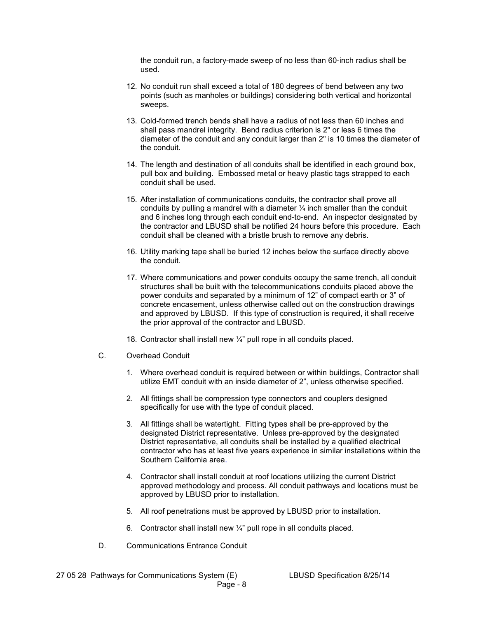the conduit run, a factory-made sweep of no less than 60-inch radius shall be used.

- 12. No conduit run shall exceed a total of 180 degrees of bend between any two points (such as manholes or buildings) considering both vertical and horizontal sweeps.
- 13. Cold-formed trench bends shall have a radius of not less than 60 inches and shall pass mandrel integrity. Bend radius criterion is 2" or less 6 times the diameter of the conduit and any conduit larger than 2" is 10 times the diameter of the conduit.
- 14. The length and destination of all conduits shall be identified in each ground box, pull box and building. Embossed metal or heavy plastic tags strapped to each conduit shall be used.
- 15. After installation of communications conduits, the contractor shall prove all conduits by pulling a mandrel with a diameter  $\frac{1}{4}$  inch smaller than the conduit and 6 inches long through each conduit end-to-end. An inspector designated by the contractor and LBUSD shall be notified 24 hours before this procedure. Each conduit shall be cleaned with a bristle brush to remove any debris.
- 16. Utility marking tape shall be buried 12 inches below the surface directly above the conduit.
- 17. Where communications and power conduits occupy the same trench, all conduit structures shall be built with the telecommunications conduits placed above the power conduits and separated by a minimum of 12" of compact earth or 3" of concrete encasement, unless otherwise called out on the construction drawings and approved by LBUSD. If this type of construction is required, it shall receive the prior approval of the contractor and LBUSD.
- 18. Contractor shall install new ¼" pull rope in all conduits placed.
- C. Overhead Conduit
	- 1. Where overhead conduit is required between or within buildings, Contractor shall utilize EMT conduit with an inside diameter of 2", unless otherwise specified.
	- 2. All fittings shall be compression type connectors and couplers designed specifically for use with the type of conduit placed.
	- 3. All fittings shall be watertight. Fitting types shall be pre-approved by the designated District representative. Unless pre-approved by the designated District representative, all conduits shall be installed by a qualified electrical contractor who has at least five years experience in similar installations within the Southern California area.
	- 4. Contractor shall install conduit at roof locations utilizing the current District approved methodology and process. All conduit pathways and locations must be approved by LBUSD prior to installation.
	- 5. All roof penetrations must be approved by LBUSD prior to installation.
	- 6. Contractor shall install new  $\frac{1}{4}$ " pull rope in all conduits placed.
- D. Communications Entrance Conduit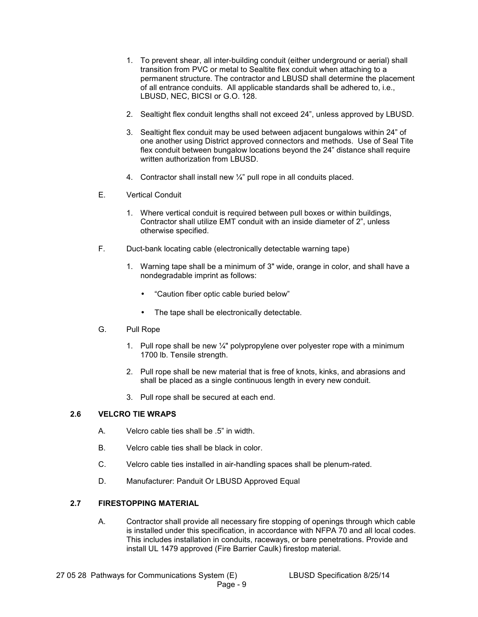- 1. To prevent shear, all inter-building conduit (either underground or aerial) shall transition from PVC or metal to Sealtite flex conduit when attaching to a permanent structure. The contractor and LBUSD shall determine the placement of all entrance conduits. All applicable standards shall be adhered to, i.e., LBUSD, NEC, BICSI or G.O. 128.
- 2. Sealtight flex conduit lengths shall not exceed 24", unless approved by LBUSD.
- 3. Sealtight flex conduit may be used between adjacent bungalows within 24" of one another using District approved connectors and methods. Use of Seal Tite flex conduit between bungalow locations beyond the 24" distance shall require written authorization from LBUSD.
- 4. Contractor shall install new  $\frac{1}{4}$ " pull rope in all conduits placed.
- E. Vertical Conduit
	- 1. Where vertical conduit is required between pull boxes or within buildings, Contractor shall utilize EMT conduit with an inside diameter of 2", unless otherwise specified.
- F. Duct-bank locating cable (electronically detectable warning tape)
	- 1. Warning tape shall be a minimum of 3" wide, orange in color, and shall have a nondegradable imprint as follows:
		- "Caution fiber optic cable buried below"
		- The tape shall be electronically detectable.
- G. Pull Rope
	- 1. Pull rope shall be new  $\frac{1}{4}$ " polypropylene over polyester rope with a minimum 1700 lb. Tensile strength.
	- 2. Pull rope shall be new material that is free of knots, kinks, and abrasions and shall be placed as a single continuous length in every new conduit.
	- 3. Pull rope shall be secured at each end.

## **2.6 VELCRO TIE WRAPS**

- A. Velcro cable ties shall be .5" in width.
- B. Velcro cable ties shall be black in color.
- C. Velcro cable ties installed in air-handling spaces shall be plenum-rated.
- D. Manufacturer: Panduit Or LBUSD Approved Equal

## **2.7 FIRESTOPPING MATERIAL**

A. Contractor shall provide all necessary fire stopping of openings through which cable is installed under this specification, in accordance with NFPA 70 and all local codes. This includes installation in conduits, raceways, or bare penetrations. Provide and install UL 1479 approved (Fire Barrier Caulk) firestop material.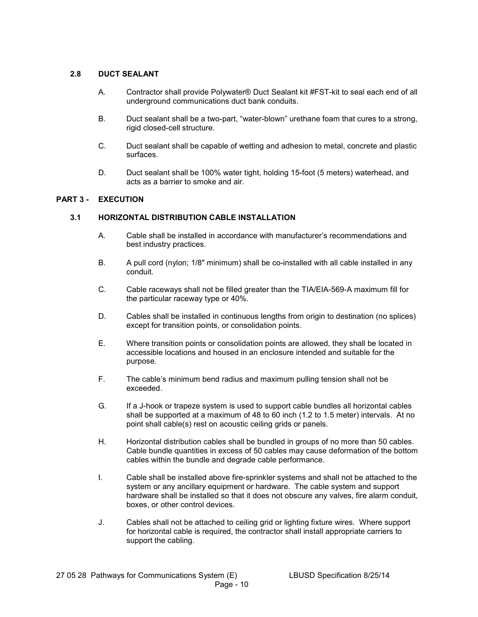## **2.8 DUCT SEALANT**

- A. Contractor shall provide Polywater® Duct Sealant kit #FST-kit to seal each end of all underground communications duct bank conduits.
- B. Duct sealant shall be a two-part, "water-blown" urethane foam that cures to a strong, rigid closed-cell structure.
- C. Duct sealant shall be capable of wetting and adhesion to metal, concrete and plastic surfaces.
- D. Duct sealant shall be 100% water tight, holding 15-foot (5 meters) waterhead, and acts as a barrier to smoke and air.

## **PART 3 - EXECUTION**

## **3.1 HORIZONTAL DISTRIBUTION CABLE INSTALLATION**

- A. Cable shall be installed in accordance with manufacturer's recommendations and best industry practices.
- B. A pull cord (nylon; 1/8" minimum) shall be co-installed with all cable installed in any conduit.
- C. Cable raceways shall not be filled greater than the TIA/EIA-569-A maximum fill for the particular raceway type or 40%.
- D. Cables shall be installed in continuous lengths from origin to destination (no splices) except for transition points, or consolidation points.
- E. Where transition points or consolidation points are allowed, they shall be located in accessible locations and housed in an enclosure intended and suitable for the purpose.
- F. The cable's minimum bend radius and maximum pulling tension shall not be exceeded.
- G. If a J-hook or trapeze system is used to support cable bundles all horizontal cables shall be supported at a maximum of 48 to 60 inch (1.2 to 1.5 meter) intervals. At no point shall cable(s) rest on acoustic ceiling grids or panels.
- H. Horizontal distribution cables shall be bundled in groups of no more than 50 cables. Cable bundle quantities in excess of 50 cables may cause deformation of the bottom cables within the bundle and degrade cable performance.
- I. Cable shall be installed above fire-sprinkler systems and shall not be attached to the system or any ancillary equipment or hardware. The cable system and support hardware shall be installed so that it does not obscure any valves, fire alarm conduit, boxes, or other control devices.
- J. Cables shall not be attached to ceiling grid or lighting fixture wires. Where support for horizontal cable is required, the contractor shall install appropriate carriers to support the cabling.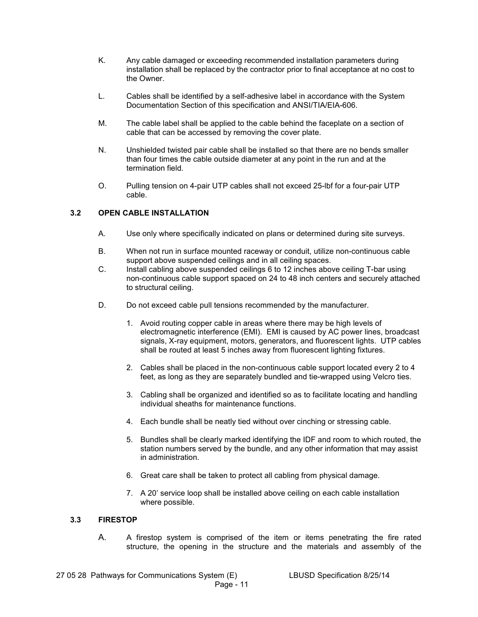- K. Any cable damaged or exceeding recommended installation parameters during installation shall be replaced by the contractor prior to final acceptance at no cost to the Owner.
- L. Cables shall be identified by a self-adhesive label in accordance with the System Documentation Section of this specification and ANSI/TIA/EIA-606.
- M. The cable label shall be applied to the cable behind the faceplate on a section of cable that can be accessed by removing the cover plate.
- N. Unshielded twisted pair cable shall be installed so that there are no bends smaller than four times the cable outside diameter at any point in the run and at the termination field.
- O. Pulling tension on 4-pair UTP cables shall not exceed 25-lbf for a four-pair UTP cable.

## **3.2 OPEN CABLE INSTALLATION**

- A. Use only where specifically indicated on plans or determined during site surveys.
- B. When not run in surface mounted raceway or conduit, utilize non-continuous cable support above suspended ceilings and in all ceiling spaces.
- C. Install cabling above suspended ceilings 6 to 12 inches above ceiling T-bar using non-continuous cable support spaced on 24 to 48 inch centers and securely attached to structural ceiling.
- D. Do not exceed cable pull tensions recommended by the manufacturer.
	- 1. Avoid routing copper cable in areas where there may be high levels of electromagnetic interference (EMI). EMI is caused by AC power lines, broadcast signals, X-ray equipment, motors, generators, and fluorescent lights. UTP cables shall be routed at least 5 inches away from fluorescent lighting fixtures.
	- 2. Cables shall be placed in the non-continuous cable support located every 2 to 4 feet, as long as they are separately bundled and tie-wrapped using Velcro ties.
	- 3. Cabling shall be organized and identified so as to facilitate locating and handling individual sheaths for maintenance functions.
	- 4. Each bundle shall be neatly tied without over cinching or stressing cable.
	- 5. Bundles shall be clearly marked identifying the IDF and room to which routed, the station numbers served by the bundle, and any other information that may assist in administration.
	- 6. Great care shall be taken to protect all cabling from physical damage.
	- 7. A 20' service loop shall be installed above ceiling on each cable installation where possible.

## **3.3 FIRESTOP**

A. A firestop system is comprised of the item or items penetrating the fire rated structure, the opening in the structure and the materials and assembly of the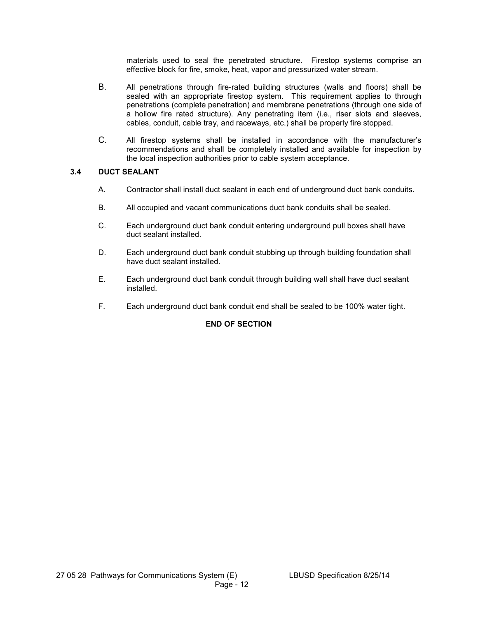materials used to seal the penetrated structure. Firestop systems comprise an effective block for fire, smoke, heat, vapor and pressurized water stream.

- B. All penetrations through fire-rated building structures (walls and floors) shall be sealed with an appropriate firestop system. This requirement applies to through penetrations (complete penetration) and membrane penetrations (through one side of a hollow fire rated structure). Any penetrating item (i.e., riser slots and sleeves, cables, conduit, cable tray, and raceways, etc.) shall be properly fire stopped.
- C. All firestop systems shall be installed in accordance with the manufacturer's recommendations and shall be completely installed and available for inspection by the local inspection authorities prior to cable system acceptance.

## **3.4 DUCT SEALANT**

- A. Contractor shall install duct sealant in each end of underground duct bank conduits.
- B. All occupied and vacant communications duct bank conduits shall be sealed.
- C. Each underground duct bank conduit entering underground pull boxes shall have duct sealant installed.
- D. Each underground duct bank conduit stubbing up through building foundation shall have duct sealant installed.
- E. Each underground duct bank conduit through building wall shall have duct sealant installed.
- F. Each underground duct bank conduit end shall be sealed to be 100% water tight.

## **END OF SECTION**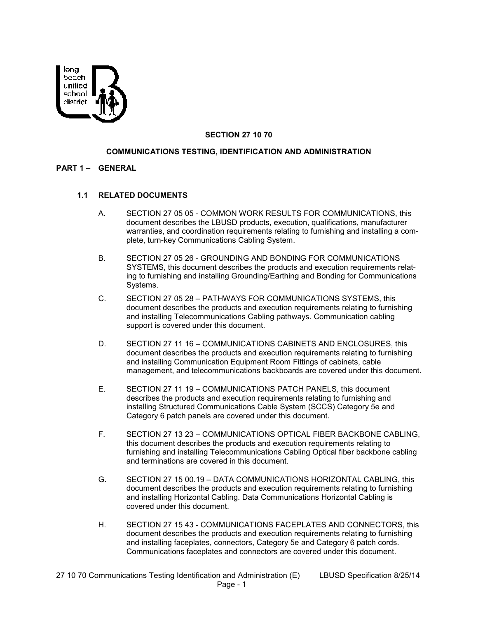

## **SECTION 27 10 70**

#### **COMMUNICATIONS TESTING, IDENTIFICATION AND ADMINISTRATION**

#### **PART 1 – GENERAL**

#### **1.1 RELATED DOCUMENTS**

- A. SECTION 27 05 05 COMMON WORK RESULTS FOR COMMUNICATIONS, this document describes the LBUSD products, execution, qualifications, manufacturer warranties, and coordination requirements relating to furnishing and installing a complete, turn-key Communications Cabling System.
- B. SECTION 27 05 26 GROUNDING AND BONDING FOR COMMUNICATIONS SYSTEMS, this document describes the products and execution requirements relating to furnishing and installing Grounding/Earthing and Bonding for Communications Systems.
- C. SECTION 27 05 28 PATHWAYS FOR COMMUNICATIONS SYSTEMS, this document describes the products and execution requirements relating to furnishing and installing Telecommunications Cabling pathways. Communication cabling support is covered under this document.
- D. SECTION 27 11 16 COMMUNICATIONS CABINETS AND ENCLOSURES, this document describes the products and execution requirements relating to furnishing and installing Communication Equipment Room Fittings of cabinets, cable management, and telecommunications backboards are covered under this document.
- E. SECTION 27 11 19 COMMUNICATIONS PATCH PANELS, this document describes the products and execution requirements relating to furnishing and installing Structured Communications Cable System (SCCS) Category 5e and Category 6 patch panels are covered under this document.
- F. SECTION 27 13 23 COMMUNICATIONS OPTICAL FIBER BACKBONE CABLING, this document describes the products and execution requirements relating to furnishing and installing Telecommunications Cabling Optical fiber backbone cabling and terminations are covered in this document.
- G. SECTION 27 15 00.19 DATA COMMUNICATIONS HORIZONTAL CABLING, this document describes the products and execution requirements relating to furnishing and installing Horizontal Cabling. Data Communications Horizontal Cabling is covered under this document.
- H. SECTION 27 15 43 COMMUNICATIONS FACEPLATES AND CONNECTORS, this document describes the products and execution requirements relating to furnishing and installing faceplates, connectors, Category 5e and Category 6 patch cords. Communications faceplates and connectors are covered under this document.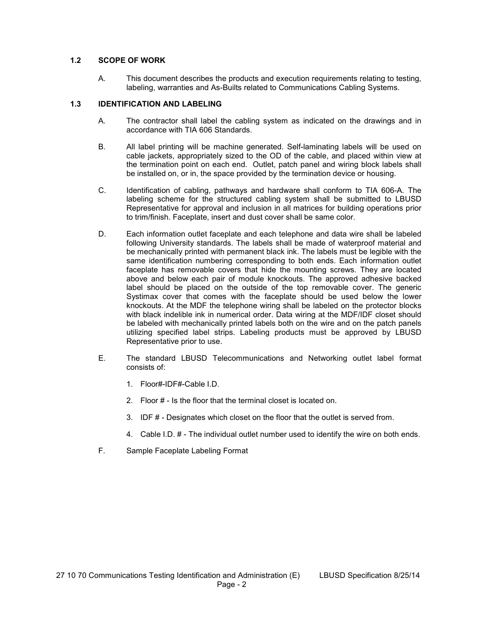## **1.2 SCOPE OF WORK**

A. This document describes the products and execution requirements relating to testing, labeling, warranties and As-Builts related to Communications Cabling Systems.

#### **1.3 IDENTIFICATION AND LABELING**

- A. The contractor shall label the cabling system as indicated on the drawings and in accordance with TIA 606 Standards.
- B. All label printing will be machine generated. Self-laminating labels will be used on cable jackets, appropriately sized to the OD of the cable, and placed within view at the termination point on each end. Outlet, patch panel and wiring block labels shall be installed on, or in, the space provided by the termination device or housing.
- C. Identification of cabling, pathways and hardware shall conform to TIA 606-A. The labeling scheme for the structured cabling system shall be submitted to LBUSD Representative for approval and inclusion in all matrices for building operations prior to trim/finish. Faceplate, insert and dust cover shall be same color.
- D. Each information outlet faceplate and each telephone and data wire shall be labeled following University standards. The labels shall be made of waterproof material and be mechanically printed with permanent black ink. The labels must be legible with the same identification numbering corresponding to both ends. Each information outlet faceplate has removable covers that hide the mounting screws. They are located above and below each pair of module knockouts. The approved adhesive backed label should be placed on the outside of the top removable cover. The generic Systimax cover that comes with the faceplate should be used below the lower knockouts. At the MDF the telephone wiring shall be labeled on the protector blocks with black indelible ink in numerical order. Data wiring at the MDF/IDF closet should be labeled with mechanically printed labels both on the wire and on the patch panels utilizing specified label strips. Labeling products must be approved by LBUSD Representative prior to use.
- E. The standard LBUSD Telecommunications and Networking outlet label format consists of:
	- 1. Floor#-IDF#-Cable I.D.
	- 2. Floor # Is the floor that the terminal closet is located on.
	- 3. IDF # Designates which closet on the floor that the outlet is served from.
	- 4. Cable I.D. # The individual outlet number used to identify the wire on both ends.
- F. Sample Faceplate Labeling Format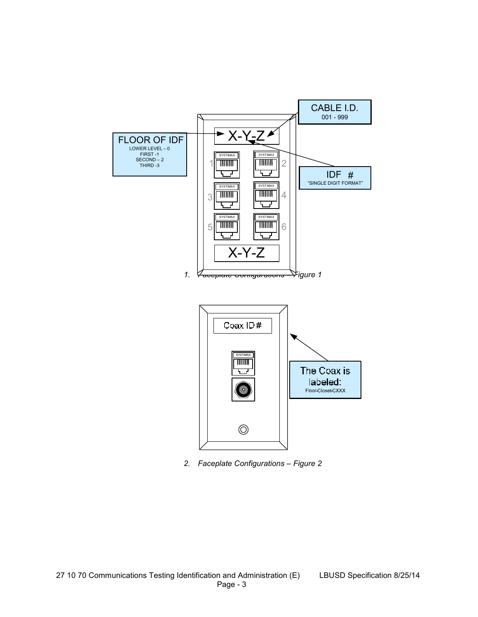

*2. Faceplate Configurations – Figure 2*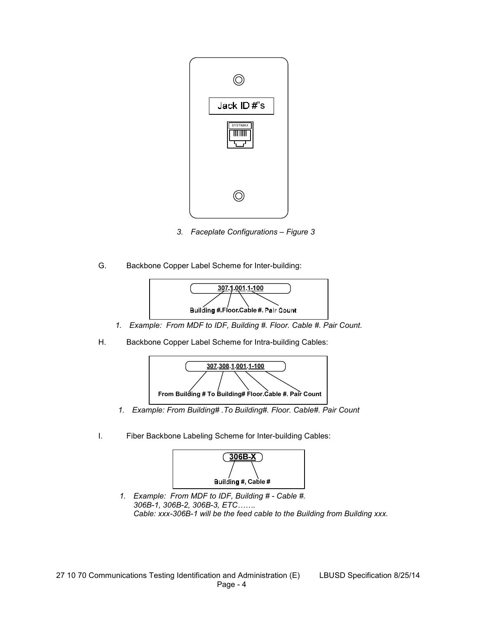

- *3. Faceplate Configurations Figure 3*
- G. Backbone Copper Label Scheme for Inter-building:



- *1. Example: From MDF to IDF, Building #. Floor. Cable #. Pair Count.*
- H. Backbone Copper Label Scheme for Intra-building Cables:



- *1. Example: From Building# .To Building#. Floor. Cable#. Pair Count*
- I. Fiber Backbone Labeling Scheme for Inter-building Cables:



*1. Example: From MDF to IDF, Building # - Cable #.* 306B-1, 306B-2, 306B-3, ETC....... *Cable: xxx-306B-1 will be the feed cable to the Building from Building xxx.*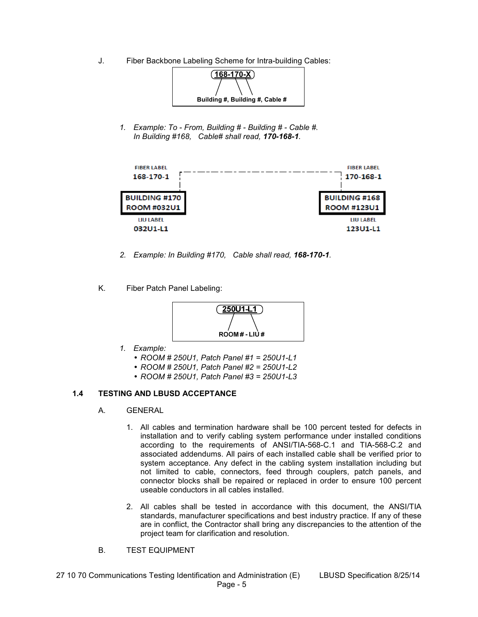J. Fiber Backbone Labeling Scheme for Intra-building Cables:



*1. Example: To - From, Building # - Building # - Cable #. In Building #168, Cable# shall read, 170-168-1.* 



- *2. Example: In Building #170, Cable shall read, 168-170-1.*
- K. Fiber Patch Panel Labeling:



- *1. Example:* 
	- *ROOM # 250U1, Patch Panel #1 = 250U1-L1*
	- *ROOM # 250U1, Patch Panel #2 = 250U1-L2*
	- *ROOM # 250U1, Patch Panel #3 = 250U1-L3*

## **1.4 TESTING AND LBUSD ACCEPTANCE**

- A. GENERAL
	- 1. All cables and termination hardware shall be 100 percent tested for defects in installation and to verify cabling system performance under installed conditions according to the requirements of ANSI/TIA-568-C.1 and TIA-568-C.2 and associated addendums. All pairs of each installed cable shall be verified prior to system acceptance. Any defect in the cabling system installation including but not limited to cable, connectors, feed through couplers, patch panels, and connector blocks shall be repaired or replaced in order to ensure 100 percent useable conductors in all cables installed.
	- 2. All cables shall be tested in accordance with this document, the ANSI/TIA standards, manufacturer specifications and best industry practice. If any of these are in conflict, the Contractor shall bring any discrepancies to the attention of the project team for clarification and resolution.
- B. TEST EQUIPMENT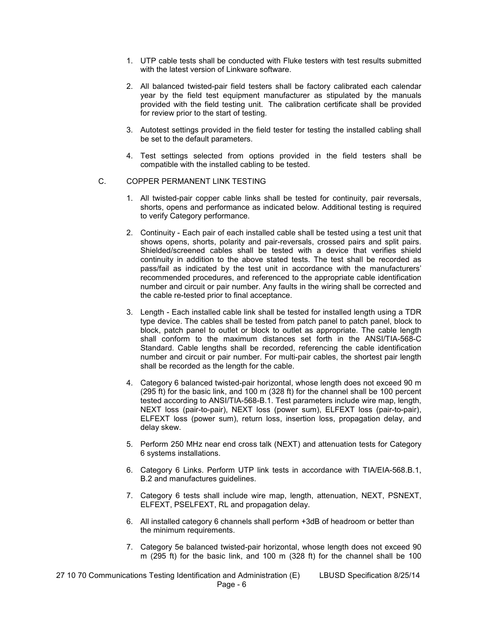- 1. UTP cable tests shall be conducted with Fluke testers with test results submitted with the latest version of Linkware software.
- 2. All balanced twisted-pair field testers shall be factory calibrated each calendar year by the field test equipment manufacturer as stipulated by the manuals provided with the field testing unit. The calibration certificate shall be provided for review prior to the start of testing.
- 3. Autotest settings provided in the field tester for testing the installed cabling shall be set to the default parameters.
- 4. Test settings selected from options provided in the field testers shall be compatible with the installed cabling to be tested.

#### C. COPPER PERMANENT LINK TESTING

- 1. All twisted-pair copper cable links shall be tested for continuity, pair reversals, shorts, opens and performance as indicated below. Additional testing is required to verify Category performance.
- 2. Continuity Each pair of each installed cable shall be tested using a test unit that shows opens, shorts, polarity and pair-reversals, crossed pairs and split pairs. Shielded/screened cables shall be tested with a device that verifies shield continuity in addition to the above stated tests. The test shall be recorded as pass/fail as indicated by the test unit in accordance with the manufacturers' recommended procedures, and referenced to the appropriate cable identification number and circuit or pair number. Any faults in the wiring shall be corrected and the cable re-tested prior to final acceptance.
- 3. Length Each installed cable link shall be tested for installed length using a TDR type device. The cables shall be tested from patch panel to patch panel, block to block, patch panel to outlet or block to outlet as appropriate. The cable length shall conform to the maximum distances set forth in the ANSI/TIA-568-C Standard. Cable lengths shall be recorded, referencing the cable identification number and circuit or pair number. For multi-pair cables, the shortest pair length shall be recorded as the length for the cable.
- 4. Category 6 balanced twisted-pair horizontal, whose length does not exceed 90 m (295 ft) for the basic link, and 100 m (328 ft) for the channel shall be 100 percent tested according to ANSI/TIA-568-B.1. Test parameters include wire map, length, NEXT loss (pair-to-pair), NEXT loss (power sum), ELFEXT loss (pair-to-pair), ELFEXT loss (power sum), return loss, insertion loss, propagation delay, and delay skew.
- 5. Perform 250 MHz near end cross talk (NEXT) and attenuation tests for Category 6 systems installations.
- 6. Category 6 Links. Perform UTP link tests in accordance with TIA/EIA-568.B.1, B.2 and manufactures guidelines.
- 7. Category 6 tests shall include wire map, length, attenuation, NEXT, PSNEXT, ELFEXT, PSELFEXT, RL and propagation delay.
- 6. All installed category 6 channels shall perform +3dB of headroom or better than the minimum requirements.
- 7. Category 5e balanced twisted-pair horizontal, whose length does not exceed 90 m (295 ft) for the basic link, and 100 m (328 ft) for the channel shall be 100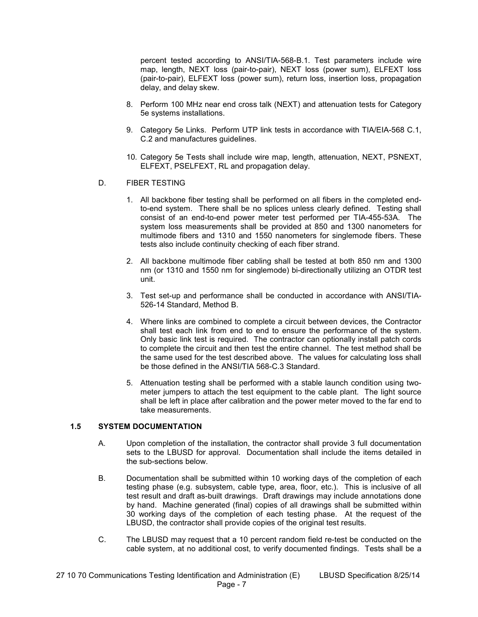percent tested according to ANSI/TIA-568-B.1. Test parameters include wire map, length, NEXT loss (pair-to-pair), NEXT loss (power sum), ELFEXT loss (pair-to-pair), ELFEXT loss (power sum), return loss, insertion loss, propagation delay, and delay skew.

- 8. Perform 100 MHz near end cross talk (NEXT) and attenuation tests for Category 5e systems installations.
- 9. Category 5e Links. Perform UTP link tests in accordance with TIA/EIA-568 C.1, C.2 and manufactures guidelines.
- 10. Category 5e Tests shall include wire map, length, attenuation, NEXT, PSNEXT, ELFEXT, PSELFEXT, RL and propagation delay.
- D. FIBER TESTING
	- 1. All backbone fiber testing shall be performed on all fibers in the completed endto-end system. There shall be no splices unless clearly defined. Testing shall consist of an end-to-end power meter test performed per TIA-455-53A. The system loss measurements shall be provided at 850 and 1300 nanometers for multimode fibers and 1310 and 1550 nanometers for singlemode fibers. These tests also include continuity checking of each fiber strand.
	- 2. All backbone multimode fiber cabling shall be tested at both 850 nm and 1300 nm (or 1310 and 1550 nm for singlemode) bi-directionally utilizing an OTDR test unit.
	- 3. Test set-up and performance shall be conducted in accordance with ANSI/TIA-526-14 Standard, Method B.
	- 4. Where links are combined to complete a circuit between devices, the Contractor shall test each link from end to end to ensure the performance of the system. Only basic link test is required. The contractor can optionally install patch cords to complete the circuit and then test the entire channel. The test method shall be the same used for the test described above. The values for calculating loss shall be those defined in the ANSI/TIA 568-C.3 Standard.
	- 5. Attenuation testing shall be performed with a stable launch condition using twometer jumpers to attach the test equipment to the cable plant. The light source shall be left in place after calibration and the power meter moved to the far end to take measurements.

#### **1.5 SYSTEM DOCUMENTATION**

- A. Upon completion of the installation, the contractor shall provide 3 full documentation sets to the LBUSD for approval. Documentation shall include the items detailed in the sub-sections below.
- B. Documentation shall be submitted within 10 working days of the completion of each testing phase (e.g. subsystem, cable type, area, floor, etc.). This is inclusive of all test result and draft as-built drawings. Draft drawings may include annotations done by hand. Machine generated (final) copies of all drawings shall be submitted within 30 working days of the completion of each testing phase. At the request of the LBUSD, the contractor shall provide copies of the original test results.
- C. The LBUSD may request that a 10 percent random field re-test be conducted on the cable system, at no additional cost, to verify documented findings. Tests shall be a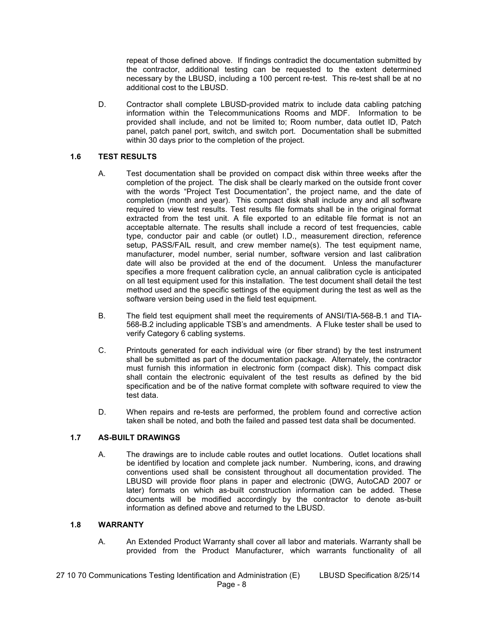repeat of those defined above. If findings contradict the documentation submitted by the contractor, additional testing can be requested to the extent determined necessary by the LBUSD, including a 100 percent re-test. This re-test shall be at no additional cost to the LBUSD.

D. Contractor shall complete LBUSD-provided matrix to include data cabling patching information within the Telecommunications Rooms and MDF. Information to be provided shall include, and not be limited to; Room number, data outlet ID, Patch panel, patch panel port, switch, and switch port. Documentation shall be submitted within 30 days prior to the completion of the project.

## **1.6 TEST RESULTS**

- A. Test documentation shall be provided on compact disk within three weeks after the completion of the project. The disk shall be clearly marked on the outside front cover with the words "Project Test Documentation", the project name, and the date of completion (month and year). This compact disk shall include any and all software required to view test results. Test results file formats shall be in the original format extracted from the test unit. A file exported to an editable file format is not an acceptable alternate. The results shall include a record of test frequencies, cable type, conductor pair and cable (or outlet) I.D., measurement direction, reference setup, PASS/FAIL result, and crew member name(s). The test equipment name, manufacturer, model number, serial number, software version and last calibration date will also be provided at the end of the document. Unless the manufacturer specifies a more frequent calibration cycle, an annual calibration cycle is anticipated on all test equipment used for this installation. The test document shall detail the test method used and the specific settings of the equipment during the test as well as the software version being used in the field test equipment.
- B. The field test equipment shall meet the requirements of ANSI/TIA-568-B.1 and TIA-568-B.2 including applicable TSB's and amendments. A Fluke tester shall be used to verify Category 6 cabling systems.
- C. Printouts generated for each individual wire (or fiber strand) by the test instrument shall be submitted as part of the documentation package. Alternately, the contractor must furnish this information in electronic form (compact disk). This compact disk shall contain the electronic equivalent of the test results as defined by the bid specification and be of the native format complete with software required to view the test data.
- D. When repairs and re-tests are performed, the problem found and corrective action taken shall be noted, and both the failed and passed test data shall be documented.

### **1.7 AS-BUILT DRAWINGS**

A. The drawings are to include cable routes and outlet locations. Outlet locations shall be identified by location and complete jack number. Numbering, icons, and drawing conventions used shall be consistent throughout all documentation provided. The LBUSD will provide floor plans in paper and electronic (DWG, AutoCAD 2007 or later) formats on which as-built construction information can be added. These documents will be modified accordingly by the contractor to denote as-built information as defined above and returned to the LBUSD.

### **1.8 WARRANTY**

A. An Extended Product Warranty shall cover all labor and materials. Warranty shall be provided from the Product Manufacturer, which warrants functionality of all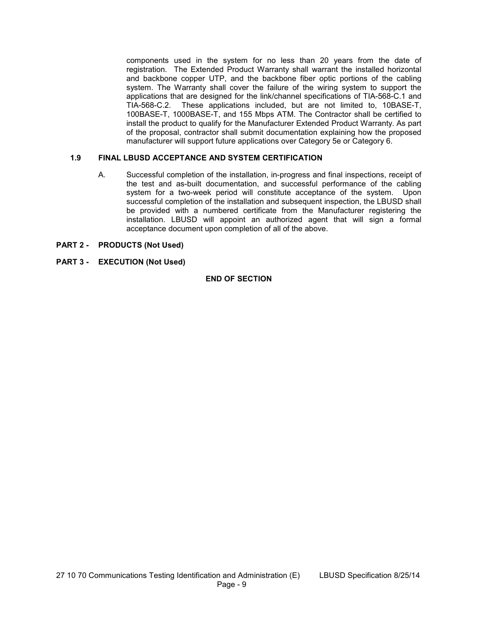components used in the system for no less than 20 years from the date of registration. The Extended Product Warranty shall warrant the installed horizontal and backbone copper UTP, and the backbone fiber optic portions of the cabling system. The Warranty shall cover the failure of the wiring system to support the applications that are designed for the link/channel specifications of TIA-568-C.1 and TIA-568-C.2. These applications included, but are not limited to, 10BASE-T, 100BASE-T, 1000BASE-T, and 155 Mbps ATM. The Contractor shall be certified to install the product to qualify for the Manufacturer Extended Product Warranty. As part of the proposal, contractor shall submit documentation explaining how the proposed manufacturer will support future applications over Category 5e or Category 6.

### **1.9 FINAL LBUSD ACCEPTANCE AND SYSTEM CERTIFICATION**

A. Successful completion of the installation, in-progress and final inspections, receipt of the test and as-built documentation, and successful performance of the cabling system for a two-week period will constitute acceptance of the system. Upon successful completion of the installation and subsequent inspection, the LBUSD shall be provided with a numbered certificate from the Manufacturer registering the installation. LBUSD will appoint an authorized agent that will sign a formal acceptance document upon completion of all of the above.

## **PART 2 - PRODUCTS (Not Used)**

**PART 3 - EXECUTION (Not Used)** 

#### **END OF SECTION**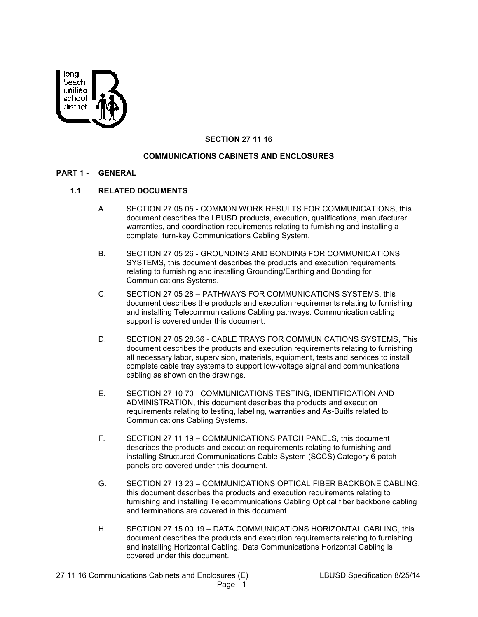

## **SECTION 27 11 16**

## **COMMUNICATIONS CABINETS AND ENCLOSURES**

#### **PART 1 - GENERAL**

# **1.1 RELATED DOCUMENTS**

- A. SECTION 27 05 05 COMMON WORK RESULTS FOR COMMUNICATIONS, this document describes the LBUSD products, execution, qualifications, manufacturer warranties, and coordination requirements relating to furnishing and installing a complete, turn-key Communications Cabling System.
- B. SECTION 27 05 26 GROUNDING AND BONDING FOR COMMUNICATIONS SYSTEMS, this document describes the products and execution requirements relating to furnishing and installing Grounding/Earthing and Bonding for Communications Systems.
- C. SECTION 27 05 28 PATHWAYS FOR COMMUNICATIONS SYSTEMS, this document describes the products and execution requirements relating to furnishing and installing Telecommunications Cabling pathways. Communication cabling support is covered under this document.
- D. SECTION 27 05 28.36 CABLE TRAYS FOR COMMUNICATIONS SYSTEMS, This document describes the products and execution requirements relating to furnishing all necessary labor, supervision, materials, equipment, tests and services to install complete cable tray systems to support low-voltage signal and communications cabling as shown on the drawings.
- E. SECTION 27 10 70 COMMUNICATIONS TESTING, IDENTIFICATION AND ADMINISTRATION, this document describes the products and execution requirements relating to testing, labeling, warranties and As-Builts related to Communications Cabling Systems.
- F. SECTION 27 11 19 COMMUNICATIONS PATCH PANELS, this document describes the products and execution requirements relating to furnishing and installing Structured Communications Cable System (SCCS) Category 6 patch panels are covered under this document.
- G. SECTION 27 13 23 COMMUNICATIONS OPTICAL FIBER BACKBONE CABLING, this document describes the products and execution requirements relating to furnishing and installing Telecommunications Cabling Optical fiber backbone cabling and terminations are covered in this document.
- H. SECTION 27 15 00.19 DATA COMMUNICATIONS HORIZONTAL CABLING, this document describes the products and execution requirements relating to furnishing and installing Horizontal Cabling. Data Communications Horizontal Cabling is covered under this document.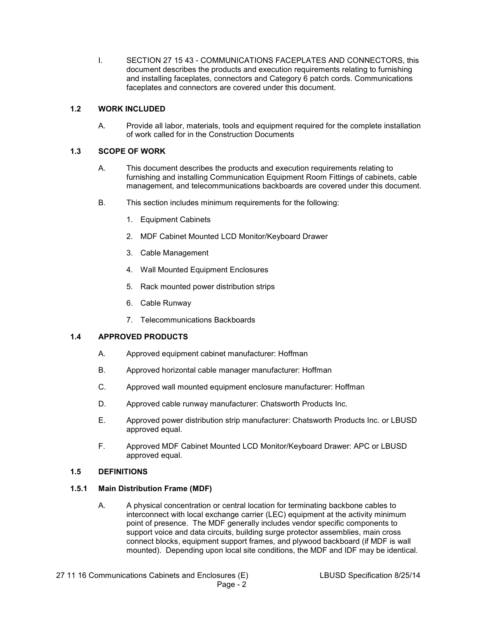I. SECTION 27 15 43 - COMMUNICATIONS FACEPLATES AND CONNECTORS, this document describes the products and execution requirements relating to furnishing and installing faceplates, connectors and Category 6 patch cords. Communications faceplates and connectors are covered under this document.

## **1.2 WORK INCLUDED**

A. Provide all labor, materials, tools and equipment required for the complete installation of work called for in the Construction Documents

## **1.3 SCOPE OF WORK**

- A. This document describes the products and execution requirements relating to furnishing and installing Communication Equipment Room Fittings of cabinets, cable management, and telecommunications backboards are covered under this document.
- B. This section includes minimum requirements for the following:
	- 1. Equipment Cabinets
	- 2. MDF Cabinet Mounted LCD Monitor/Keyboard Drawer
	- 3. Cable Management
	- 4. Wall Mounted Equipment Enclosures
	- 5. Rack mounted power distribution strips
	- 6. Cable Runway
	- 7. Telecommunications Backboards

# **1.4 APPROVED PRODUCTS**

- A. Approved equipment cabinet manufacturer: Hoffman
- B. Approved horizontal cable manager manufacturer: Hoffman
- C. Approved wall mounted equipment enclosure manufacturer: Hoffman
- D. Approved cable runway manufacturer: Chatsworth Products Inc.
- E. Approved power distribution strip manufacturer: Chatsworth Products Inc. or LBUSD approved equal.
- F. Approved MDF Cabinet Mounted LCD Monitor/Keyboard Drawer: APC or LBUSD approved equal.

### **1.5 DEFINITIONS**

## **1.5.1 Main Distribution Frame (MDF)**

A. A physical concentration or central location for terminating backbone cables to interconnect with local exchange carrier (LEC) equipment at the activity minimum point of presence. The MDF generally includes vendor specific components to support voice and data circuits, building surge protector assemblies, main cross connect blocks, equipment support frames, and plywood backboard (if MDF is wall mounted). Depending upon local site conditions, the MDF and IDF may be identical.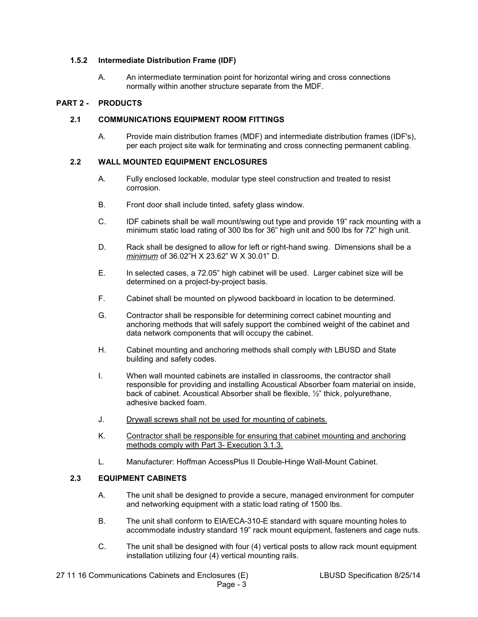### **1.5.2 Intermediate Distribution Frame (IDF)**

A. An intermediate termination point for horizontal wiring and cross connections normally within another structure separate from the MDF.

### **PART 2 - PRODUCTS**

#### **2.1 COMMUNICATIONS EQUIPMENT ROOM FITTINGS**

A. Provide main distribution frames (MDF) and intermediate distribution frames (IDF's), per each project site walk for terminating and cross connecting permanent cabling.

#### **2.2 WALL MOUNTED EQUIPMENT ENCLOSURES**

- A. Fully enclosed lockable, modular type steel construction and treated to resist corrosion.
- B. Front door shall include tinted, safety glass window.
- C. IDF cabinets shall be wall mount/swing out type and provide 19" rack mounting with a minimum static load rating of 300 lbs for 36" high unit and 500 lbs for 72" high unit.
- D. Rack shall be designed to allow for left or right-hand swing. Dimensions shall be a *minimum* of 36.02"H X 23.62" W X 30.01" D.
- E. In selected cases, a 72.05" high cabinet will be used. Larger cabinet size will be determined on a project-by-project basis.
- F. Cabinet shall be mounted on plywood backboard in location to be determined.
- G. Contractor shall be responsible for determining correct cabinet mounting and anchoring methods that will safely support the combined weight of the cabinet and data network components that will occupy the cabinet.
- H. Cabinet mounting and anchoring methods shall comply with LBUSD and State building and safety codes.
- I. When wall mounted cabinets are installed in classrooms, the contractor shall responsible for providing and installing Acoustical Absorber foam material on inside, back of cabinet. Acoustical Absorber shall be flexible, ½" thick, polyurethane, adhesive backed foam.
- J. Drywall screws shall not be used for mounting of cabinets.
- K. Contractor shall be responsible for ensuring that cabinet mounting and anchoring methods comply with Part 3- Execution 3.1.3.
- L. Manufacturer: Hoffman AccessPlus II Double-Hinge Wall-Mount Cabinet.

### **2.3 EQUIPMENT CABINETS**

- A. The unit shall be designed to provide a secure, managed environment for computer and networking equipment with a static load rating of 1500 lbs.
- B. The unit shall conform to EIA/ECA-310-E standard with square mounting holes to accommodate industry standard 19" rack mount equipment, fasteners and cage nuts.
- C. The unit shall be designed with four (4) vertical posts to allow rack mount equipment installation utilizing four (4) vertical mounting rails.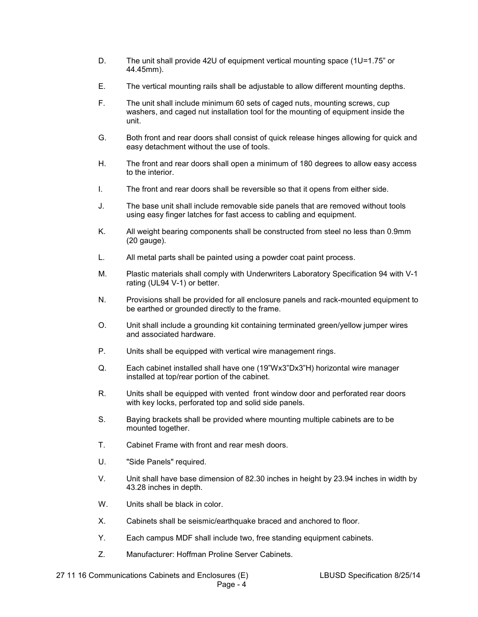- D. The unit shall provide 42U of equipment vertical mounting space (1U=1.75" or 44.45mm).
- E. The vertical mounting rails shall be adjustable to allow different mounting depths.
- F. The unit shall include minimum 60 sets of caged nuts, mounting screws, cup washers, and caged nut installation tool for the mounting of equipment inside the unit.
- G. Both front and rear doors shall consist of quick release hinges allowing for quick and easy detachment without the use of tools.
- H. The front and rear doors shall open a minimum of 180 degrees to allow easy access to the interior.
- I. The front and rear doors shall be reversible so that it opens from either side.
- J. The base unit shall include removable side panels that are removed without tools using easy finger latches for fast access to cabling and equipment.
- K. All weight bearing components shall be constructed from steel no less than 0.9mm (20 gauge).
- L. All metal parts shall be painted using a powder coat paint process.
- M. Plastic materials shall comply with Underwriters Laboratory Specification 94 with V-1 rating (UL94 V-1) or better.
- N. Provisions shall be provided for all enclosure panels and rack-mounted equipment to be earthed or grounded directly to the frame.
- O. Unit shall include a grounding kit containing terminated green/yellow jumper wires and associated hardware.
- P. Units shall be equipped with vertical wire management rings.
- Q. Each cabinet installed shall have one (19"Wx3"Dx3"H) horizontal wire manager installed at top/rear portion of the cabinet.
- R. Units shall be equipped with vented front window door and perforated rear doors with key locks, perforated top and solid side panels.
- S. Baying brackets shall be provided where mounting multiple cabinets are to be mounted together.
- T. Cabinet Frame with front and rear mesh doors.
- U. "Side Panels" required.
- V. Unit shall have base dimension of 82.30 inches in height by 23.94 inches in width by 43.28 inches in depth.
- W. Units shall be black in color.
- X. Cabinets shall be seismic/earthquake braced and anchored to floor.
- Y. Each campus MDF shall include two, free standing equipment cabinets.
- Z. Manufacturer: Hoffman Proline Server Cabinets.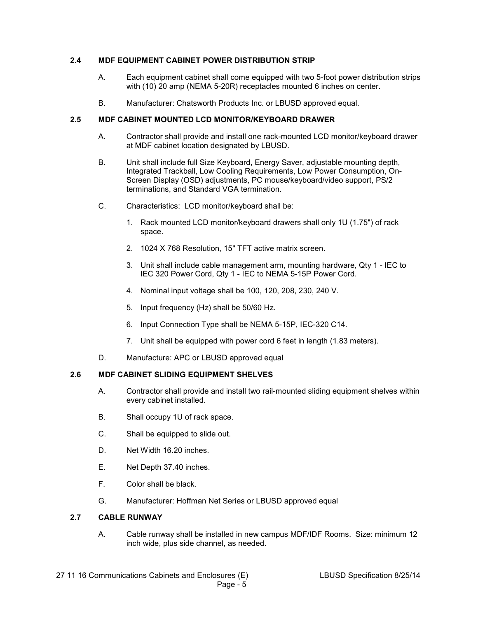## **2.4 MDF EQUIPMENT CABINET POWER DISTRIBUTION STRIP**

- A. Each equipment cabinet shall come equipped with two 5-foot power distribution strips with (10) 20 amp (NEMA 5-20R) receptacles mounted 6 inches on center.
- B. Manufacturer: Chatsworth Products Inc. or LBUSD approved equal.

### **2.5 MDF CABINET MOUNTED LCD MONITOR/KEYBOARD DRAWER**

- A. Contractor shall provide and install one rack-mounted LCD monitor/keyboard drawer at MDF cabinet location designated by LBUSD.
- B. Unit shall include full Size Keyboard, Energy Saver, adjustable mounting depth, Integrated Trackball, Low Cooling Requirements, Low Power Consumption, On-Screen Display (OSD) adjustments, PC mouse/keyboard/video support, PS/2 terminations, and Standard VGA termination.
- C. Characteristics: LCD monitor/keyboard shall be:
	- 1. Rack mounted LCD monitor/keyboard drawers shall only 1U (1.75") of rack space.
	- 2. 1024 X 768 Resolution, 15" TFT active matrix screen.
	- 3. Unit shall include cable management arm, mounting hardware, Qty 1 IEC to IEC 320 Power Cord, Qty 1 - IEC to NEMA 5-15P Power Cord.
	- 4. Nominal input voltage shall be 100, 120, 208, 230, 240 V.
	- 5. Input frequency (Hz) shall be 50/60 Hz.
	- 6. Input Connection Type shall be NEMA 5-15P, IEC-320 C14.
	- 7. Unit shall be equipped with power cord 6 feet in length (1.83 meters).
- D. Manufacture: APC or LBUSD approved equal

### **2.6 MDF CABINET SLIDING EQUIPMENT SHELVES**

- A. Contractor shall provide and install two rail-mounted sliding equipment shelves within every cabinet installed.
- B. Shall occupy 1U of rack space.
- C. Shall be equipped to slide out.
- D. Net Width 16.20 inches.
- E. Net Depth 37.40 inches.
- F. Color shall be black.
- G. Manufacturer: Hoffman Net Series or LBUSD approved equal

#### **2.7 CABLE RUNWAY**

A. Cable runway shall be installed in new campus MDF/IDF Rooms. Size: minimum 12 inch wide, plus side channel, as needed.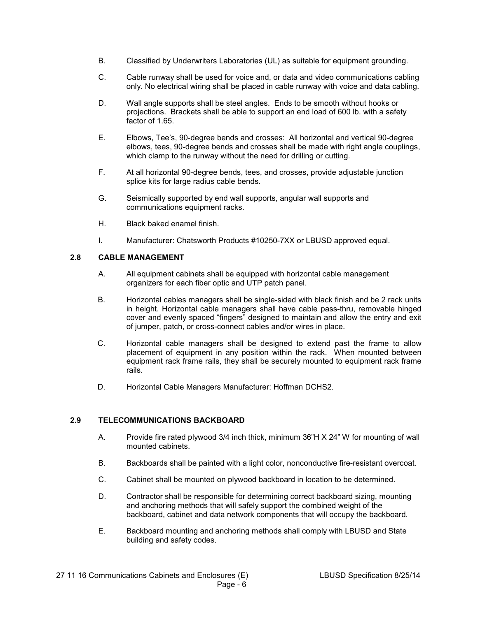- B. Classified by Underwriters Laboratories (UL) as suitable for equipment grounding.
- C. Cable runway shall be used for voice and, or data and video communications cabling only. No electrical wiring shall be placed in cable runway with voice and data cabling.
- D. Wall angle supports shall be steel angles. Ends to be smooth without hooks or projections. Brackets shall be able to support an end load of 600 lb. with a safety factor of 1.65.
- E. Elbows, Tee's, 90-degree bends and crosses: All horizontal and vertical 90-degree elbows, tees, 90-degree bends and crosses shall be made with right angle couplings, which clamp to the runway without the need for drilling or cutting.
- F. At all horizontal 90-degree bends, tees, and crosses, provide adjustable junction splice kits for large radius cable bends.
- G. Seismically supported by end wall supports, angular wall supports and communications equipment racks.
- H. Black baked enamel finish.
- I. Manufacturer: Chatsworth Products #10250-7XX or LBUSD approved equal.

### **2.8 CABLE MANAGEMENT**

- A. All equipment cabinets shall be equipped with horizontal cable management organizers for each fiber optic and UTP patch panel.
- B. Horizontal cables managers shall be single-sided with black finish and be 2 rack units in height. Horizontal cable managers shall have cable pass-thru, removable hinged cover and evenly spaced "fingers" designed to maintain and allow the entry and exit of jumper, patch, or cross-connect cables and/or wires in place.
- C. Horizontal cable managers shall be designed to extend past the frame to allow placement of equipment in any position within the rack. When mounted between equipment rack frame rails, they shall be securely mounted to equipment rack frame rails.
- D. Horizontal Cable Managers Manufacturer: Hoffman DCHS2.

### **2.9 TELECOMMUNICATIONS BACKBOARD**

- A. Provide fire rated plywood 3/4 inch thick, minimum 36"H X 24" W for mounting of wall mounted cabinets.
- B. Backboards shall be painted with a light color, nonconductive fire-resistant overcoat.
- C. Cabinet shall be mounted on plywood backboard in location to be determined.
- D. Contractor shall be responsible for determining correct backboard sizing, mounting and anchoring methods that will safely support the combined weight of the backboard, cabinet and data network components that will occupy the backboard.
- E. Backboard mounting and anchoring methods shall comply with LBUSD and State building and safety codes.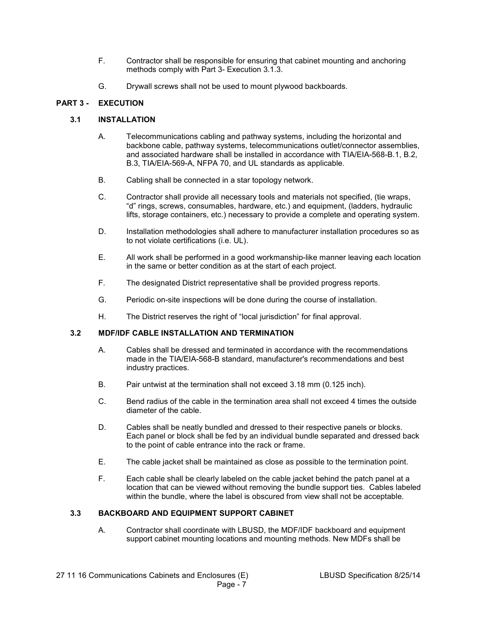- F. Contractor shall be responsible for ensuring that cabinet mounting and anchoring methods comply with Part 3- Execution 3.1.3.
- G. Drywall screws shall not be used to mount plywood backboards.

# **PART 3 - EXECUTION**

## **3.1 INSTALLATION**

- A. Telecommunications cabling and pathway systems, including the horizontal and backbone cable, pathway systems, telecommunications outlet/connector assemblies, and associated hardware shall be installed in accordance with TIA/EIA-568-B.1, B.2, B.3, TIA/EIA-569-A, NFPA 70, and UL standards as applicable.
- B. Cabling shall be connected in a star topology network.
- C. Contractor shall provide all necessary tools and materials not specified, (tie wraps, "d" rings, screws, consumables, hardware, etc.) and equipment, (ladders, hydraulic lifts, storage containers, etc.) necessary to provide a complete and operating system.
- D. Installation methodologies shall adhere to manufacturer installation procedures so as to not violate certifications (i.e. UL).
- E. All work shall be performed in a good workmanship-like manner leaving each location in the same or better condition as at the start of each project.
- F. The designated District representative shall be provided progress reports.
- G. Periodic on-site inspections will be done during the course of installation.
- H. The District reserves the right of "local jurisdiction" for final approval.

### **3.2 MDF/IDF CABLE INSTALLATION AND TERMINATION**

- A. Cables shall be dressed and terminated in accordance with the recommendations made in the TIA/EIA-568-B standard, manufacturer's recommendations and best industry practices.
- B. Pair untwist at the termination shall not exceed 3.18 mm (0.125 inch).
- C. Bend radius of the cable in the termination area shall not exceed 4 times the outside diameter of the cable.
- D. Cables shall be neatly bundled and dressed to their respective panels or blocks. Each panel or block shall be fed by an individual bundle separated and dressed back to the point of cable entrance into the rack or frame.
- E. The cable jacket shall be maintained as close as possible to the termination point.
- F. Each cable shall be clearly labeled on the cable jacket behind the patch panel at a location that can be viewed without removing the bundle support ties. Cables labeled within the bundle, where the label is obscured from view shall not be acceptable.

### **3.3 BACKBOARD AND EQUIPMENT SUPPORT CABINET**

A. Contractor shall coordinate with LBUSD, the MDF/IDF backboard and equipment support cabinet mounting locations and mounting methods. New MDFs shall be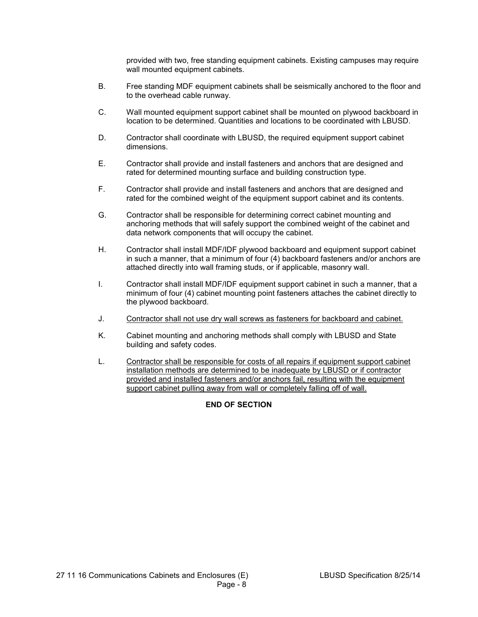provided with two, free standing equipment cabinets. Existing campuses may require wall mounted equipment cabinets.

- B. Free standing MDF equipment cabinets shall be seismically anchored to the floor and to the overhead cable runway.
- C. Wall mounted equipment support cabinet shall be mounted on plywood backboard in location to be determined. Quantities and locations to be coordinated with LBUSD.
- D. Contractor shall coordinate with LBUSD, the required equipment support cabinet dimensions.
- E. Contractor shall provide and install fasteners and anchors that are designed and rated for determined mounting surface and building construction type.
- F. Contractor shall provide and install fasteners and anchors that are designed and rated for the combined weight of the equipment support cabinet and its contents.
- G. Contractor shall be responsible for determining correct cabinet mounting and anchoring methods that will safely support the combined weight of the cabinet and data network components that will occupy the cabinet.
- H. Contractor shall install MDF/IDF plywood backboard and equipment support cabinet in such a manner, that a minimum of four (4) backboard fasteners and/or anchors are attached directly into wall framing studs, or if applicable, masonry wall.
- I. Contractor shall install MDF/IDF equipment support cabinet in such a manner, that a minimum of four (4) cabinet mounting point fasteners attaches the cabinet directly to the plywood backboard.
- J. Contractor shall not use dry wall screws as fasteners for backboard and cabinet.
- K. Cabinet mounting and anchoring methods shall comply with LBUSD and State building and safety codes.
- L. Contractor shall be responsible for costs of all repairs if equipment support cabinet installation methods are determined to be inadequate by LBUSD or if contractor provided and installed fasteners and/or anchors fail, resulting with the equipment support cabinet pulling away from wall or completely falling off of wall.

# **END OF SECTION**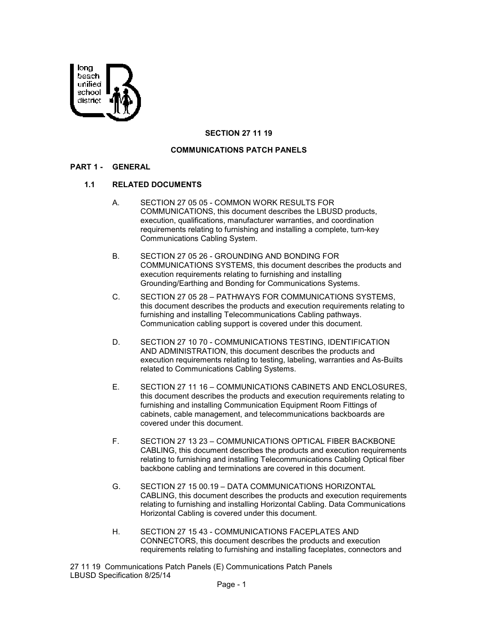

## **SECTION 27 11 19**

### **COMMUNICATIONS PATCH PANELS**

#### **PART 1 - GENERAL**

#### **1.1 RELATED DOCUMENTS**

- A. SECTION 27 05 05 COMMON WORK RESULTS FOR COMMUNICATIONS, this document describes the LBUSD products, execution, qualifications, manufacturer warranties, and coordination requirements relating to furnishing and installing a complete, turn-key Communications Cabling System.
- B. SECTION 27 05 26 GROUNDING AND BONDING FOR COMMUNICATIONS SYSTEMS, this document describes the products and execution requirements relating to furnishing and installing Grounding/Earthing and Bonding for Communications Systems.
- C. SECTION 27 05 28 PATHWAYS FOR COMMUNICATIONS SYSTEMS, this document describes the products and execution requirements relating to furnishing and installing Telecommunications Cabling pathways. Communication cabling support is covered under this document.
- D. SECTION 27 10 70 COMMUNICATIONS TESTING, IDENTIFICATION AND ADMINISTRATION, this document describes the products and execution requirements relating to testing, labeling, warranties and As-Builts related to Communications Cabling Systems.
- E. SECTION 27 11 16 COMMUNICATIONS CABINETS AND ENCLOSURES, this document describes the products and execution requirements relating to furnishing and installing Communication Equipment Room Fittings of cabinets, cable management, and telecommunications backboards are covered under this document.
- F. SECTION 27 13 23 COMMUNICATIONS OPTICAL FIBER BACKBONE CABLING, this document describes the products and execution requirements relating to furnishing and installing Telecommunications Cabling Optical fiber backbone cabling and terminations are covered in this document.
- G. SECTION 27 15 00.19 DATA COMMUNICATIONS HORIZONTAL CABLING, this document describes the products and execution requirements relating to furnishing and installing Horizontal Cabling. Data Communications Horizontal Cabling is covered under this document.
- H. SECTION 27 15 43 COMMUNICATIONS FACEPLATES AND CONNECTORS, this document describes the products and execution requirements relating to furnishing and installing faceplates, connectors and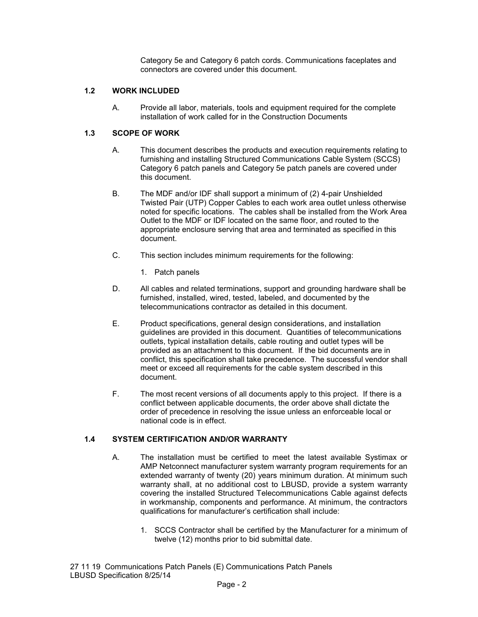Category 5e and Category 6 patch cords. Communications faceplates and connectors are covered under this document.

## **1.2 WORK INCLUDED**

A. Provide all labor, materials, tools and equipment required for the complete installation of work called for in the Construction Documents

# **1.3 SCOPE OF WORK**

- A. This document describes the products and execution requirements relating to furnishing and installing Structured Communications Cable System (SCCS) Category 6 patch panels and Category 5e patch panels are covered under this document.
- B. The MDF and/or IDF shall support a minimum of (2) 4-pair Unshielded Twisted Pair (UTP) Copper Cables to each work area outlet unless otherwise noted for specific locations. The cables shall be installed from the Work Area Outlet to the MDF or IDF located on the same floor, and routed to the appropriate enclosure serving that area and terminated as specified in this document.
- C. This section includes minimum requirements for the following:
	- 1. Patch panels
- D. All cables and related terminations, support and grounding hardware shall be furnished, installed, wired, tested, labeled, and documented by the telecommunications contractor as detailed in this document.
- E. Product specifications, general design considerations, and installation guidelines are provided in this document. Quantities of telecommunications outlets, typical installation details, cable routing and outlet types will be provided as an attachment to this document. If the bid documents are in conflict, this specification shall take precedence. The successful vendor shall meet or exceed all requirements for the cable system described in this document.
- F. The most recent versions of all documents apply to this project. If there is a conflict between applicable documents, the order above shall dictate the order of precedence in resolving the issue unless an enforceable local or national code is in effect.

### **1.4 SYSTEM CERTIFICATION AND/OR WARRANTY**

- A. The installation must be certified to meet the latest available Systimax or AMP Netconnect manufacturer system warranty program requirements for an extended warranty of twenty (20) years minimum duration. At minimum such warranty shall, at no additional cost to LBUSD, provide a system warranty covering the installed Structured Telecommunications Cable against defects in workmanship, components and performance. At minimum, the contractors qualifications for manufacturer's certification shall include:
	- 1. SCCS Contractor shall be certified by the Manufacturer for a minimum of twelve (12) months prior to bid submittal date.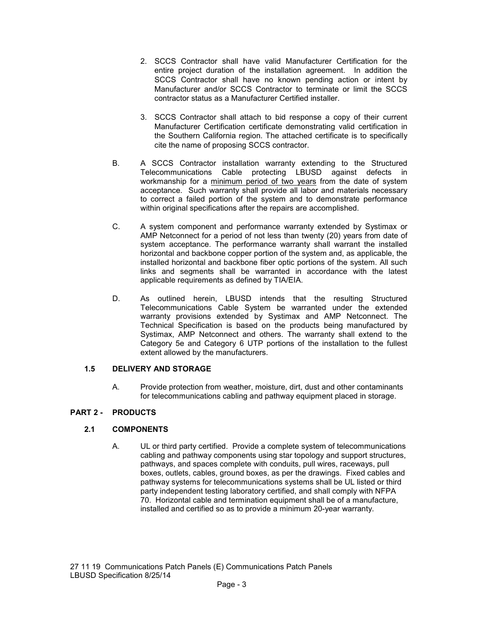- 2. SCCS Contractor shall have valid Manufacturer Certification for the entire project duration of the installation agreement. In addition the SCCS Contractor shall have no known pending action or intent by Manufacturer and/or SCCS Contractor to terminate or limit the SCCS contractor status as a Manufacturer Certified installer.
- 3. SCCS Contractor shall attach to bid response a copy of their current Manufacturer Certification certificate demonstrating valid certification in the Southern California region. The attached certificate is to specifically cite the name of proposing SCCS contractor.
- B. A SCCS Contractor installation warranty extending to the Structured Telecommunications Cable protecting LBUSD against defects in workmanship for a minimum period of two years from the date of system acceptance. Such warranty shall provide all labor and materials necessary to correct a failed portion of the system and to demonstrate performance within original specifications after the repairs are accomplished.
- C. A system component and performance warranty extended by Systimax or AMP Netconnect for a period of not less than twenty (20) years from date of system acceptance. The performance warranty shall warrant the installed horizontal and backbone copper portion of the system and, as applicable, the installed horizontal and backbone fiber optic portions of the system. All such links and segments shall be warranted in accordance with the latest applicable requirements as defined by TIA/EIA.
- D. As outlined herein, LBUSD intends that the resulting Structured Telecommunications Cable System be warranted under the extended warranty provisions extended by Systimax and AMP Netconnect. The Technical Specification is based on the products being manufactured by Systimax, AMP Netconnect and others. The warranty shall extend to the Category 5e and Category 6 UTP portions of the installation to the fullest extent allowed by the manufacturers.

# **1.5 DELIVERY AND STORAGE**

A. Provide protection from weather, moisture, dirt, dust and other contaminants for telecommunications cabling and pathway equipment placed in storage.

# **PART 2 - PRODUCTS**

# **2.1 COMPONENTS**

A. UL or third party certified. Provide a complete system of telecommunications cabling and pathway components using star topology and support structures, pathways, and spaces complete with conduits, pull wires, raceways, pull boxes, outlets, cables, ground boxes, as per the drawings. Fixed cables and pathway systems for telecommunications systems shall be UL listed or third party independent testing laboratory certified, and shall comply with NFPA 70. Horizontal cable and termination equipment shall be of a manufacture, installed and certified so as to provide a minimum 20-year warranty.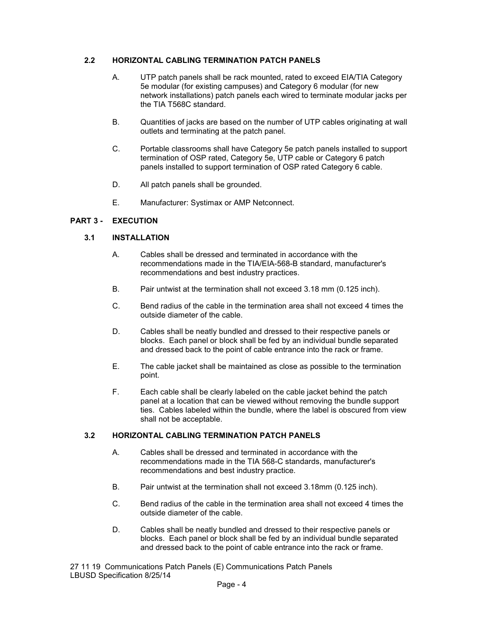## **2.2 HORIZONTAL CABLING TERMINATION PATCH PANELS**

- A. UTP patch panels shall be rack mounted, rated to exceed EIA/TIA Category 5e modular (for existing campuses) and Category 6 modular (for new network installations) patch panels each wired to terminate modular jacks per the TIA T568C standard.
- B. Quantities of jacks are based on the number of UTP cables originating at wall outlets and terminating at the patch panel.
- C. Portable classrooms shall have Category 5e patch panels installed to support termination of OSP rated, Category 5e, UTP cable or Category 6 patch panels installed to support termination of OSP rated Category 6 cable.
- D. All patch panels shall be grounded.
- E. Manufacturer: Systimax or AMP Netconnect.

# **PART 3 - EXECUTION**

## **3.1 INSTALLATION**

- A. Cables shall be dressed and terminated in accordance with the recommendations made in the TIA/EIA-568-B standard, manufacturer's recommendations and best industry practices.
- B. Pair untwist at the termination shall not exceed 3.18 mm (0.125 inch).
- C. Bend radius of the cable in the termination area shall not exceed 4 times the outside diameter of the cable.
- D. Cables shall be neatly bundled and dressed to their respective panels or blocks. Each panel or block shall be fed by an individual bundle separated and dressed back to the point of cable entrance into the rack or frame.
- E. The cable jacket shall be maintained as close as possible to the termination point.
- F. Each cable shall be clearly labeled on the cable jacket behind the patch panel at a location that can be viewed without removing the bundle support ties. Cables labeled within the bundle, where the label is obscured from view shall not be acceptable.

### **3.2 HORIZONTAL CABLING TERMINATION PATCH PANELS**

- A. Cables shall be dressed and terminated in accordance with the recommendations made in the TIA 568-C standards, manufacturer's recommendations and best industry practice.
- B. Pair untwist at the termination shall not exceed 3.18mm (0.125 inch).
- C. Bend radius of the cable in the termination area shall not exceed 4 times the outside diameter of the cable.
- D. Cables shall be neatly bundled and dressed to their respective panels or blocks. Each panel or block shall be fed by an individual bundle separated and dressed back to the point of cable entrance into the rack or frame.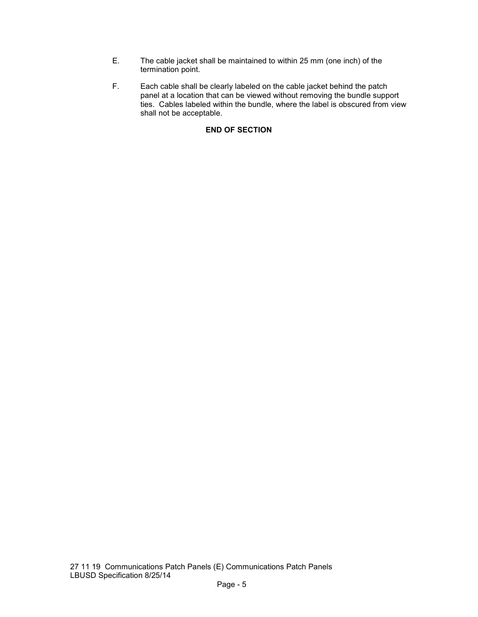- E. The cable jacket shall be maintained to within 25 mm (one inch) of the termination point.
- F. Each cable shall be clearly labeled on the cable jacket behind the patch panel at a location that can be viewed without removing the bundle support ties. Cables labeled within the bundle, where the label is obscured from view shall not be acceptable.

# **END OF SECTION**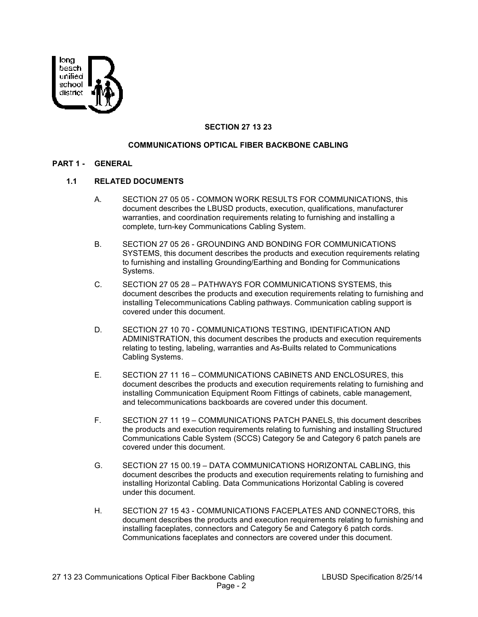

## **SECTION 27 13 23**

### **COMMUNICATIONS OPTICAL FIBER BACKBONE CABLING**

#### **PART 1 - GENERAL**

#### **1.1 RELATED DOCUMENTS**

- A. SECTION 27 05 05 COMMON WORK RESULTS FOR COMMUNICATIONS, this document describes the LBUSD products, execution, qualifications, manufacturer warranties, and coordination requirements relating to furnishing and installing a complete, turn-key Communications Cabling System.
- B. SECTION 27 05 26 GROUNDING AND BONDING FOR COMMUNICATIONS SYSTEMS, this document describes the products and execution requirements relating to furnishing and installing Grounding/Earthing and Bonding for Communications Systems.
- C. SECTION 27 05 28 PATHWAYS FOR COMMUNICATIONS SYSTEMS, this document describes the products and execution requirements relating to furnishing and installing Telecommunications Cabling pathways. Communication cabling support is covered under this document.
- D. SECTION 27 10 70 COMMUNICATIONS TESTING, IDENTIFICATION AND ADMINISTRATION, this document describes the products and execution requirements relating to testing, labeling, warranties and As-Builts related to Communications Cabling Systems.
- E. SECTION 27 11 16 COMMUNICATIONS CABINETS AND ENCLOSURES, this document describes the products and execution requirements relating to furnishing and installing Communication Equipment Room Fittings of cabinets, cable management, and telecommunications backboards are covered under this document.
- F. SECTION 27 11 19 COMMUNICATIONS PATCH PANELS, this document describes the products and execution requirements relating to furnishing and installing Structured Communications Cable System (SCCS) Category 5e and Category 6 patch panels are covered under this document.
- G. SECTION 27 15 00.19 DATA COMMUNICATIONS HORIZONTAL CABLING, this document describes the products and execution requirements relating to furnishing and installing Horizontal Cabling. Data Communications Horizontal Cabling is covered under this document.
- H. SECTION 27 15 43 COMMUNICATIONS FACEPLATES AND CONNECTORS, this document describes the products and execution requirements relating to furnishing and installing faceplates, connectors and Category 5e and Category 6 patch cords. Communications faceplates and connectors are covered under this document.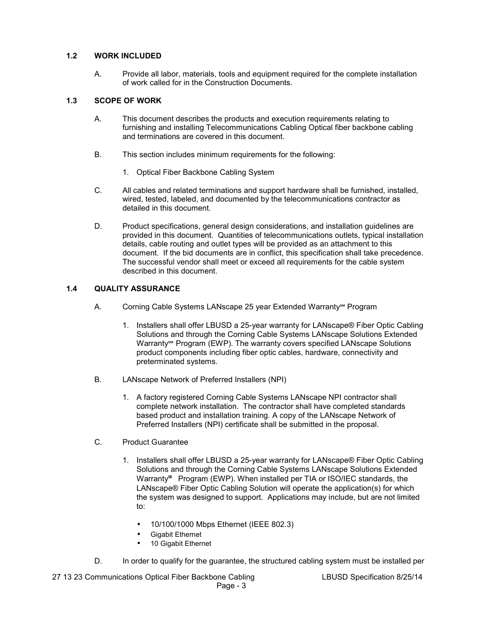## **1.2 WORK INCLUDED**

A. Provide all labor, materials, tools and equipment required for the complete installation of work called for in the Construction Documents.

## **1.3 SCOPE OF WORK**

- A. This document describes the products and execution requirements relating to furnishing and installing Telecommunications Cabling Optical fiber backbone cabling and terminations are covered in this document.
- B. This section includes minimum requirements for the following:
	- 1. Optical Fiber Backbone Cabling System
- C. All cables and related terminations and support hardware shall be furnished, installed, wired, tested, labeled, and documented by the telecommunications contractor as detailed in this document.
- D. Product specifications, general design considerations, and installation guidelines are provided in this document. Quantities of telecommunications outlets, typical installation details, cable routing and outlet types will be provided as an attachment to this document. If the bid documents are in conflict, this specification shall take precedence. The successful vendor shall meet or exceed all requirements for the cable system described in this document.

## **1.4 QUALITY ASSURANCE**

- A. Corning Cable Systems LANscape 25 year Extended Warranty<sup>™</sup> Program
	- 1. Installers shall offer LBUSD a 25-year warranty for LANscape® Fiber Optic Cabling Solutions and through the Corning Cable Systems LANscape Solutions Extended Warranty<sup>™</sup> Program (EWP). The warranty covers specified LANscape Solutions product components including fiber optic cables, hardware, connectivity and preterminated systems.
- B. LANscape Network of Preferred Installers (NPI)
	- 1. A factory registered Corning Cable Systems LANscape NPI contractor shall complete network installation. The contractor shall have completed standards based product and installation training. A copy of the LANscape Network of Preferred Installers (NPI) certificate shall be submitted in the proposal.
- C. Product Guarantee
	- 1. Installers shall offer LBUSD a 25-year warranty for LANscape® Fiber Optic Cabling Solutions and through the Corning Cable Systems LANscape Solutions Extended Warranty℠ Program (EWP). When installed per TIA or ISO/IEC standards, the LANscape® Fiber Optic Cabling Solution will operate the application(s) for which the system was designed to support. Applications may include, but are not limited to:
		- 10/100/1000 Mbps Ethernet (IEEE 802.3)
		- Gigabit Ethernet
		- 10 Gigabit Ethernet
- D. In order to qualify for the guarantee, the structured cabling system must be installed per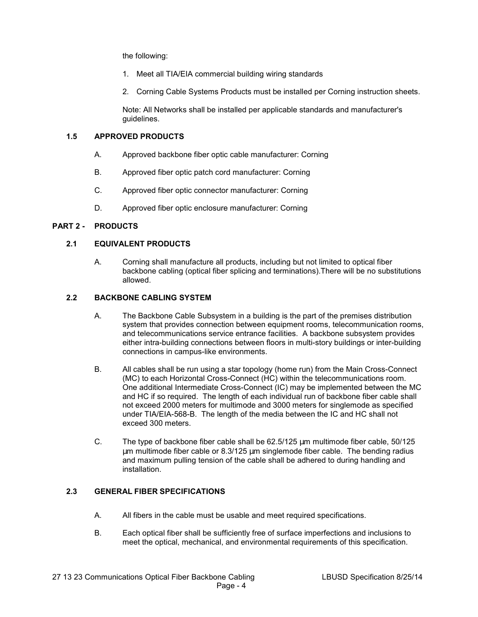the following:

- 1. Meet all TIA/EIA commercial building wiring standards
- 2. Corning Cable Systems Products must be installed per Corning instruction sheets.

Note: All Networks shall be installed per applicable standards and manufacturer's guidelines.

## **1.5 APPROVED PRODUCTS**

- A. Approved backbone fiber optic cable manufacturer: Corning
- B. Approved fiber optic patch cord manufacturer: Corning
- C. Approved fiber optic connector manufacturer: Corning
- D. Approved fiber optic enclosure manufacturer: Corning

### **PART 2 - PRODUCTS**

### **2.1 EQUIVALENT PRODUCTS**

A. Corning shall manufacture all products, including but not limited to optical fiber backbone cabling (optical fiber splicing and terminations).There will be no substitutions allowed.

### **2.2 BACKBONE CABLING SYSTEM**

- A. The Backbone Cable Subsystem in a building is the part of the premises distribution system that provides connection between equipment rooms, telecommunication rooms, and telecommunications service entrance facilities. A backbone subsystem provides either intra-building connections between floors in multi-story buildings or inter-building connections in campus-like environments.
- B. All cables shall be run using a star topology (home run) from the Main Cross-Connect (MC) to each Horizontal Cross-Connect (HC) within the telecommunications room. One additional Intermediate Cross-Connect (IC) may be implemented between the MC and HC if so required. The length of each individual run of backbone fiber cable shall not exceed 2000 meters for multimode and 3000 meters for singlemode as specified under TIA/EIA-568-B. The length of the media between the IC and HC shall not exceed 300 meters.
- C. The type of backbone fiber cable shall be  $62.5/125 \mu m$  multimode fiber cable,  $50/125$ µm multimode fiber cable or 8.3/125 µm singlemode fiber cable. The bending radius and maximum pulling tension of the cable shall be adhered to during handling and installation.

# **2.3 GENERAL FIBER SPECIFICATIONS**

- A. All fibers in the cable must be usable and meet required specifications.
- B. Each optical fiber shall be sufficiently free of surface imperfections and inclusions to meet the optical, mechanical, and environmental requirements of this specification.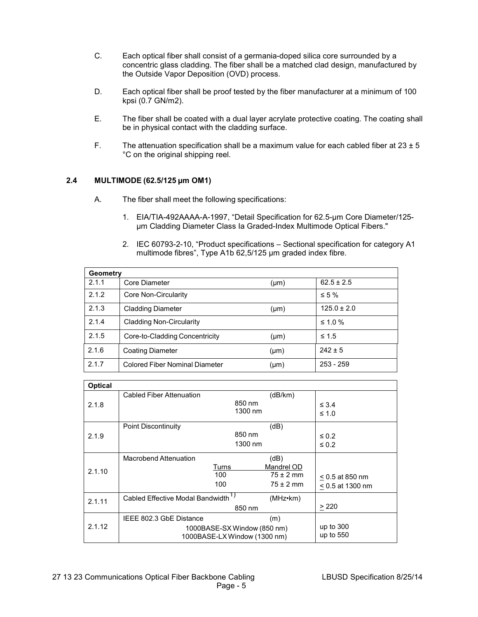- C. Each optical fiber shall consist of a germania-doped silica core surrounded by a concentric glass cladding. The fiber shall be a matched clad design, manufactured by the Outside Vapor Deposition (OVD) process.
- D. Each optical fiber shall be proof tested by the fiber manufacturer at a minimum of 100 kpsi (0.7 GN/m2).
- E. The fiber shall be coated with a dual layer acrylate protective coating. The coating shall be in physical contact with the cladding surface.
- F. The attenuation specification shall be a maximum value for each cabled fiber at  $23 \pm 5$ °C on the original shipping reel.

## **2.4 MULTIMODE (62.5/125 µm OM1)**

- A. The fiber shall meet the following specifications:
	- 1. EIA/TIA-492AAAA-A-1997, "Detail Specification for 62.5-µm Core Diameter/125 µm Cladding Diameter Class Ia Graded-Index Multimode Optical Fibers."
	- 2. IEC 60793-2-10, "Product specifications Sectional specification for category A1 multimode fibres", Type A1b 62,5/125 µm graded index fibre.

| Geometry |                                       |           |                 |  |
|----------|---------------------------------------|-----------|-----------------|--|
| 2.1.1    | Core Diameter                         | $(\mu m)$ | $62.5 \pm 2.5$  |  |
| 2.1.2    | Core Non-Circularity                  |           | $\leq 5\%$      |  |
| 2.1.3    | <b>Cladding Diameter</b>              | $(\mu m)$ | $125.0 \pm 2.0$ |  |
| 2.1.4    | <b>Cladding Non-Circularity</b>       |           | $\leq 1.0 \%$   |  |
| 2.1.5    | Core-to-Cladding Concentricity        | $(\mu m)$ | $\leq 1.5$      |  |
| 2.1.6    | <b>Coating Diameter</b>               | (µm)      | $242 \pm 5$     |  |
| 2.1.7    | <b>Colored Fiber Nominal Diameter</b> | (µm)      | $253 - 259$     |  |

| <b>Optical</b> |                                                                                               |                                                      |                                         |
|----------------|-----------------------------------------------------------------------------------------------|------------------------------------------------------|-----------------------------------------|
| 2.1.8          | Cabled Fiber Attenuation                                                                      | (dB/km)<br>850 nm<br>1300 nm                         | $\leq 3.4$<br>$\leq 1.0$                |
| 2.1.9          | <b>Point Discontinuity</b>                                                                    | (dB)<br>850 nm<br>1300 nm                            | $\leq 0.2$<br>$\leq 0.2$                |
| 2.1.10         | Macrobend Attenuation<br>Turns<br>100<br>100                                                  | (dB)<br>Mandrel OD<br>$75 \pm 2$ mm<br>$75 \pm 2$ mm | $< 0.5$ at 850 nm<br>$< 0.5$ at 1300 nm |
| 2.1.11         | Cabled Effective Modal Bandwidth <sup>1)</sup>                                                | (MHz•km)<br>850 nm                                   | $\geq$ 220                              |
| 2.1.12         | IEEE 802.3 GbE Distance<br>(m)<br>1000BASE-SX Window (850 nm)<br>1000BASE-LX Window (1300 nm) |                                                      | up to 300<br>up to 550                  |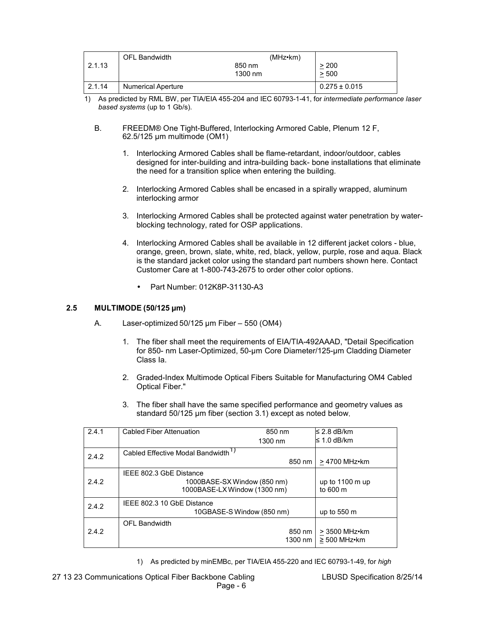|        | <b>OFL Bandwidth</b>      | $(MHz \cdot km)$ |                   |
|--------|---------------------------|------------------|-------------------|
| 2.1.13 |                           | 850 nm           | > 200             |
|        |                           | 1300 nm          | > 500             |
| 2.1.14 | <b>Numerical Aperture</b> |                  | $0.275 \pm 0.015$ |

- 1) As predicted by RML BW, per TIA/EIA 455-204 and IEC 60793-1-41, for *intermediate performance laser based systems* (up to 1 Gb/s).
	- B. FREEDM® One Tight-Buffered, Interlocking Armored Cable, Plenum 12 F, 62.5/125 µm multimode (OM1)
		- 1. Interlocking Armored Cables shall be flame-retardant, indoor/outdoor, cables designed for inter-building and intra-building back- bone installations that eliminate the need for a transition splice when entering the building.
		- 2. Interlocking Armored Cables shall be encased in a spirally wrapped, aluminum interlocking armor
		- 3. Interlocking Armored Cables shall be protected against water penetration by waterblocking technology, rated for OSP applications.
		- 4. Interlocking Armored Cables shall be available in 12 different jacket colors blue, orange, green, brown, slate, white, red, black, yellow, purple, rose and aqua. Black is the standard jacket color using the standard part numbers shown here. Contact Customer Care at 1-800-743-2675 to order other color options.
			- Part Number: 012K8P-31130-A3

# **2.5 MULTIMODE (50/125 µm)**

- A. Laser-optimized 50/125 µm Fiber 550 (OM4)
	- 1. The fiber shall meet the requirements of EIA/TIA-492AAAD, "Detail Specification for 850- nm Laser-Optimized, 50-µm Core Diameter/125-µm Cladding Diameter Class Ia.
	- 2. Graded-Index Multimode Optical Fibers Suitable for Manufacturing OM4 Cabled Optical Fiber."
	- 3. The fiber shall have the same specified performance and geometry values as standard 50/125 µm fiber (section 3.1) except as noted below.

| 2.4.1 | Cabled Fiber Attenuation                       | 850 nm                    | ≤ 2.8 dB/km           |
|-------|------------------------------------------------|---------------------------|-----------------------|
|       |                                                | 1300 nm                   | l≤ 1.0 dB/km          |
| 2.4.2 | Cabled Effective Modal Bandwidth <sup>1)</sup> |                           |                       |
|       |                                                | 850 nm                    | > 4700 MHz•km         |
|       | IEEE 802.3 GbE Distance                        |                           |                       |
| 242   | 1000BASE-SX Window (850 nm)                    | up to $1100 \text{ m}$ up |                       |
|       | 1000BASE-LX Window (1300 nm)                   | to 600 m                  |                       |
| 2.4.2 | IEEE 802.3 10 GbE Distance                     |                           |                       |
|       | 10GBASE-S Window (850 nm)                      |                           | up to $550 \text{ m}$ |
|       | <b>OFL Bandwidth</b>                           |                           |                       |
| 242   |                                                | 850 nm                    | > 3500 MHz•km         |
|       |                                                | 1300 nm                   | $\geq 500$ MHz•km     |

1) As predicted by minEMBc, per TIA/EIA 455-220 and IEC 60793-1-49, for *high*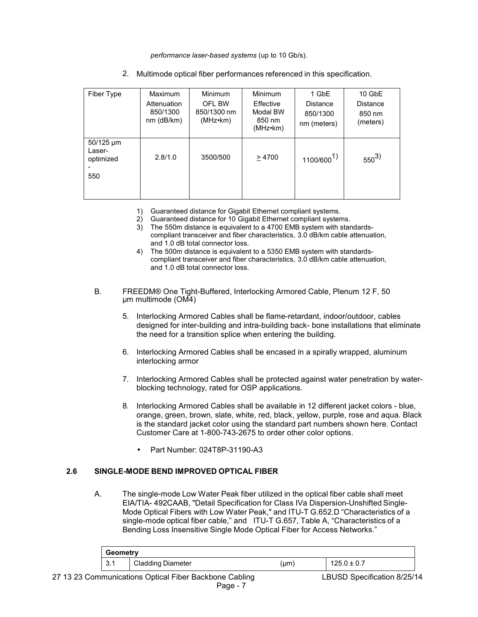*performance laser-based systems* (up to 10 Gb/s).

| Fiber Type                                   | <b>Maximum</b><br>Attenuation<br>850/1300<br>$nm$ ( $dB/km$ ) | Minimum<br>OFL BW<br>850/1300 nm<br>(MHz•km) | <b>Minimum</b><br>Effective<br>Modal BW<br>850 nm<br>(MHz•km) | 1 GbE<br><b>Distance</b><br>850/1300<br>nm (meters) | 10 GbE<br>Distance<br>850 nm<br>(meters) |
|----------------------------------------------|---------------------------------------------------------------|----------------------------------------------|---------------------------------------------------------------|-----------------------------------------------------|------------------------------------------|
| $50/125 \mu m$<br>Laser-<br>optimized<br>550 | 2.8/1.0                                                       | 3500/500                                     | >4700                                                         | $1100/600^{1}$                                      | $550^{3}$                                |

2. Multimode optical fiber performances referenced in this specification.

- 1) Guaranteed distance for Gigabit Ethernet compliant systems.
- 2) Guaranteed distance for 10 Gigabit Ethernet compliant systems.
- 3) The 550m distance is equivalent to a 4700 EMB system with standardscompliant transceiver and fiber characteristics, 3.0 dB/km cable attenuation, and 1.0 dB total connector loss.
- 4) The 500m distance is equivalent to a 5350 EMB system with standardscompliant transceiver and fiber characteristics, 3.0 dB/km cable attenuation, and 1.0 dB total connector loss.
- B. FREEDM® One Tight-Buffered, Interlocking Armored Cable, Plenum 12 F, 50 µm multimode (OM4)
	- 5. Interlocking Armored Cables shall be flame-retardant, indoor/outdoor, cables designed for inter-building and intra-building back- bone installations that eliminate the need for a transition splice when entering the building.
	- 6. Interlocking Armored Cables shall be encased in a spirally wrapped, aluminum interlocking armor
	- 7. Interlocking Armored Cables shall be protected against water penetration by waterblocking technology, rated for OSP applications.
	- 8. Interlocking Armored Cables shall be available in 12 different jacket colors blue, orange, green, brown, slate, white, red, black, yellow, purple, rose and aqua. Black is the standard jacket color using the standard part numbers shown here. Contact Customer Care at 1-800-743-2675 to order other color options.
		- Part Number: 024T8P-31190-A3

# **2.6 SINGLE-MODE BEND IMPROVED OPTICAL FIBER**

A. The single-mode Low Water Peak fiber utilized in the optical fiber cable shall meet EIA/TIA- 492CAAB, "Detail Specification for Class IVa Dispersion-Unshifted Single-Mode Optical Fibers with Low Water Peak," and ITU-T G.652.D "Characteristics of a single-mode optical fiber cable," and ITU-T G.657, Table A, "Characteristics of a Bending Loss Insensitive Single Mode Optical Fiber for Access Networks."

| Geometry      |                          |      |                 |  |
|---------------|--------------------------|------|-----------------|--|
| l 21<br>ا . ب | <b>Cladding Diameter</b> | (µm) | $125.0 \pm 0.7$ |  |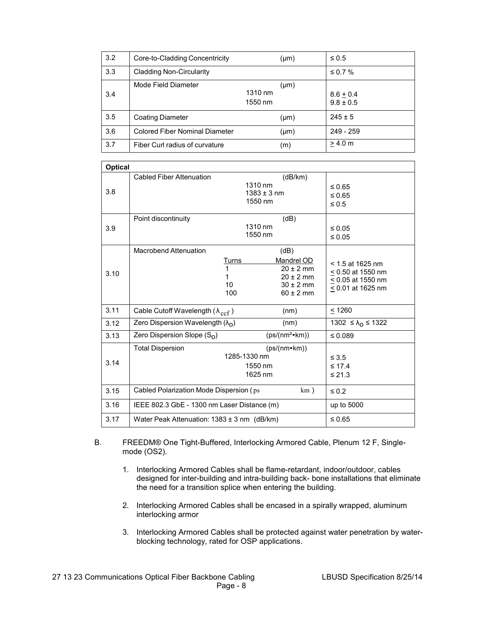| 3.2 | Core-to-Cladding Concentricity        | $(\mu m)$                       | $\leq 0.5$                   |
|-----|---------------------------------------|---------------------------------|------------------------------|
| 3.3 | <b>Cladding Non-Circularity</b>       |                                 | ≤ 0.7 %                      |
| 3.4 | Mode Field Diameter                   | $(\mu m)$<br>1310 nm<br>1550 nm | $8.6 + 0.4$<br>$9.8 \pm 0.5$ |
| 3.5 | <b>Coating Diameter</b>               | $(\mu m)$                       | $245 \pm 5$                  |
| 3.6 | <b>Colored Fiber Nominal Diameter</b> | $(\mu m)$                       | $249 - 259$                  |
| 3.7 | Fiber Curl radius of curvature        | (m)                             | > 4.0 m                      |

| <b>Optical</b> |                                                    |                                       |                                                                                        |                                                                                          |  |
|----------------|----------------------------------------------------|---------------------------------------|----------------------------------------------------------------------------------------|------------------------------------------------------------------------------------------|--|
| 3.8            | Cabled Fiber Attenuation                           | 1310 nm<br>$1383 \pm 3$ nm<br>1550 nm | (dB/km)                                                                                | $\leq 0.65$<br>$\leq 0.65$<br>$\leq 0.5$                                                 |  |
| 3.9            | Point discontinuity                                | 1310 nm<br>1550 nm                    | (dB)                                                                                   | $\leq 0.05$<br>$\leq 0.05$                                                               |  |
| 3.10           | <b>Macrobend Attenuation</b>                       | Turns<br>1<br>1<br>10<br>100          | (dB)<br>Mandrel OD<br>$20 \pm 2$ mm<br>$20 \pm 2$ mm<br>$30 \pm 2$ mm<br>$60 \pm 2$ mm | $<$ 1.5 at 1625 nm<br>≤ 0.50 at 1550 nm<br>$< 0.05$ at 1550 nm<br>$\leq$ 0.01 at 1625 nm |  |
| 3.11           | Cable Cutoff Wavelength ( $\lambda_{\text{ccf}}$ ) |                                       | (nm)                                                                                   | < 1260                                                                                   |  |
| 3.12           | Zero Dispersion Wavelength $(\lambda_{\Omega})$    |                                       | (nm)                                                                                   | 1302 ≤ $\lambda_0$ ≤ 1322                                                                |  |
| 3.13           | Zero Dispersion Slope $(S_0)$                      |                                       | $(ps/(nm^2*km))$                                                                       | $\leq 0.089$                                                                             |  |
| 3.14           | <b>Total Dispersion</b>                            | 1285-1330 nm<br>1550 nm<br>1625 nm    | $(ps/(nm*km))$                                                                         | $\leq 3.5$<br>$\leq$ 17.4<br>$\leq 21.3$                                                 |  |
| 3.15           | Cabled Polarization Mode Dispersion (ps)<br>km)    |                                       | $\leq 0.2$                                                                             |                                                                                          |  |
| 3.16           | IEEE 802.3 GbE - 1300 nm Laser Distance (m)        |                                       | up to 5000                                                                             |                                                                                          |  |
| 3.17           | Water Peak Attenuation: $1383 \pm 3$ nm (dB/km)    |                                       | $\leq 0.65$                                                                            |                                                                                          |  |

- B. FREEDM® One Tight-Buffered, Interlocking Armored Cable, Plenum 12 F, Singlemode (OS2).
	- 1. Interlocking Armored Cables shall be flame-retardant, indoor/outdoor, cables designed for inter-building and intra-building back- bone installations that eliminate the need for a transition splice when entering the building.
	- 2. Interlocking Armored Cables shall be encased in a spirally wrapped, aluminum interlocking armor
	- 3. Interlocking Armored Cables shall be protected against water penetration by waterblocking technology, rated for OSP applications.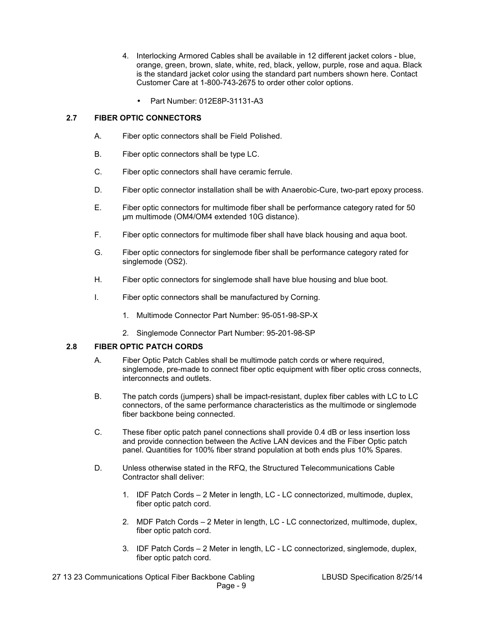- 4. Interlocking Armored Cables shall be available in 12 different jacket colors blue, orange, green, brown, slate, white, red, black, yellow, purple, rose and aqua. Black is the standard jacket color using the standard part numbers shown here. Contact Customer Care at 1-800-743-2675 to order other color options.
	- Part Number: 012E8P-31131-A3

## **2.7 FIBER OPTIC CONNECTORS**

- A. Fiber optic connectors shall be Field Polished.
- B. Fiber optic connectors shall be type LC.
- C. Fiber optic connectors shall have ceramic ferrule.
- D. Fiber optic connector installation shall be with Anaerobic-Cure, two-part epoxy process.
- E. Fiber optic connectors for multimode fiber shall be performance category rated for 50 µm multimode (OM4/OM4 extended 10G distance).
- F. Fiber optic connectors for multimode fiber shall have black housing and aqua boot.
- G. Fiber optic connectors for singlemode fiber shall be performance category rated for singlemode (OS2).
- H. Fiber optic connectors for singlemode shall have blue housing and blue boot.
- I. Fiber optic connectors shall be manufactured by Corning.
	- 1. Multimode Connector Part Number: 95-051-98-SP-X
	- 2. Singlemode Connector Part Number: 95-201-98-SP

#### **2.8 FIBER OPTIC PATCH CORDS**

- A. Fiber Optic Patch Cables shall be multimode patch cords or where required, singlemode, pre-made to connect fiber optic equipment with fiber optic cross connects, interconnects and outlets.
- B. The patch cords (jumpers) shall be impact-resistant, duplex fiber cables with LC to LC connectors, of the same performance characteristics as the multimode or singlemode fiber backbone being connected.
- C. These fiber optic patch panel connections shall provide 0.4 dB or less insertion loss and provide connection between the Active LAN devices and the Fiber Optic patch panel. Quantities for 100% fiber strand population at both ends plus 10% Spares.
- D. Unless otherwise stated in the RFQ, the Structured Telecommunications Cable Contractor shall deliver:
	- 1. IDF Patch Cords 2 Meter in length, LC LC connectorized, multimode, duplex, fiber optic patch cord.
	- 2. MDF Patch Cords 2 Meter in length, LC LC connectorized, multimode, duplex, fiber optic patch cord.
	- 3. IDF Patch Cords 2 Meter in length, LC LC connectorized, singlemode, duplex, fiber optic patch cord.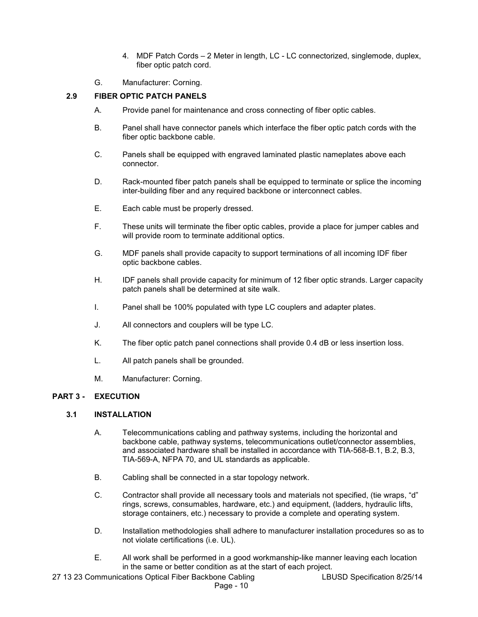- 4. MDF Patch Cords 2 Meter in length, LC LC connectorized, singlemode, duplex, fiber optic patch cord.
- G. Manufacturer: Corning.

## **2.9 FIBER OPTIC PATCH PANELS**

- A. Provide panel for maintenance and cross connecting of fiber optic cables.
- B. Panel shall have connector panels which interface the fiber optic patch cords with the fiber optic backbone cable.
- C. Panels shall be equipped with engraved laminated plastic nameplates above each connector.
- D. Rack-mounted fiber patch panels shall be equipped to terminate or splice the incoming inter-building fiber and any required backbone or interconnect cables.
- E. Each cable must be properly dressed.
- F. These units will terminate the fiber optic cables, provide a place for jumper cables and will provide room to terminate additional optics.
- G. MDF panels shall provide capacity to support terminations of all incoming IDF fiber optic backbone cables.
- H. IDF panels shall provide capacity for minimum of 12 fiber optic strands. Larger capacity patch panels shall be determined at site walk.
- I. Panel shall be 100% populated with type LC couplers and adapter plates.
- J. All connectors and couplers will be type LC.
- K. The fiber optic patch panel connections shall provide 0.4 dB or less insertion loss.
- L. All patch panels shall be grounded.
- M. Manufacturer: Corning.

### **PART 3 - EXECUTION**

#### **3.1 INSTALLATION**

- A. Telecommunications cabling and pathway systems, including the horizontal and backbone cable, pathway systems, telecommunications outlet/connector assemblies, and associated hardware shall be installed in accordance with TIA-568-B.1, B.2, B.3, TIA-569-A, NFPA 70, and UL standards as applicable.
- B. Cabling shall be connected in a star topology network.
- C. Contractor shall provide all necessary tools and materials not specified, (tie wraps, "d" rings, screws, consumables, hardware, etc.) and equipment, (ladders, hydraulic lifts, storage containers, etc.) necessary to provide a complete and operating system.
- D. Installation methodologies shall adhere to manufacturer installation procedures so as to not violate certifications (i.e. UL).
- E. All work shall be performed in a good workmanship-like manner leaving each location in the same or better condition as at the start of each project.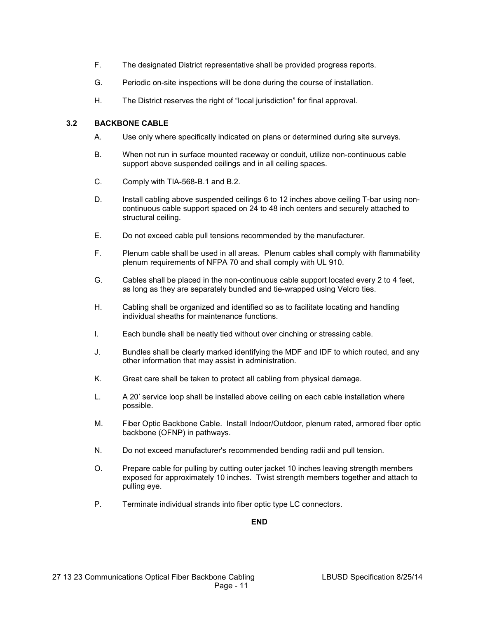- F. The designated District representative shall be provided progress reports.
- G. Periodic on-site inspections will be done during the course of installation.
- H. The District reserves the right of "local jurisdiction" for final approval.

## **3.2 BACKBONE CABLE**

- A. Use only where specifically indicated on plans or determined during site surveys.
- B. When not run in surface mounted raceway or conduit, utilize non-continuous cable support above suspended ceilings and in all ceiling spaces.
- C. Comply with TIA-568-B.1 and B.2.
- D. Install cabling above suspended ceilings 6 to 12 inches above ceiling T-bar using noncontinuous cable support spaced on 24 to 48 inch centers and securely attached to structural ceiling.
- E. Do not exceed cable pull tensions recommended by the manufacturer.
- F. Plenum cable shall be used in all areas. Plenum cables shall comply with flammability plenum requirements of NFPA 70 and shall comply with UL 910.
- G. Cables shall be placed in the non-continuous cable support located every 2 to 4 feet, as long as they are separately bundled and tie-wrapped using Velcro ties.
- H. Cabling shall be organized and identified so as to facilitate locating and handling individual sheaths for maintenance functions.
- I. Each bundle shall be neatly tied without over cinching or stressing cable.
- J. Bundles shall be clearly marked identifying the MDF and IDF to which routed, and any other information that may assist in administration.
- K. Great care shall be taken to protect all cabling from physical damage.
- L. A 20' service loop shall be installed above ceiling on each cable installation where possible.
- M. Fiber Optic Backbone Cable. Install Indoor/Outdoor, plenum rated, armored fiber optic backbone (OFNP) in pathways.
- N. Do not exceed manufacturer's recommended bending radii and pull tension.
- O. Prepare cable for pulling by cutting outer jacket 10 inches leaving strength members exposed for approximately 10 inches. Twist strength members together and attach to pulling eye.
- P. Terminate individual strands into fiber optic type LC connectors.

**END**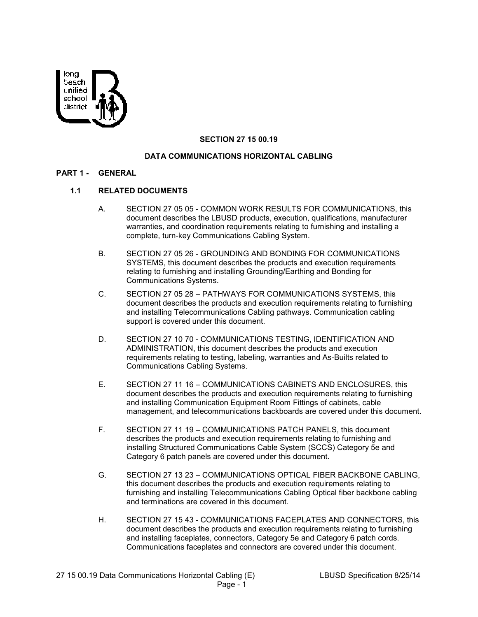

## **SECTION 27 15 00.19**

### **DATA COMMUNICATIONS HORIZONTAL CABLING**

#### **PART 1 - GENERAL**

# **1.1 RELATED DOCUMENTS**

- A. SECTION 27 05 05 COMMON WORK RESULTS FOR COMMUNICATIONS, this document describes the LBUSD products, execution, qualifications, manufacturer warranties, and coordination requirements relating to furnishing and installing a complete, turn-key Communications Cabling System.
- B. SECTION 27 05 26 GROUNDING AND BONDING FOR COMMUNICATIONS SYSTEMS, this document describes the products and execution requirements relating to furnishing and installing Grounding/Earthing and Bonding for Communications Systems.
- C. SECTION 27 05 28 PATHWAYS FOR COMMUNICATIONS SYSTEMS, this document describes the products and execution requirements relating to furnishing and installing Telecommunications Cabling pathways. Communication cabling support is covered under this document.
- D. SECTION 27 10 70 COMMUNICATIONS TESTING, IDENTIFICATION AND ADMINISTRATION, this document describes the products and execution requirements relating to testing, labeling, warranties and As-Builts related to Communications Cabling Systems.
- E. SECTION 27 11 16 COMMUNICATIONS CABINETS AND ENCLOSURES, this document describes the products and execution requirements relating to furnishing and installing Communication Equipment Room Fittings of cabinets, cable management, and telecommunications backboards are covered under this document.
- F. SECTION 27 11 19 COMMUNICATIONS PATCH PANELS, this document describes the products and execution requirements relating to furnishing and installing Structured Communications Cable System (SCCS) Category 5e and Category 6 patch panels are covered under this document.
- G. SECTION 27 13 23 COMMUNICATIONS OPTICAL FIBER BACKBONE CABLING, this document describes the products and execution requirements relating to furnishing and installing Telecommunications Cabling Optical fiber backbone cabling and terminations are covered in this document.
- H. SECTION 27 15 43 COMMUNICATIONS FACEPLATES AND CONNECTORS, this document describes the products and execution requirements relating to furnishing and installing faceplates, connectors, Category 5e and Category 6 patch cords. Communications faceplates and connectors are covered under this document.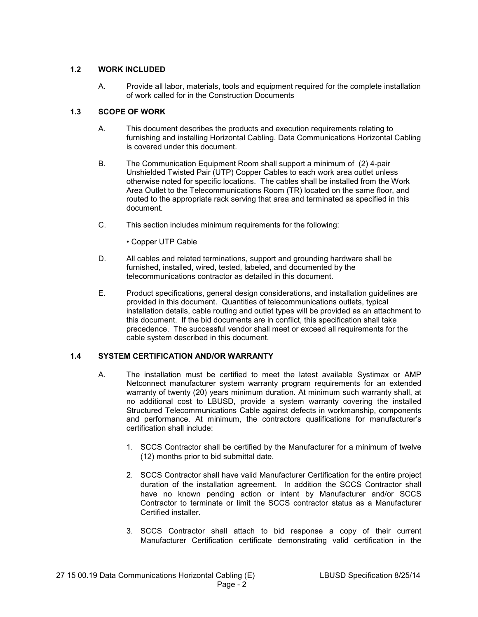## **1.2 WORK INCLUDED**

A. Provide all labor, materials, tools and equipment required for the complete installation of work called for in the Construction Documents

# **1.3 SCOPE OF WORK**

- A. This document describes the products and execution requirements relating to furnishing and installing Horizontal Cabling. Data Communications Horizontal Cabling is covered under this document.
- B. The Communication Equipment Room shall support a minimum of (2) 4-pair Unshielded Twisted Pair (UTP) Copper Cables to each work area outlet unless otherwise noted for specific locations. The cables shall be installed from the Work Area Outlet to the Telecommunications Room (TR) located on the same floor, and routed to the appropriate rack serving that area and terminated as specified in this document.
- C. This section includes minimum requirements for the following:
	- Copper UTP Cable
- D. All cables and related terminations, support and grounding hardware shall be furnished, installed, wired, tested, labeled, and documented by the telecommunications contractor as detailed in this document.
- E. Product specifications, general design considerations, and installation guidelines are provided in this document. Quantities of telecommunications outlets, typical installation details, cable routing and outlet types will be provided as an attachment to this document. If the bid documents are in conflict, this specification shall take precedence. The successful vendor shall meet or exceed all requirements for the cable system described in this document.

# **1.4 SYSTEM CERTIFICATION AND/OR WARRANTY**

- A. The installation must be certified to meet the latest available Systimax or AMP Netconnect manufacturer system warranty program requirements for an extended warranty of twenty (20) years minimum duration. At minimum such warranty shall, at no additional cost to LBUSD, provide a system warranty covering the installed Structured Telecommunications Cable against defects in workmanship, components and performance. At minimum, the contractors qualifications for manufacturer's certification shall include:
	- 1. SCCS Contractor shall be certified by the Manufacturer for a minimum of twelve (12) months prior to bid submittal date.
	- 2. SCCS Contractor shall have valid Manufacturer Certification for the entire project duration of the installation agreement. In addition the SCCS Contractor shall have no known pending action or intent by Manufacturer and/or SCCS Contractor to terminate or limit the SCCS contractor status as a Manufacturer Certified installer.
	- 3. SCCS Contractor shall attach to bid response a copy of their current Manufacturer Certification certificate demonstrating valid certification in the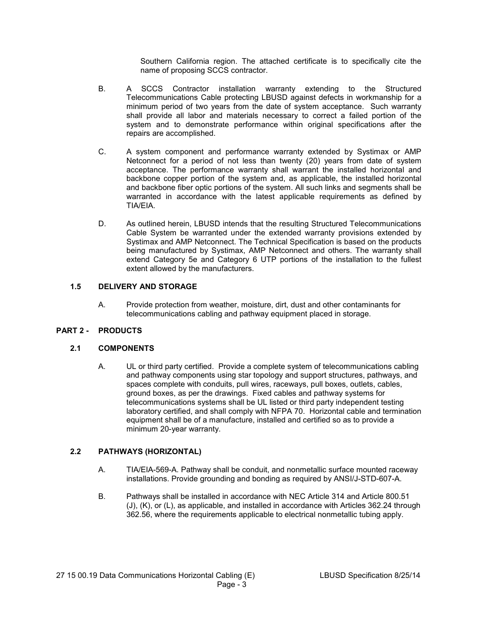Southern California region. The attached certificate is to specifically cite the name of proposing SCCS contractor.

- B. A SCCS Contractor installation warranty extending to the Structured Telecommunications Cable protecting LBUSD against defects in workmanship for a minimum period of two years from the date of system acceptance. Such warranty shall provide all labor and materials necessary to correct a failed portion of the system and to demonstrate performance within original specifications after the repairs are accomplished.
- C. A system component and performance warranty extended by Systimax or AMP Netconnect for a period of not less than twenty (20) years from date of system acceptance. The performance warranty shall warrant the installed horizontal and backbone copper portion of the system and, as applicable, the installed horizontal and backbone fiber optic portions of the system. All such links and segments shall be warranted in accordance with the latest applicable requirements as defined by TIA/EIA.
- D. As outlined herein, LBUSD intends that the resulting Structured Telecommunications Cable System be warranted under the extended warranty provisions extended by Systimax and AMP Netconnect. The Technical Specification is based on the products being manufactured by Systimax, AMP Netconnect and others. The warranty shall extend Category 5e and Category 6 UTP portions of the installation to the fullest extent allowed by the manufacturers.

## **1.5 DELIVERY AND STORAGE**

A. Provide protection from weather, moisture, dirt, dust and other contaminants for telecommunications cabling and pathway equipment placed in storage.

# **PART 2 - PRODUCTS**

### **2.1 COMPONENTS**

A. UL or third party certified. Provide a complete system of telecommunications cabling and pathway components using star topology and support structures, pathways, and spaces complete with conduits, pull wires, raceways, pull boxes, outlets, cables, ground boxes, as per the drawings. Fixed cables and pathway systems for telecommunications systems shall be UL listed or third party independent testing laboratory certified, and shall comply with NFPA 70. Horizontal cable and termination equipment shall be of a manufacture, installed and certified so as to provide a minimum 20-year warranty.

## **2.2 PATHWAYS (HORIZONTAL)**

- A. TIA/EIA-569-A. Pathway shall be conduit, and nonmetallic surface mounted raceway installations. Provide grounding and bonding as required by ANSI/J-STD-607-A.
- B. Pathways shall be installed in accordance with NEC Article 314 and Article 800.51 (J), (K), or (L), as applicable, and installed in accordance with Articles 362.24 through 362.56, where the requirements applicable to electrical nonmetallic tubing apply.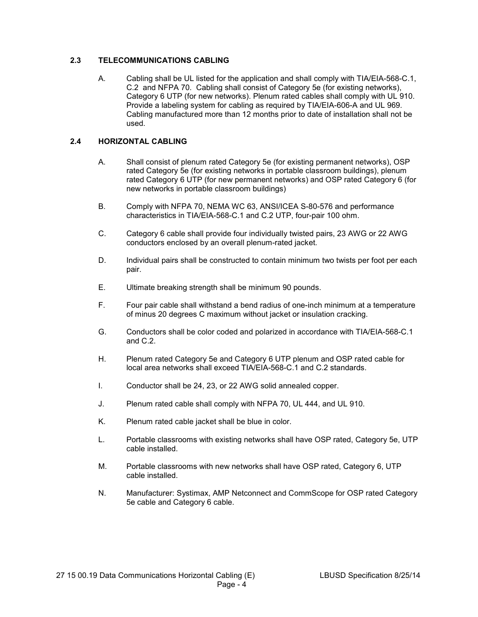# **2.3 TELECOMMUNICATIONS CABLING**

A. Cabling shall be UL listed for the application and shall comply with TIA/EIA-568-C.1, C.2 and NFPA 70. Cabling shall consist of Category 5e (for existing networks), Category 6 UTP (for new networks). Plenum rated cables shall comply with UL 910. Provide a labeling system for cabling as required by TIA/EIA-606-A and UL 969. Cabling manufactured more than 12 months prior to date of installation shall not be used.

## **2.4 HORIZONTAL CABLING**

- A. Shall consist of plenum rated Category 5e (for existing permanent networks), OSP rated Category 5e (for existing networks in portable classroom buildings), plenum rated Category 6 UTP (for new permanent networks) and OSP rated Category 6 (for new networks in portable classroom buildings)
- B. Comply with NFPA 70, NEMA WC 63, ANSI/ICEA S-80-576 and performance characteristics in TIA/EIA-568-C.1 and C.2 UTP, four-pair 100 ohm.
- C. Category 6 cable shall provide four individually twisted pairs, 23 AWG or 22 AWG conductors enclosed by an overall plenum-rated jacket.
- D. Individual pairs shall be constructed to contain minimum two twists per foot per each pair.
- E. Ultimate breaking strength shall be minimum 90 pounds.
- F. Four pair cable shall withstand a bend radius of one-inch minimum at a temperature of minus 20 degrees C maximum without jacket or insulation cracking.
- G. Conductors shall be color coded and polarized in accordance with TIA/EIA-568-C.1 and  $C.2$
- H. Plenum rated Category 5e and Category 6 UTP plenum and OSP rated cable for local area networks shall exceed TIA/EIA-568-C.1 and C.2 standards.
- I. Conductor shall be 24, 23, or 22 AWG solid annealed copper.
- J. Plenum rated cable shall comply with NFPA 70, UL 444, and UL 910.
- K. Plenum rated cable jacket shall be blue in color.
- L. Portable classrooms with existing networks shall have OSP rated, Category 5e, UTP cable installed.
- M. Portable classrooms with new networks shall have OSP rated, Category 6, UTP cable installed.
- N. Manufacturer: Systimax, AMP Netconnect and CommScope for OSP rated Category 5e cable and Category 6 cable.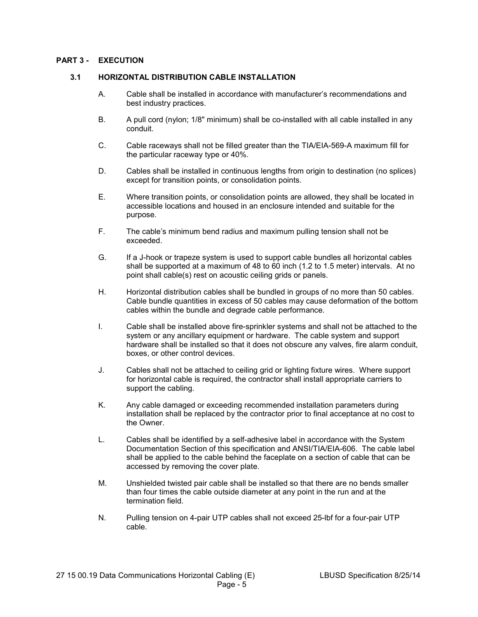### **PART 3 - EXECUTION**

### **3.1 HORIZONTAL DISTRIBUTION CABLE INSTALLATION**

- A. Cable shall be installed in accordance with manufacturer's recommendations and best industry practices.
- B. A pull cord (nylon; 1/8" minimum) shall be co-installed with all cable installed in any conduit.
- C. Cable raceways shall not be filled greater than the TIA/EIA-569-A maximum fill for the particular raceway type or 40%.
- D. Cables shall be installed in continuous lengths from origin to destination (no splices) except for transition points, or consolidation points.
- E. Where transition points, or consolidation points are allowed, they shall be located in accessible locations and housed in an enclosure intended and suitable for the purpose.
- F. The cable's minimum bend radius and maximum pulling tension shall not be exceeded.
- G. If a J-hook or trapeze system is used to support cable bundles all horizontal cables shall be supported at a maximum of 48 to 60 inch (1.2 to 1.5 meter) intervals. At no point shall cable(s) rest on acoustic ceiling grids or panels.
- H. Horizontal distribution cables shall be bundled in groups of no more than 50 cables. Cable bundle quantities in excess of 50 cables may cause deformation of the bottom cables within the bundle and degrade cable performance.
- I. Cable shall be installed above fire-sprinkler systems and shall not be attached to the system or any ancillary equipment or hardware. The cable system and support hardware shall be installed so that it does not obscure any valves, fire alarm conduit, boxes, or other control devices.
- J. Cables shall not be attached to ceiling grid or lighting fixture wires. Where support for horizontal cable is required, the contractor shall install appropriate carriers to support the cabling.
- K. Any cable damaged or exceeding recommended installation parameters during installation shall be replaced by the contractor prior to final acceptance at no cost to the Owner.
- L. Cables shall be identified by a self-adhesive label in accordance with the System Documentation Section of this specification and ANSI/TIA/EIA-606. The cable label shall be applied to the cable behind the faceplate on a section of cable that can be accessed by removing the cover plate.
- M. Unshielded twisted pair cable shall be installed so that there are no bends smaller than four times the cable outside diameter at any point in the run and at the termination field.
- N. Pulling tension on 4-pair UTP cables shall not exceed 25-lbf for a four-pair UTP cable.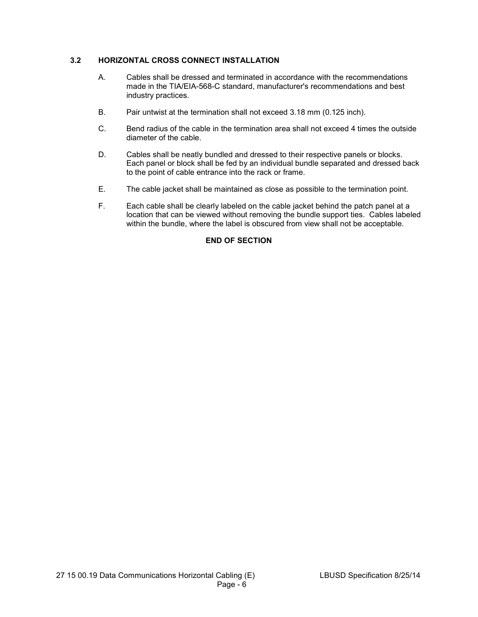## **3.2 HORIZONTAL CROSS CONNECT INSTALLATION**

- A. Cables shall be dressed and terminated in accordance with the recommendations made in the TIA/EIA-568-C standard, manufacturer's recommendations and best industry practices.
- B. Pair untwist at the termination shall not exceed 3.18 mm (0.125 inch).
- C. Bend radius of the cable in the termination area shall not exceed 4 times the outside diameter of the cable.
- D. Cables shall be neatly bundled and dressed to their respective panels or blocks. Each panel or block shall be fed by an individual bundle separated and dressed back to the point of cable entrance into the rack or frame.
- E. The cable jacket shall be maintained as close as possible to the termination point.
- F. Each cable shall be clearly labeled on the cable jacket behind the patch panel at a location that can be viewed without removing the bundle support ties. Cables labeled within the bundle, where the label is obscured from view shall not be acceptable.

# **END OF SECTION**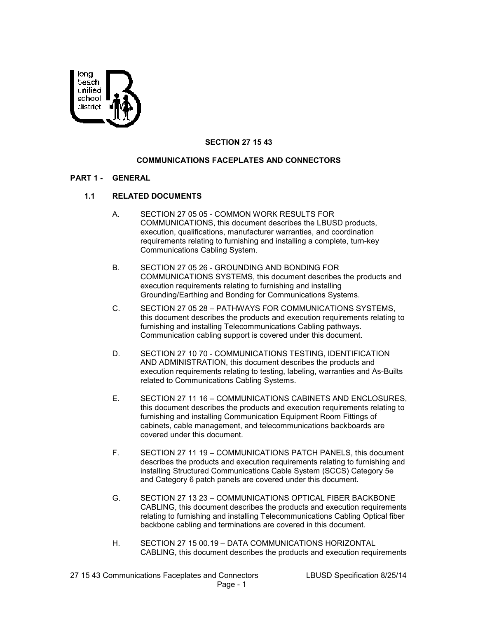

### **SECTION 27 15 43**

#### **COMMUNICATIONS FACEPLATES AND CONNECTORS**

#### **PART 1 - GENERAL**

#### **1.1 RELATED DOCUMENTS**

- A. SECTION 27 05 05 COMMON WORK RESULTS FOR COMMUNICATIONS, this document describes the LBUSD products, execution, qualifications, manufacturer warranties, and coordination requirements relating to furnishing and installing a complete, turn-key Communications Cabling System.
- B. SECTION 27 05 26 GROUNDING AND BONDING FOR COMMUNICATIONS SYSTEMS, this document describes the products and execution requirements relating to furnishing and installing Grounding/Earthing and Bonding for Communications Systems.
- C. SECTION 27 05 28 PATHWAYS FOR COMMUNICATIONS SYSTEMS, this document describes the products and execution requirements relating to furnishing and installing Telecommunications Cabling pathways. Communication cabling support is covered under this document.
- D. SECTION 27 10 70 COMMUNICATIONS TESTING, IDENTIFICATION AND ADMINISTRATION, this document describes the products and execution requirements relating to testing, labeling, warranties and As-Builts related to Communications Cabling Systems.
- E. SECTION 27 11 16 COMMUNICATIONS CABINETS AND ENCLOSURES, this document describes the products and execution requirements relating to furnishing and installing Communication Equipment Room Fittings of cabinets, cable management, and telecommunications backboards are covered under this document.
- F. SECTION 27 11 19 COMMUNICATIONS PATCH PANELS, this document describes the products and execution requirements relating to furnishing and installing Structured Communications Cable System (SCCS) Category 5e and Category 6 patch panels are covered under this document.
- G. SECTION 27 13 23 COMMUNICATIONS OPTICAL FIBER BACKBONE CABLING, this document describes the products and execution requirements relating to furnishing and installing Telecommunications Cabling Optical fiber backbone cabling and terminations are covered in this document.
- H. SECTION 27 15 00.19 DATA COMMUNICATIONS HORIZONTAL CABLING, this document describes the products and execution requirements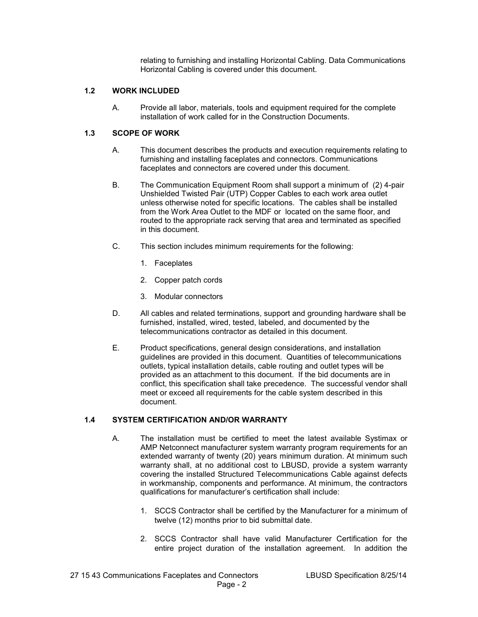relating to furnishing and installing Horizontal Cabling. Data Communications Horizontal Cabling is covered under this document.

## **1.2 WORK INCLUDED**

A. Provide all labor, materials, tools and equipment required for the complete installation of work called for in the Construction Documents.

# **1.3 SCOPE OF WORK**

- A. This document describes the products and execution requirements relating to furnishing and installing faceplates and connectors. Communications faceplates and connectors are covered under this document.
- B. The Communication Equipment Room shall support a minimum of (2) 4-pair Unshielded Twisted Pair (UTP) Copper Cables to each work area outlet unless otherwise noted for specific locations. The cables shall be installed from the Work Area Outlet to the MDF or located on the same floor, and routed to the appropriate rack serving that area and terminated as specified in this document.
- C. This section includes minimum requirements for the following:
	- 1. Faceplates
	- 2. Copper patch cords
	- 3. Modular connectors
- D. All cables and related terminations, support and grounding hardware shall be furnished, installed, wired, tested, labeled, and documented by the telecommunications contractor as detailed in this document.
- E. Product specifications, general design considerations, and installation guidelines are provided in this document. Quantities of telecommunications outlets, typical installation details, cable routing and outlet types will be provided as an attachment to this document. If the bid documents are in conflict, this specification shall take precedence. The successful vendor shall meet or exceed all requirements for the cable system described in this document.

# **1.4 SYSTEM CERTIFICATION AND/OR WARRANTY**

- A. The installation must be certified to meet the latest available Systimax or AMP Netconnect manufacturer system warranty program requirements for an extended warranty of twenty (20) years minimum duration. At minimum such warranty shall, at no additional cost to LBUSD, provide a system warranty covering the installed Structured Telecommunications Cable against defects in workmanship, components and performance. At minimum, the contractors qualifications for manufacturer's certification shall include:
	- 1. SCCS Contractor shall be certified by the Manufacturer for a minimum of twelve (12) months prior to bid submittal date.
	- 2. SCCS Contractor shall have valid Manufacturer Certification for the entire project duration of the installation agreement. In addition the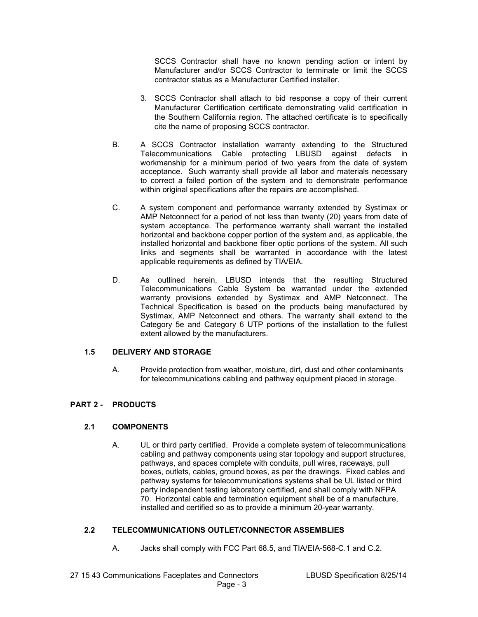SCCS Contractor shall have no known pending action or intent by Manufacturer and/or SCCS Contractor to terminate or limit the SCCS contractor status as a Manufacturer Certified installer.

- 3. SCCS Contractor shall attach to bid response a copy of their current Manufacturer Certification certificate demonstrating valid certification in the Southern California region. The attached certificate is to specifically cite the name of proposing SCCS contractor.
- B. A SCCS Contractor installation warranty extending to the Structured Telecommunications Cable protecting LBUSD against defects in workmanship for a minimum period of two years from the date of system acceptance. Such warranty shall provide all labor and materials necessary to correct a failed portion of the system and to demonstrate performance within original specifications after the repairs are accomplished.
- C. A system component and performance warranty extended by Systimax or AMP Netconnect for a period of not less than twenty (20) years from date of system acceptance. The performance warranty shall warrant the installed horizontal and backbone copper portion of the system and, as applicable, the installed horizontal and backbone fiber optic portions of the system. All such links and segments shall be warranted in accordance with the latest applicable requirements as defined by TIA/EIA.
- D. As outlined herein, LBUSD intends that the resulting Structured Telecommunications Cable System be warranted under the extended warranty provisions extended by Systimax and AMP Netconnect. The Technical Specification is based on the products being manufactured by Systimax, AMP Netconnect and others. The warranty shall extend to the Category 5e and Category 6 UTP portions of the installation to the fullest extent allowed by the manufacturers.

### **1.5 DELIVERY AND STORAGE**

A. Provide protection from weather, moisture, dirt, dust and other contaminants for telecommunications cabling and pathway equipment placed in storage.

### **PART 2 - PRODUCTS**

### **2.1 COMPONENTS**

A. UL or third party certified. Provide a complete system of telecommunications cabling and pathway components using star topology and support structures, pathways, and spaces complete with conduits, pull wires, raceways, pull boxes, outlets, cables, ground boxes, as per the drawings. Fixed cables and pathway systems for telecommunications systems shall be UL listed or third party independent testing laboratory certified, and shall comply with NFPA 70. Horizontal cable and termination equipment shall be of a manufacture, installed and certified so as to provide a minimum 20-year warranty.

### **2.2 TELECOMMUNICATIONS OUTLET/CONNECTOR ASSEMBLIES**

A. Jacks shall comply with FCC Part 68.5, and TIA/EIA-568-C.1 and C.2.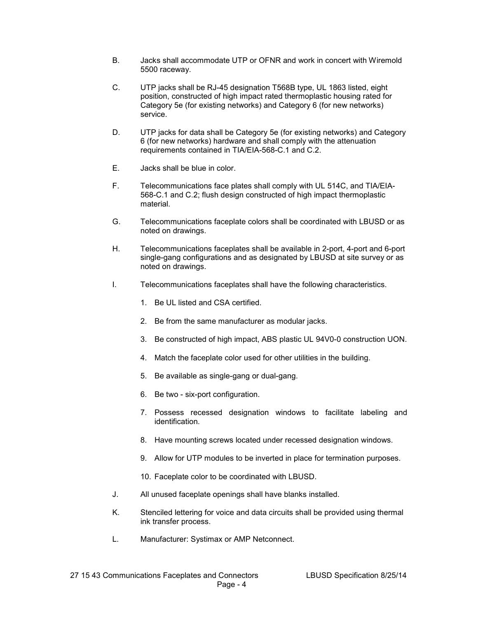- B. Jacks shall accommodate UTP or OFNR and work in concert with Wiremold 5500 raceway.
- C. UTP jacks shall be RJ-45 designation T568B type, UL 1863 listed, eight position, constructed of high impact rated thermoplastic housing rated for Category 5e (for existing networks) and Category 6 (for new networks) service.
- D. UTP jacks for data shall be Category 5e (for existing networks) and Category 6 (for new networks) hardware and shall comply with the attenuation requirements contained in TIA/EIA-568-C.1 and C.2.
- E. Jacks shall be blue in color.
- F. Telecommunications face plates shall comply with UL 514C, and TIA/EIA-568-C.1 and C.2; flush design constructed of high impact thermoplastic material.
- G. Telecommunications faceplate colors shall be coordinated with LBUSD or as noted on drawings.
- H. Telecommunications faceplates shall be available in 2-port, 4-port and 6-port single-gang configurations and as designated by LBUSD at site survey or as noted on drawings.
- I. Telecommunications faceplates shall have the following characteristics.
	- 1. Be UL listed and CSA certified.
	- 2. Be from the same manufacturer as modular jacks.
	- 3. Be constructed of high impact, ABS plastic UL 94V0-0 construction UON.
	- 4. Match the faceplate color used for other utilities in the building.
	- 5. Be available as single-gang or dual-gang.
	- 6. Be two six-port configuration.
	- 7. Possess recessed designation windows to facilitate labeling and identification.
	- 8. Have mounting screws located under recessed designation windows.
	- 9. Allow for UTP modules to be inverted in place for termination purposes.
	- 10. Faceplate color to be coordinated with LBUSD.
- J. All unused faceplate openings shall have blanks installed.
- K. Stenciled lettering for voice and data circuits shall be provided using thermal ink transfer process.
- L. Manufacturer: Systimax or AMP Netconnect.